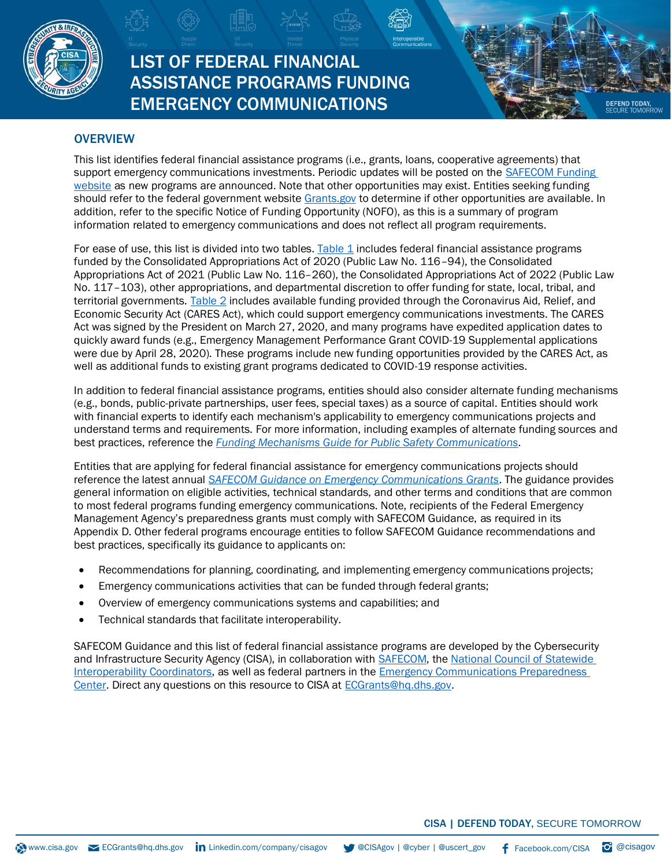

# **LIST OF FEDERAL FINANCIAL** ASSISTANCE PROGRAMS FUNDING EMERGENCY COMMUNICATIONS

## **OVERVIEW**

 This list identifies federal financial assistance programs (i.e., grants, loans, cooperative agreements) that support emergency communications investments. Periodic updates will be posted on the SAFECOM Funding [website a](https://www.cisa.gov/safecom/funding)s new programs are announced. Note that other opportunities may exist. Entities seeking funding should refer to the federal government website [Grants.gov t](https://www.grants.gov/)o determine if other opportunities are available. In addition, refer to the specific Notice of Funding Opportunity (NOFO), as this is a summary of program information related to emergency communications and does not reflect all program requirements.

For ease of use, this list is divided into two tables.  $Table 1$  includes federal financial assistance programs funded by the Consolidated Appropriations Act of 2020 (Public Law No. 116–94), the Consolidated Appropriations Act of 2021 (Public Law No. 116–260), the Consolidated Appropriations Act of 2022 (Public Law No. 117–103), other appropriations, and departmental discretion to offer funding for state, local, tribal, and territorial governments[. Table 2](#page-31-0) includes available funding provided through the Coronavirus Aid, Relief, and Economic Security Act (CARES Act), which could support emergency communications investments. The CARES Act was signed by the President on March 27, 2020, and many programs have expedited application dates to quickly award funds (e.g., Emergency Management Performance Grant COVID-19 Supplemental applications were due by April 28, 2020). These programs include new funding opportunities provided by the CARES Act, as well as additional funds to existing grant programs dedicated to COVID-19 response activities.

 In addition to federal financial assistance programs, entities should also consider alternate funding mechanisms (e.g., bonds, public-private partnerships, user fees, special taxes) as a source of capital. Entities should work with financial experts to identify each mechanism's applicability to emergency communications projects and understand terms and requirements. For more information, including examples of alternate funding sources and best practices, reference the *[Funding Mechanisms Guide for Public Safety Communications.](https://www.cisa.gov/safecom/funding)* 

 Entities that are applying for federal financial assistance for emergency communications projects should reference the latest annual *[SAFECOM Guidance on Emergency Communications Grants](https://www.cisa.gov/safecom/funding)*. The guidance provides general information on eligible activities, technical standards, and other terms and conditions that are common to most federal programs funding emergency communications. Note, recipients of the Federal Emergency Management Agency's preparedness grants must comply with SAFECOM Guidance, as required in its Appendix D. Other federal programs encourage entities to follow SAFECOM Guidance recommendations and best practices, specifically its guidance to applicants on:

- Recommendations for planning, coordinating, and implementing emergency communications projects;
- Emergency communications activities that can be funded through federal grants;
- Overview of emergency communications systems and capabilities; and
- Technical standards that facilitate interoperability.

 SAFECOM Guidance and this list of federal financial assistance programs are developed by the Cybersecurity and Infrastructure Security Agency (CISA), in collaboration with [SAFECOM,](https://www.cisa.gov/safecom/about-safecom) the National Council of Statewide [Interoperability Coordinators,](https://www.cisa.gov/safecom/NCSWIC) as well as federal partners in the Emergency Communications Preparedness [Center.](https://www.cisa.gov/emergency-communications-preparedness-center) Direct any questions on this resource to CISA at [ECGrants@hq.dhs.gov.](mailto:ECGrants@hq.dhs.gov)

### CISA | DEFEND TODAY, SECURE TOMORROW

**DEFEND TODAY**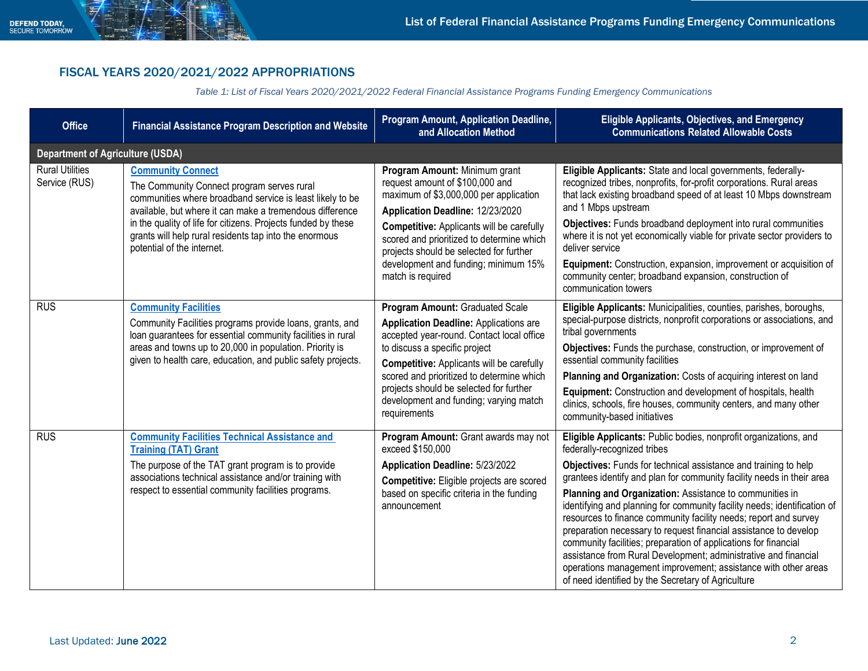# FISCAL YEARS 2020/2021/2022 APPROPRIATIONS

*Table 1: List of Fiscal Years 2020/2021/2022 Federal Financial Assistance Programs Funding Emergency Communications* 

<span id="page-1-0"></span>

| <b>Office</b>                           | <b>Financial Assistance Program Description and Website</b>                                                                                                                                                                                                                                                                                              | <b>Program Amount, Application Deadline,</b><br>and Allocation Method                                                                                                                                                                                                                                                                                                | <b>Eligible Applicants, Objectives, and Emergency</b><br><b>Communications Related Allowable Costs</b>                                                                                                                                                                                                                                                                                                                                                                                                                                                                                                                                                                                                                                                                                   |
|-----------------------------------------|----------------------------------------------------------------------------------------------------------------------------------------------------------------------------------------------------------------------------------------------------------------------------------------------------------------------------------------------------------|----------------------------------------------------------------------------------------------------------------------------------------------------------------------------------------------------------------------------------------------------------------------------------------------------------------------------------------------------------------------|------------------------------------------------------------------------------------------------------------------------------------------------------------------------------------------------------------------------------------------------------------------------------------------------------------------------------------------------------------------------------------------------------------------------------------------------------------------------------------------------------------------------------------------------------------------------------------------------------------------------------------------------------------------------------------------------------------------------------------------------------------------------------------------|
| <b>Department of Agriculture (USDA)</b> |                                                                                                                                                                                                                                                                                                                                                          |                                                                                                                                                                                                                                                                                                                                                                      |                                                                                                                                                                                                                                                                                                                                                                                                                                                                                                                                                                                                                                                                                                                                                                                          |
| <b>Rural Utilities</b><br>Service (RUS) | <b>Community Connect</b><br>The Community Connect program serves rural<br>communities where broadband service is least likely to be<br>available, but where it can make a tremendous difference<br>in the quality of life for citizens. Projects funded by these<br>grants will help rural residents tap into the enormous<br>potential of the internet. | Program Amount: Minimum grant<br>request amount of \$100,000 and<br>maximum of \$3,000,000 per application<br>Application Deadline: 12/23/2020<br><b>Competitive:</b> Applicants will be carefully<br>scored and prioritized to determine which<br>projects should be selected for further<br>development and funding; minimum 15%<br>match is required              | Eligible Applicants: State and local governments, federally-<br>recognized tribes, nonprofits, for-profit corporations. Rural areas<br>that lack existing broadband speed of at least 10 Mbps downstream<br>and 1 Mbps upstream<br>Objectives: Funds broadband deployment into rural communities<br>where it is not yet economically viable for private sector providers to<br>deliver service<br>Equipment: Construction, expansion, improvement or acquisition of<br>community center; broadband expansion, construction of<br>communication towers                                                                                                                                                                                                                                    |
| <b>RUS</b>                              | <b>Community Facilities</b><br>Community Facilities programs provide loans, grants, and<br>loan guarantees for essential community facilities in rural<br>areas and towns up to 20,000 in population. Priority is<br>given to health care, education, and public safety projects.                                                                        | Program Amount: Graduated Scale<br><b>Application Deadline: Applications are</b><br>accepted year-round. Contact local office<br>to discuss a specific project<br><b>Competitive:</b> Applicants will be carefully<br>scored and prioritized to determine which<br>projects should be selected for further<br>development and funding; varying match<br>requirements | Eligible Applicants: Municipalities, counties, parishes, boroughs,<br>special-purpose districts, nonprofit corporations or associations, and<br>tribal governments<br>Objectives: Funds the purchase, construction, or improvement of<br>essential community facilities<br>Planning and Organization: Costs of acquiring interest on land<br>Equipment: Construction and development of hospitals, health<br>clinics, schools, fire houses, community centers, and many other<br>community-based initiatives                                                                                                                                                                                                                                                                             |
| <b>RUS</b>                              | <b>Community Facilities Technical Assistance and</b><br><b>Training (TAT) Grant</b><br>The purpose of the TAT grant program is to provide<br>associations technical assistance and/or training with<br>respect to essential community facilities programs.                                                                                               | Program Amount: Grant awards may not<br>exceed \$150,000<br>Application Deadline: 5/23/2022<br>Competitive: Eligible projects are scored<br>based on specific criteria in the funding<br>announcement                                                                                                                                                                | Eligible Applicants: Public bodies, nonprofit organizations, and<br>federally-recognized tribes<br>Objectives: Funds for technical assistance and training to help<br>grantees identify and plan for community facility needs in their area<br>Planning and Organization: Assistance to communities in<br>identifying and planning for community facility needs; identification of<br>resources to finance community facility needs; report and survey<br>preparation necessary to request financial assistance to develop<br>community facilities; preparation of applications for financial<br>assistance from Rural Development; administrative and financial<br>operations management improvement; assistance with other areas<br>of need identified by the Secretary of Agriculture |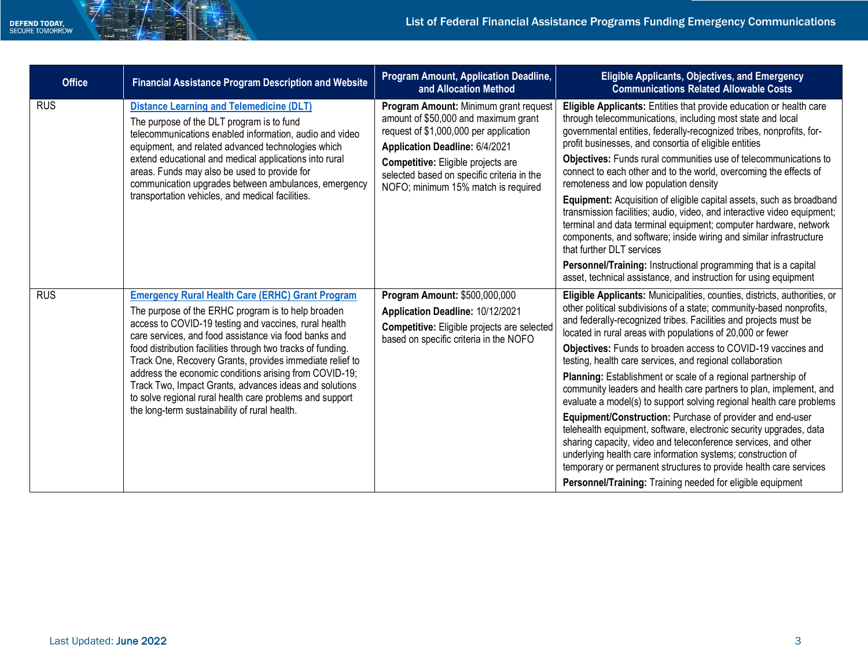| <b>Office</b> | <b>Financial Assistance Program Description and Website</b>                                                                                                                                                                                                                                                                                                                                                                         | <b>Program Amount, Application Deadline,</b><br>and Allocation Method                                                                                                                                                                                                                | <b>Eligible Applicants, Objectives, and Emergency</b><br><b>Communications Related Allowable Costs</b>                                                                                                                                                                                                                                                                                                                                                                                                                                                                                                                                                                                                                                                                                                                                            |
|---------------|-------------------------------------------------------------------------------------------------------------------------------------------------------------------------------------------------------------------------------------------------------------------------------------------------------------------------------------------------------------------------------------------------------------------------------------|--------------------------------------------------------------------------------------------------------------------------------------------------------------------------------------------------------------------------------------------------------------------------------------|---------------------------------------------------------------------------------------------------------------------------------------------------------------------------------------------------------------------------------------------------------------------------------------------------------------------------------------------------------------------------------------------------------------------------------------------------------------------------------------------------------------------------------------------------------------------------------------------------------------------------------------------------------------------------------------------------------------------------------------------------------------------------------------------------------------------------------------------------|
| <b>RUS</b>    | <b>Distance Learning and Telemedicine (DLT)</b><br>The purpose of the DLT program is to fund<br>telecommunications enabled information, audio and video<br>equipment, and related advanced technologies which<br>extend educational and medical applications into rural<br>areas. Funds may also be used to provide for<br>communication upgrades between ambulances, emergency<br>transportation vehicles, and medical facilities. | Program Amount: Minimum grant request<br>amount of \$50,000 and maximum grant<br>request of \$1,000,000 per application<br>Application Deadline: 6/4/2021<br>Competitive: Eligible projects are<br>selected based on specific criteria in the<br>NOFO; minimum 15% match is required | Eligible Applicants: Entities that provide education or health care<br>through telecommunications, including most state and local<br>governmental entities, federally-recognized tribes, nonprofits, for-<br>profit businesses, and consortia of eligible entities<br>Objectives: Funds rural communities use of telecommunications to<br>connect to each other and to the world, overcoming the effects of<br>remoteness and low population density<br>Equipment: Acquisition of eligible capital assets, such as broadband<br>transmission facilities; audio, video, and interactive video equipment;<br>terminal and data terminal equipment; computer hardware, network<br>components, and software; inside wiring and similar infrastructure<br>that further DLT services<br>Personnel/Training: Instructional programming that is a capital |
|               |                                                                                                                                                                                                                                                                                                                                                                                                                                     |                                                                                                                                                                                                                                                                                      | asset, technical assistance, and instruction for using equipment                                                                                                                                                                                                                                                                                                                                                                                                                                                                                                                                                                                                                                                                                                                                                                                  |
| <b>RUS</b>    | <b>Emergency Rural Health Care (ERHC) Grant Program</b><br>The purpose of the ERHC program is to help broaden<br>access to COVID-19 testing and vaccines, rural health<br>care services, and food assistance via food banks and                                                                                                                                                                                                     | Program Amount: \$500,000,000<br>Application Deadline: 10/12/2021<br>Competitive: Eligible projects are selected<br>based on specific criteria in the NOFO                                                                                                                           | Eligible Applicants: Municipalities, counties, districts, authorities, or<br>other political subdivisions of a state; community-based nonprofits,<br>and federally-recognized tribes. Facilities and projects must be<br>located in rural areas with populations of 20,000 or fewer                                                                                                                                                                                                                                                                                                                                                                                                                                                                                                                                                               |
|               | food distribution facilities through two tracks of funding.<br>Track One, Recovery Grants, provides immediate relief to<br>address the economic conditions arising from COVID-19;<br>Track Two, Impact Grants, advances ideas and solutions<br>to solve regional rural health care problems and support                                                                                                                             |                                                                                                                                                                                                                                                                                      | Objectives: Funds to broaden access to COVID-19 vaccines and<br>testing, health care services, and regional collaboration                                                                                                                                                                                                                                                                                                                                                                                                                                                                                                                                                                                                                                                                                                                         |
|               |                                                                                                                                                                                                                                                                                                                                                                                                                                     |                                                                                                                                                                                                                                                                                      | Planning: Establishment or scale of a regional partnership of<br>community leaders and health care partners to plan, implement, and<br>evaluate a model(s) to support solving regional health care problems                                                                                                                                                                                                                                                                                                                                                                                                                                                                                                                                                                                                                                       |
|               | the long-term sustainability of rural health.                                                                                                                                                                                                                                                                                                                                                                                       |                                                                                                                                                                                                                                                                                      | Equipment/Construction: Purchase of provider and end-user<br>telehealth equipment, software, electronic security upgrades, data<br>sharing capacity, video and teleconference services, and other<br>underlying health care information systems; construction of<br>temporary or permanent structures to provide health care services                                                                                                                                                                                                                                                                                                                                                                                                                                                                                                             |
|               |                                                                                                                                                                                                                                                                                                                                                                                                                                     |                                                                                                                                                                                                                                                                                      | Personnel/Training: Training needed for eligible equipment                                                                                                                                                                                                                                                                                                                                                                                                                                                                                                                                                                                                                                                                                                                                                                                        |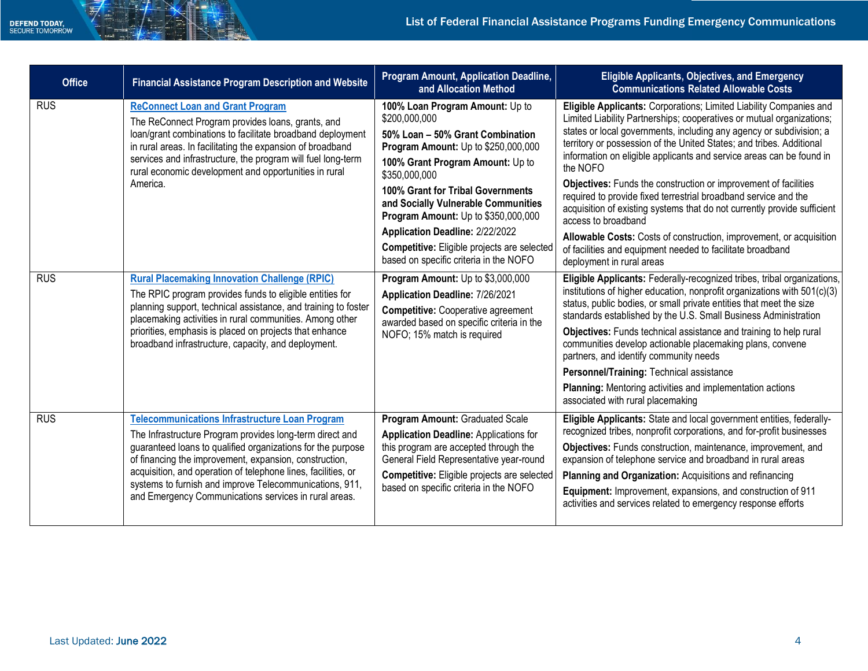| <b>Office</b>            | <b>Financial Assistance Program Description and Website</b>                                                                                                                                                                                                                                                                                                                                                                     | Program Amount, Application Deadline,<br>and Allocation Method                                                                                                                                                                                                                                                                                                                                                                                | <b>Eligible Applicants, Objectives, and Emergency</b><br><b>Communications Related Allowable Costs</b>                                                                                                                                                                                                                                                                                                                                                                                                                                                                                                                                                                                                                                                                                    |
|--------------------------|---------------------------------------------------------------------------------------------------------------------------------------------------------------------------------------------------------------------------------------------------------------------------------------------------------------------------------------------------------------------------------------------------------------------------------|-----------------------------------------------------------------------------------------------------------------------------------------------------------------------------------------------------------------------------------------------------------------------------------------------------------------------------------------------------------------------------------------------------------------------------------------------|-------------------------------------------------------------------------------------------------------------------------------------------------------------------------------------------------------------------------------------------------------------------------------------------------------------------------------------------------------------------------------------------------------------------------------------------------------------------------------------------------------------------------------------------------------------------------------------------------------------------------------------------------------------------------------------------------------------------------------------------------------------------------------------------|
| <b>RUS</b><br><b>RUS</b> | <b>ReConnect Loan and Grant Program</b><br>The ReConnect Program provides loans, grants, and<br>loan/grant combinations to facilitate broadband deployment<br>in rural areas. In facilitating the expansion of broadband<br>services and infrastructure, the program will fuel long-term<br>rural economic development and opportunities in rural<br>America.<br><b>Rural Placemaking Innovation Challenge (RPIC)</b>           | 100% Loan Program Amount: Up to<br>\$200,000,000<br>50% Loan - 50% Grant Combination<br><b>Program Amount:</b> Up to \$250,000,000<br>100% Grant Program Amount: Up to<br>\$350,000,000<br>100% Grant for Tribal Governments<br>and Socially Vulnerable Communities<br><b>Program Amount:</b> Up to \$350,000,000<br>Application Deadline: 2/22/2022<br>Competitive: Eligible projects are selected<br>based on specific criteria in the NOFO | Eligible Applicants: Corporations; Limited Liability Companies and<br>Limited Liability Partnerships; cooperatives or mutual organizations;<br>states or local governments, including any agency or subdivision; a<br>territory or possession of the United States; and tribes. Additional<br>information on eligible applicants and service areas can be found in<br>the NOFO<br>Objectives: Funds the construction or improvement of facilities<br>required to provide fixed terrestrial broadband service and the<br>acquisition of existing systems that do not currently provide sufficient<br>access to broadband<br>Allowable Costs: Costs of construction, improvement, or acquisition<br>of facilities and equipment needed to facilitate broadband<br>deployment in rural areas |
|                          | The RPIC program provides funds to eligible entities for<br>planning support, technical assistance, and training to foster<br>placemaking activities in rural communities. Among other<br>priorities, emphasis is placed on projects that enhance<br>broadband infrastructure, capacity, and deployment.                                                                                                                        | Program Amount: Up to \$3,000,000<br>Application Deadline: 7/26/2021<br><b>Competitive:</b> Cooperative agreement<br>awarded based on specific criteria in the<br>NOFO; 15% match is required                                                                                                                                                                                                                                                 | Eligible Applicants: Federally-recognized tribes, tribal organizations,<br>institutions of higher education, nonprofit organizations with 501(c)(3)<br>status, public bodies, or small private entities that meet the size<br>standards established by the U.S. Small Business Administration<br>Objectives: Funds technical assistance and training to help rural<br>communities develop actionable placemaking plans, convene<br>partners, and identify community needs<br>Personnel/Training: Technical assistance<br>Planning: Mentoring activities and implementation actions<br>associated with rural placemaking                                                                                                                                                                   |
| <b>RUS</b>               | <b>Telecommunications Infrastructure Loan Program</b><br>The Infrastructure Program provides long-term direct and<br>guaranteed loans to qualified organizations for the purpose<br>of financing the improvement, expansion, construction,<br>acquisition, and operation of telephone lines, facilities, or<br>systems to furnish and improve Telecommunications, 911,<br>and Emergency Communications services in rural areas. | Program Amount: Graduated Scale<br><b>Application Deadline: Applications for</b><br>this program are accepted through the<br>General Field Representative year-round<br>Competitive: Eligible projects are selected<br>based on specific criteria in the NOFO                                                                                                                                                                                 | Eligible Applicants: State and local government entities, federally-<br>recognized tribes, nonprofit corporations, and for-profit businesses<br>Objectives: Funds construction, maintenance, improvement, and<br>expansion of telephone service and broadband in rural areas<br>Planning and Organization: Acquisitions and refinancing<br>Equipment: Improvement, expansions, and construction of 911<br>activities and services related to emergency response efforts                                                                                                                                                                                                                                                                                                                   |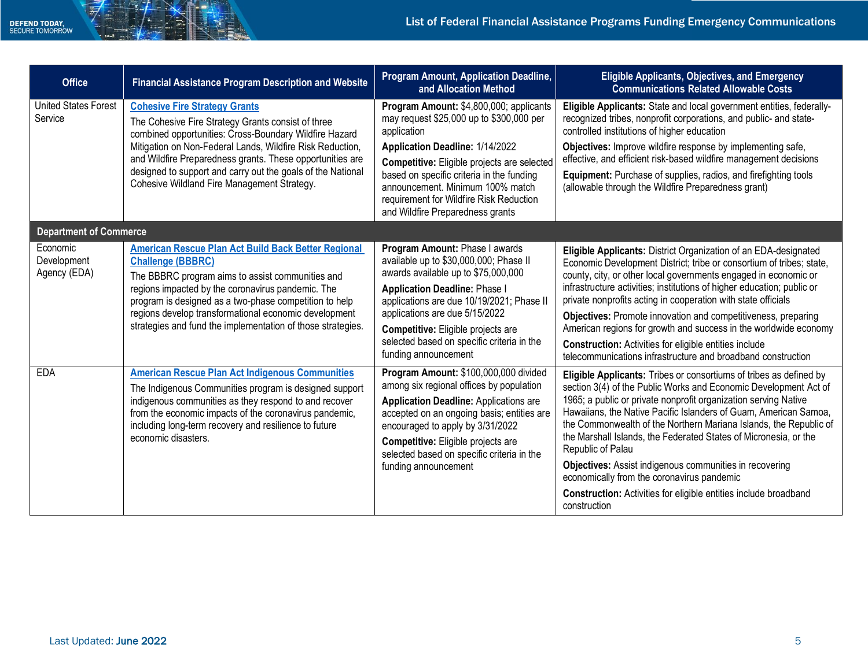| <b>Office</b>                           | <b>Financial Assistance Program Description and Website</b>                                                                                                                                                                                                                                                                                                                                  | <b>Program Amount, Application Deadline,</b><br>and Allocation Method                                                                                                                                                                                                                                                                                | <b>Eligible Applicants, Objectives, and Emergency</b><br><b>Communications Related Allowable Costs</b>                                                                                                                                                                                                                                                                                                                                                                                                                                                                                                                                                 |
|-----------------------------------------|----------------------------------------------------------------------------------------------------------------------------------------------------------------------------------------------------------------------------------------------------------------------------------------------------------------------------------------------------------------------------------------------|------------------------------------------------------------------------------------------------------------------------------------------------------------------------------------------------------------------------------------------------------------------------------------------------------------------------------------------------------|--------------------------------------------------------------------------------------------------------------------------------------------------------------------------------------------------------------------------------------------------------------------------------------------------------------------------------------------------------------------------------------------------------------------------------------------------------------------------------------------------------------------------------------------------------------------------------------------------------------------------------------------------------|
| <b>United States Forest</b><br>Service  | <b>Cohesive Fire Strategy Grants</b><br>The Cohesive Fire Strategy Grants consist of three<br>combined opportunities: Cross-Boundary Wildfire Hazard<br>Mitigation on Non-Federal Lands, Wildfire Risk Reduction,<br>and Wildfire Preparedness grants. These opportunities are<br>designed to support and carry out the goals of the National<br>Cohesive Wildland Fire Management Strategy. | Program Amount: \$4,800,000; applicants<br>may request \$25,000 up to \$300,000 per<br>application<br>Application Deadline: 1/14/2022<br>Competitive: Eligible projects are selected<br>based on specific criteria in the funding<br>announcement. Minimum 100% match<br>requirement for Wildfire Risk Reduction<br>and Wildfire Preparedness grants | Eligible Applicants: State and local government entities, federally-<br>recognized tribes, nonprofit corporations, and public- and state-<br>controlled institutions of higher education<br>Objectives: Improve wildfire response by implementing safe,<br>effective, and efficient risk-based wildfire management decisions<br>Equipment: Purchase of supplies, radios, and firefighting tools<br>(allowable through the Wildfire Preparedness grant)                                                                                                                                                                                                 |
| <b>Department of Commerce</b>           |                                                                                                                                                                                                                                                                                                                                                                                              |                                                                                                                                                                                                                                                                                                                                                      |                                                                                                                                                                                                                                                                                                                                                                                                                                                                                                                                                                                                                                                        |
| Economic<br>Development<br>Agency (EDA) | <b>American Rescue Plan Act Build Back Better Regional</b><br><b>Challenge (BBBRC)</b><br>The BBBRC program aims to assist communities and<br>regions impacted by the coronavirus pandemic. The<br>program is designed as a two-phase competition to help<br>regions develop transformational economic development<br>strategies and fund the implementation of those strategies.            | Program Amount: Phase I awards<br>available up to \$30,000,000; Phase II<br>awards available up to \$75,000,000<br><b>Application Deadline: Phase I</b><br>applications are due 10/19/2021; Phase II<br>applications are due 5/15/2022<br>Competitive: Eligible projects are<br>selected based on specific criteria in the<br>funding announcement   | Eligible Applicants: District Organization of an EDA-designated<br>Economic Development District; tribe or consortium of tribes; state,<br>county, city, or other local governments engaged in economic or<br>infrastructure activities; institutions of higher education; public or<br>private nonprofits acting in cooperation with state officials<br>Objectives: Promote innovation and competitiveness, preparing<br>American regions for growth and success in the worldwide economy<br><b>Construction:</b> Activities for eligible entities include<br>telecommunications infrastructure and broadband construction                            |
| <b>EDA</b>                              | <b>American Rescue Plan Act Indigenous Communities</b><br>The Indigenous Communities program is designed support<br>indigenous communities as they respond to and recover<br>from the economic impacts of the coronavirus pandemic,<br>including long-term recovery and resilience to future<br>economic disasters.                                                                          | Program Amount: \$100,000,000 divided<br>among six regional offices by population<br><b>Application Deadline: Applications are</b><br>accepted on an ongoing basis; entities are<br>encouraged to apply by 3/31/2022<br>Competitive: Eligible projects are<br>selected based on specific criteria in the<br>funding announcement                     | Eligible Applicants: Tribes or consortiums of tribes as defined by<br>section 3(4) of the Public Works and Economic Development Act of<br>1965; a public or private nonprofit organization serving Native<br>Hawaiians, the Native Pacific Islanders of Guam, American Samoa,<br>the Commonwealth of the Northern Mariana Islands, the Republic of<br>the Marshall Islands, the Federated States of Micronesia, or the<br>Republic of Palau<br><b>Objectives:</b> Assist indigenous communities in recovering<br>economically from the coronavirus pandemic<br><b>Construction:</b> Activities for eligible entities include broadband<br>construction |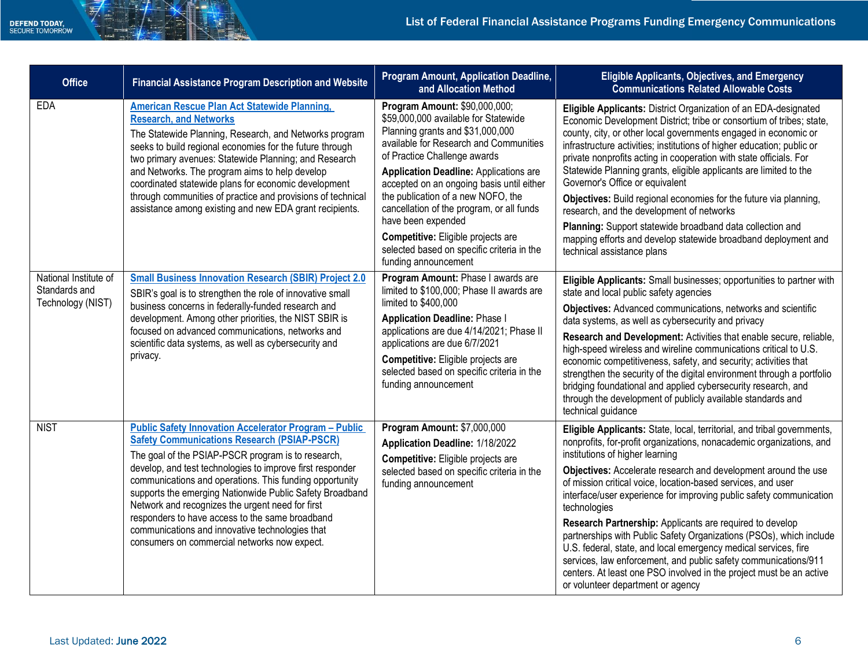| <b>Office</b>                                               | <b>Financial Assistance Program Description and Website</b>                                                                                                                                                                                                                                                                                                                                                                                                                                                                                                            | Program Amount, Application Deadline,<br>and Allocation Method                                                                                                                                                                                                                                                                                                                                                                                                                                         | <b>Eligible Applicants, Objectives, and Emergency</b><br><b>Communications Related Allowable Costs</b>                                                                                                                                                                                                                                                                                                                                                                                                                                                                                                                                                                                                                                                                                           |
|-------------------------------------------------------------|------------------------------------------------------------------------------------------------------------------------------------------------------------------------------------------------------------------------------------------------------------------------------------------------------------------------------------------------------------------------------------------------------------------------------------------------------------------------------------------------------------------------------------------------------------------------|--------------------------------------------------------------------------------------------------------------------------------------------------------------------------------------------------------------------------------------------------------------------------------------------------------------------------------------------------------------------------------------------------------------------------------------------------------------------------------------------------------|--------------------------------------------------------------------------------------------------------------------------------------------------------------------------------------------------------------------------------------------------------------------------------------------------------------------------------------------------------------------------------------------------------------------------------------------------------------------------------------------------------------------------------------------------------------------------------------------------------------------------------------------------------------------------------------------------------------------------------------------------------------------------------------------------|
| <b>EDA</b>                                                  | <b>American Rescue Plan Act Statewide Planning,</b><br><b>Research, and Networks</b><br>The Statewide Planning, Research, and Networks program<br>seeks to build regional economies for the future through<br>two primary avenues: Statewide Planning; and Research<br>and Networks. The program aims to help develop<br>coordinated statewide plans for economic development<br>through communities of practice and provisions of technical<br>assistance among existing and new EDA grant recipients.                                                                | Program Amount: \$90,000,000;<br>\$59,000,000 available for Statewide<br>Planning grants and \$31,000,000<br>available for Research and Communities<br>of Practice Challenge awards<br><b>Application Deadline: Applications are</b><br>accepted on an ongoing basis until either<br>the publication of a new NOFO, the<br>cancellation of the program, or all funds<br>have been expended<br>Competitive: Eligible projects are<br>selected based on specific criteria in the<br>funding announcement | Eligible Applicants: District Organization of an EDA-designated<br>Economic Development District; tribe or consortium of tribes; state,<br>county, city, or other local governments engaged in economic or<br>infrastructure activities; institutions of higher education; public or<br>private nonprofits acting in cooperation with state officials. For<br>Statewide Planning grants, eligible applicants are limited to the<br>Governor's Office or equivalent<br>Objectives: Build regional economies for the future via planning,<br>research, and the development of networks<br>Planning: Support statewide broadband data collection and<br>mapping efforts and develop statewide broadband deployment and<br>technical assistance plans                                                |
| National Institute of<br>Standards and<br>Technology (NIST) | <b>Small Business Innovation Research (SBIR) Project 2.0</b><br>SBIR's goal is to strengthen the role of innovative small<br>business concerns in federally-funded research and<br>development. Among other priorities, the NIST SBIR is<br>focused on advanced communications, networks and<br>scientific data systems, as well as cybersecurity and<br>privacy.                                                                                                                                                                                                      | Program Amount: Phase I awards are<br>limited to \$100,000; Phase II awards are<br>limited to \$400,000<br><b>Application Deadline: Phase I</b><br>applications are due 4/14/2021; Phase II<br>applications are due 6/7/2021<br>Competitive: Eligible projects are<br>selected based on specific criteria in the<br>funding announcement                                                                                                                                                               | Eligible Applicants: Small businesses; opportunities to partner with<br>state and local public safety agencies<br><b>Objectives:</b> Advanced communications, networks and scientific<br>data systems, as well as cybersecurity and privacy<br>Research and Development: Activities that enable secure, reliable,<br>high-speed wireless and wireline communications critical to U.S.<br>economic competitiveness, safety, and security; activities that<br>strengthen the security of the digital environment through a portfolio<br>bridging foundational and applied cybersecurity research, and<br>through the development of publicly available standards and<br>technical guidance                                                                                                         |
| <b>NIST</b>                                                 | <b>Public Safety Innovation Accelerator Program - Public</b><br><b>Safety Communications Research (PSIAP-PSCR)</b><br>The goal of the PSIAP-PSCR program is to research,<br>develop, and test technologies to improve first responder<br>communications and operations. This funding opportunity<br>supports the emerging Nationwide Public Safety Broadband<br>Network and recognizes the urgent need for first<br>responders to have access to the same broadband<br>communications and innovative technologies that<br>consumers on commercial networks now expect. | Program Amount: \$7,000,000<br>Application Deadline: 1/18/2022<br>Competitive: Eligible projects are<br>selected based on specific criteria in the<br>funding announcement                                                                                                                                                                                                                                                                                                                             | Eligible Applicants: State, local, territorial, and tribal governments,<br>nonprofits, for-profit organizations, nonacademic organizations, and<br>institutions of higher learning<br>Objectives: Accelerate research and development around the use<br>of mission critical voice, location-based services, and user<br>interface/user experience for improving public safety communication<br>technologies<br>Research Partnership: Applicants are required to develop<br>partnerships with Public Safety Organizations (PSOs), which include<br>U.S. federal, state, and local emergency medical services, fire<br>services, law enforcement, and public safety communications/911<br>centers. At least one PSO involved in the project must be an active<br>or volunteer department or agency |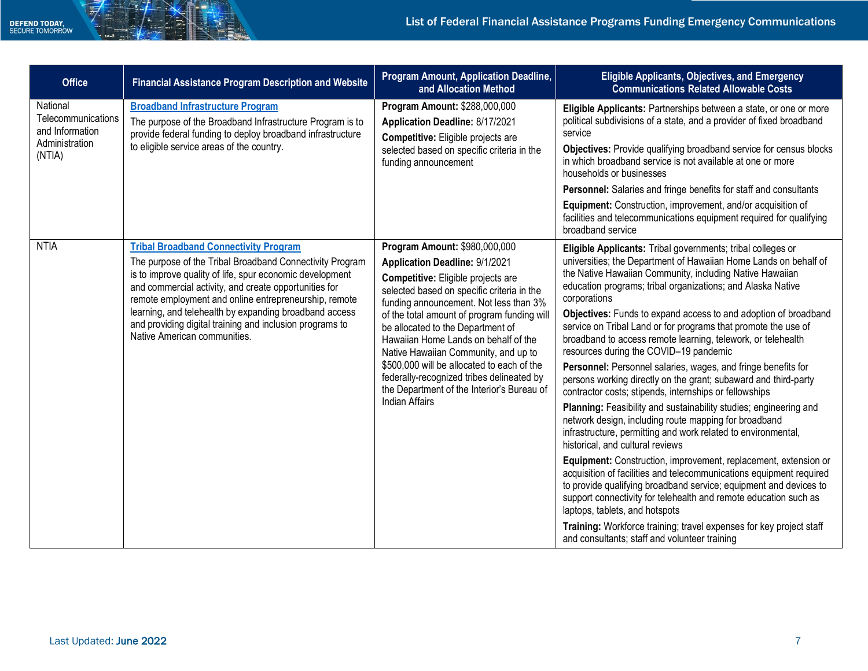| <b>Office</b>                                                                 | <b>Financial Assistance Program Description and Website</b>                                                                                                                                                                                                                                                                                                                                                                                  | Program Amount, Application Deadline,<br>and Allocation Method                                                                                                                                                                                                                                                                                                                                                                                                                                                                             | <b>Eligible Applicants, Objectives, and Emergency</b><br><b>Communications Related Allowable Costs</b>                                                                                                                                                                                                                                                                                                                                                                                                                                                                                                                                                                                                                                                                                                                                                                                                                                                                                                                                                                                                                                                                                                                                                                                                                                                                                                  |
|-------------------------------------------------------------------------------|----------------------------------------------------------------------------------------------------------------------------------------------------------------------------------------------------------------------------------------------------------------------------------------------------------------------------------------------------------------------------------------------------------------------------------------------|--------------------------------------------------------------------------------------------------------------------------------------------------------------------------------------------------------------------------------------------------------------------------------------------------------------------------------------------------------------------------------------------------------------------------------------------------------------------------------------------------------------------------------------------|---------------------------------------------------------------------------------------------------------------------------------------------------------------------------------------------------------------------------------------------------------------------------------------------------------------------------------------------------------------------------------------------------------------------------------------------------------------------------------------------------------------------------------------------------------------------------------------------------------------------------------------------------------------------------------------------------------------------------------------------------------------------------------------------------------------------------------------------------------------------------------------------------------------------------------------------------------------------------------------------------------------------------------------------------------------------------------------------------------------------------------------------------------------------------------------------------------------------------------------------------------------------------------------------------------------------------------------------------------------------------------------------------------|
| National<br>Telecommunications<br>and Information<br>Administration<br>(NTIA) | <b>Broadband Infrastructure Program</b><br>The purpose of the Broadband Infrastructure Program is to<br>provide federal funding to deploy broadband infrastructure<br>to eligible service areas of the country.                                                                                                                                                                                                                              | Program Amount: \$288,000,000<br>Application Deadline: 8/17/2021<br><b>Competitive:</b> Eligible projects are<br>selected based on specific criteria in the<br>funding announcement                                                                                                                                                                                                                                                                                                                                                        | Eligible Applicants: Partnerships between a state, or one or more<br>political subdivisions of a state, and a provider of fixed broadband<br>service<br>Objectives: Provide qualifying broadband service for census blocks<br>in which broadband service is not available at one or more<br>households or businesses<br>Personnel: Salaries and fringe benefits for staff and consultants<br>Equipment: Construction, improvement, and/or acquisition of<br>facilities and telecommunications equipment required for qualifying<br>broadband service                                                                                                                                                                                                                                                                                                                                                                                                                                                                                                                                                                                                                                                                                                                                                                                                                                                    |
| <b>NTIA</b>                                                                   | <b>Tribal Broadband Connectivity Program</b><br>The purpose of the Tribal Broadband Connectivity Program<br>is to improve quality of life, spur economic development<br>and commercial activity, and create opportunities for<br>remote employment and online entrepreneurship, remote<br>learning, and telehealth by expanding broadband access<br>and providing digital training and inclusion programs to<br>Native American communities. | Program Amount: \$980,000,000<br><b>Application Deadline: 9/1/2021</b><br>Competitive: Eligible projects are<br>selected based on specific criteria in the<br>funding announcement. Not less than 3%<br>of the total amount of program funding will<br>be allocated to the Department of<br>Hawaiian Home Lands on behalf of the<br>Native Hawaiian Community, and up to<br>\$500,000 will be allocated to each of the<br>federally-recognized tribes delineated by<br>the Department of the Interior's Bureau of<br><b>Indian Affairs</b> | Eligible Applicants: Tribal governments; tribal colleges or<br>universities; the Department of Hawaiian Home Lands on behalf of<br>the Native Hawaiian Community, including Native Hawaiian<br>education programs; tribal organizations; and Alaska Native<br>corporations<br>Objectives: Funds to expand access to and adoption of broadband<br>service on Tribal Land or for programs that promote the use of<br>broadband to access remote learning, telework, or telehealth<br>resources during the COVID-19 pandemic<br>Personnel: Personnel salaries, wages, and fringe benefits for<br>persons working directly on the grant; subaward and third-party<br>contractor costs; stipends, internships or fellowships<br>Planning: Feasibility and sustainability studies; engineering and<br>network design, including route mapping for broadband<br>infrastructure, permitting and work related to environmental,<br>historical, and cultural reviews<br>Equipment: Construction, improvement, replacement, extension or<br>acquisition of facilities and telecommunications equipment required<br>to provide qualifying broadband service; equipment and devices to<br>support connectivity for telehealth and remote education such as<br>laptops, tablets, and hotspots<br>Training: Workforce training; travel expenses for key project staff<br>and consultants; staff and volunteer training |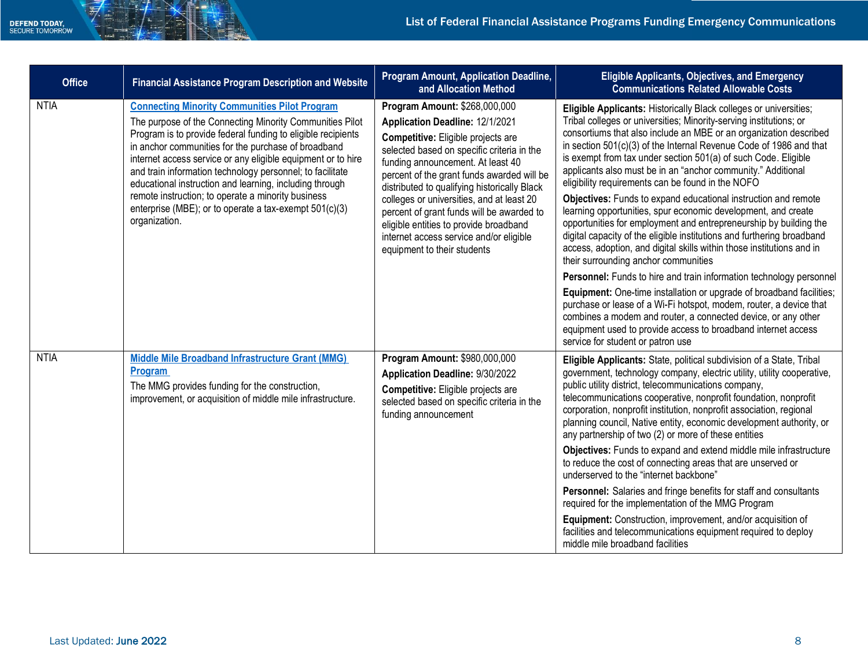| <b>Office</b> | <b>Financial Assistance Program Description and Website</b>                                                                                                                                                                                                                                                                                                                                                                                                                                                                                                      | <b>Program Amount, Application Deadline,</b><br>and Allocation Method                                                                                                                                                                                                                                                                                                                                                                                                                                 | <b>Eligible Applicants, Objectives, and Emergency</b><br><b>Communications Related Allowable Costs</b>                                                                                                                                                                                                                                                                                                                                                                                                                                                                                                                                                                                                                                                                                                                                                                       |
|---------------|------------------------------------------------------------------------------------------------------------------------------------------------------------------------------------------------------------------------------------------------------------------------------------------------------------------------------------------------------------------------------------------------------------------------------------------------------------------------------------------------------------------------------------------------------------------|-------------------------------------------------------------------------------------------------------------------------------------------------------------------------------------------------------------------------------------------------------------------------------------------------------------------------------------------------------------------------------------------------------------------------------------------------------------------------------------------------------|------------------------------------------------------------------------------------------------------------------------------------------------------------------------------------------------------------------------------------------------------------------------------------------------------------------------------------------------------------------------------------------------------------------------------------------------------------------------------------------------------------------------------------------------------------------------------------------------------------------------------------------------------------------------------------------------------------------------------------------------------------------------------------------------------------------------------------------------------------------------------|
| <b>NTIA</b>   | <b>Connecting Minority Communities Pilot Program</b><br>The purpose of the Connecting Minority Communities Pilot<br>Program is to provide federal funding to eligible recipients<br>in anchor communities for the purchase of broadband<br>internet access service or any eligible equipment or to hire<br>and train information technology personnel; to facilitate<br>educational instruction and learning, including through<br>remote instruction; to operate a minority business<br>enterprise (MBE); or to operate a tax-exempt 501(c)(3)<br>organization. | Program Amount: \$268,000,000<br>Application Deadline: 12/1/2021<br>Competitive: Eligible projects are<br>selected based on specific criteria in the<br>funding announcement. At least 40<br>percent of the grant funds awarded will be<br>distributed to qualifying historically Black<br>colleges or universities, and at least 20<br>percent of grant funds will be awarded to<br>eligible entities to provide broadband<br>internet access service and/or eligible<br>equipment to their students | Eligible Applicants: Historically Black colleges or universities;<br>Tribal colleges or universities; Minority-serving institutions; or<br>consortiums that also include an MBE or an organization described<br>in section 501(c)(3) of the Internal Revenue Code of 1986 and that<br>is exempt from tax under section 501(a) of such Code. Eligible<br>applicants also must be in an "anchor community." Additional<br>eligibility requirements can be found in the NOFO<br>Objectives: Funds to expand educational instruction and remote<br>learning opportunities, spur economic development, and create<br>opportunities for employment and entrepreneurship by building the<br>digital capacity of the eligible institutions and furthering broadband<br>access, adoption, and digital skills within those institutions and in<br>their surrounding anchor communities |
|               |                                                                                                                                                                                                                                                                                                                                                                                                                                                                                                                                                                  |                                                                                                                                                                                                                                                                                                                                                                                                                                                                                                       | Personnel: Funds to hire and train information technology personnel<br>Equipment: One-time installation or upgrade of broadband facilities;<br>purchase or lease of a Wi-Fi hotspot, modem, router, a device that<br>combines a modem and router, a connected device, or any other<br>equipment used to provide access to broadband internet access<br>service for student or patron use                                                                                                                                                                                                                                                                                                                                                                                                                                                                                     |
| <b>NTIA</b>   | <b>Middle Mile Broadband Infrastructure Grant (MMG)</b><br><b>Program</b><br>The MMG provides funding for the construction,<br>improvement, or acquisition of middle mile infrastructure.                                                                                                                                                                                                                                                                                                                                                                        | Program Amount: \$980,000,000<br>Application Deadline: 9/30/2022<br>Competitive: Eligible projects are<br>selected based on specific criteria in the<br>funding announcement                                                                                                                                                                                                                                                                                                                          | Eligible Applicants: State, political subdivision of a State, Tribal<br>government, technology company, electric utility, utility cooperative,<br>public utility district, telecommunications company,<br>telecommunications cooperative, nonprofit foundation, nonprofit<br>corporation, nonprofit institution, nonprofit association, regional<br>planning council, Native entity, economic development authority, or<br>any partnership of two (2) or more of these entities<br>Objectives: Funds to expand and extend middle mile infrastructure                                                                                                                                                                                                                                                                                                                         |
|               |                                                                                                                                                                                                                                                                                                                                                                                                                                                                                                                                                                  |                                                                                                                                                                                                                                                                                                                                                                                                                                                                                                       | to reduce the cost of connecting areas that are unserved or<br>underserved to the "internet backbone"<br>Personnel: Salaries and fringe benefits for staff and consultants<br>required for the implementation of the MMG Program                                                                                                                                                                                                                                                                                                                                                                                                                                                                                                                                                                                                                                             |
|               |                                                                                                                                                                                                                                                                                                                                                                                                                                                                                                                                                                  |                                                                                                                                                                                                                                                                                                                                                                                                                                                                                                       | Equipment: Construction, improvement, and/or acquisition of<br>facilities and telecommunications equipment required to deploy<br>middle mile broadband facilities                                                                                                                                                                                                                                                                                                                                                                                                                                                                                                                                                                                                                                                                                                            |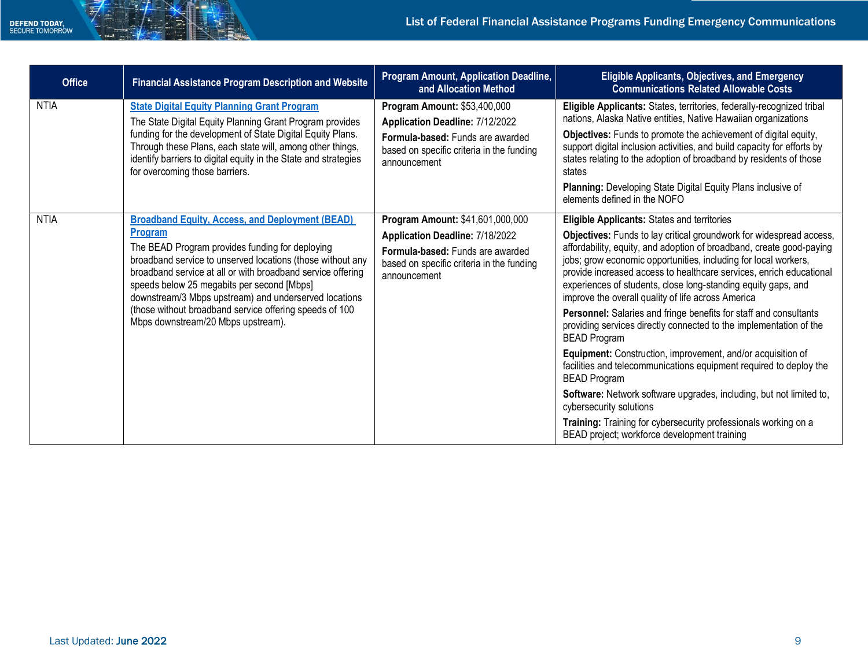| <b>Office</b> | <b>Financial Assistance Program Description and Website</b>                                                                                                                                                                                                                                    | Program Amount, Application Deadline,<br>and Allocation Method                                                                   | <b>Eligible Applicants, Objectives, and Emergency</b><br><b>Communications Related Allowable Costs</b>                                                                                                                                                                                                                                                                                                       |
|---------------|------------------------------------------------------------------------------------------------------------------------------------------------------------------------------------------------------------------------------------------------------------------------------------------------|----------------------------------------------------------------------------------------------------------------------------------|--------------------------------------------------------------------------------------------------------------------------------------------------------------------------------------------------------------------------------------------------------------------------------------------------------------------------------------------------------------------------------------------------------------|
| <b>NTIA</b>   | <b>State Digital Equity Planning Grant Program</b><br>The State Digital Equity Planning Grant Program provides                                                                                                                                                                                 | <b>Program Amount: \$53,400,000</b><br>Application Deadline: 7/12/2022                                                           | Eligible Applicants: States, territories, federally-recognized tribal<br>nations, Alaska Native entities, Native Hawaiian organizations                                                                                                                                                                                                                                                                      |
|               | funding for the development of State Digital Equity Plans.<br>Through these Plans, each state will, among other things,<br>identify barriers to digital equity in the State and strategies<br>for overcoming those barriers.                                                                   | Formula-based: Funds are awarded<br>based on specific criteria in the funding<br>announcement                                    | <b>Objectives:</b> Funds to promote the achievement of digital equity,<br>support digital inclusion activities, and build capacity for efforts by<br>states relating to the adoption of broadband by residents of those<br>states                                                                                                                                                                            |
|               |                                                                                                                                                                                                                                                                                                |                                                                                                                                  | Planning: Developing State Digital Equity Plans inclusive of<br>elements defined in the NOFO                                                                                                                                                                                                                                                                                                                 |
| <b>NTIA</b>   | <b>Broadband Equity, Access, and Deployment (BEAD)</b>                                                                                                                                                                                                                                         | Program Amount: \$41,601,000,000                                                                                                 | <b>Eligible Applicants: States and territories</b>                                                                                                                                                                                                                                                                                                                                                           |
|               | Program<br>The BEAD Program provides funding for deploying<br>broadband service to unserved locations (those without any<br>broadband service at all or with broadband service offering<br>speeds below 25 megabits per second [Mbps]<br>downstream/3 Mbps upstream) and underserved locations | Application Deadline: 7/18/2022<br>Formula-based: Funds are awarded<br>based on specific criteria in the funding<br>announcement | Objectives: Funds to lay critical groundwork for widespread access,<br>affordability, equity, and adoption of broadband, create good-paying<br>jobs; grow economic opportunities, including for local workers,<br>provide increased access to healthcare services, enrich educational<br>experiences of students, close long-standing equity gaps, and<br>improve the overall quality of life across America |
|               | (those without broadband service offering speeds of 100<br>Mbps downstream/20 Mbps upstream).                                                                                                                                                                                                  |                                                                                                                                  | Personnel: Salaries and fringe benefits for staff and consultants<br>providing services directly connected to the implementation of the<br><b>BEAD Program</b>                                                                                                                                                                                                                                               |
|               |                                                                                                                                                                                                                                                                                                |                                                                                                                                  | Equipment: Construction, improvement, and/or acquisition of<br>facilities and telecommunications equipment required to deploy the<br><b>BEAD Program</b>                                                                                                                                                                                                                                                     |
|               |                                                                                                                                                                                                                                                                                                |                                                                                                                                  | Software: Network software upgrades, including, but not limited to,<br>cybersecurity solutions                                                                                                                                                                                                                                                                                                               |
|               |                                                                                                                                                                                                                                                                                                |                                                                                                                                  | Training: Training for cybersecurity professionals working on a<br>BEAD project; workforce development training                                                                                                                                                                                                                                                                                              |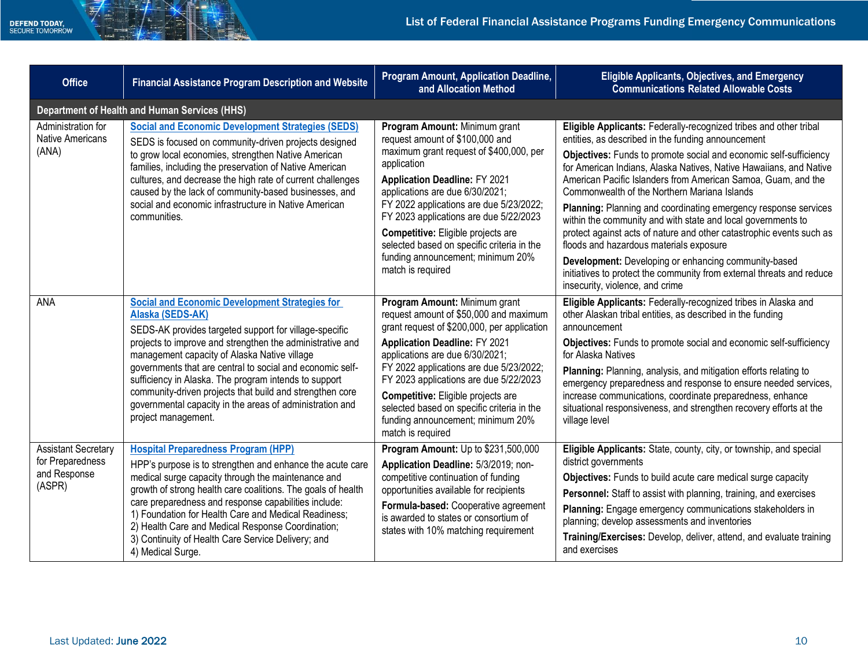| <b>Office</b>                                                            | <b>Financial Assistance Program Description and Website</b>                                                                                                                                                                                                                                                                                                                                                                                                                                                           | Program Amount, Application Deadline,<br>and Allocation Method                                                                                                                                                                                                                                                                                                                                                                           | <b>Eligible Applicants, Objectives, and Emergency</b><br><b>Communications Related Allowable Costs</b>                                                                                                                                                                                                                                                                                                                                                                                                                                                                                                                                                                                                                                                                                                        |
|--------------------------------------------------------------------------|-----------------------------------------------------------------------------------------------------------------------------------------------------------------------------------------------------------------------------------------------------------------------------------------------------------------------------------------------------------------------------------------------------------------------------------------------------------------------------------------------------------------------|------------------------------------------------------------------------------------------------------------------------------------------------------------------------------------------------------------------------------------------------------------------------------------------------------------------------------------------------------------------------------------------------------------------------------------------|---------------------------------------------------------------------------------------------------------------------------------------------------------------------------------------------------------------------------------------------------------------------------------------------------------------------------------------------------------------------------------------------------------------------------------------------------------------------------------------------------------------------------------------------------------------------------------------------------------------------------------------------------------------------------------------------------------------------------------------------------------------------------------------------------------------|
|                                                                          | <b>Department of Health and Human Services (HHS)</b>                                                                                                                                                                                                                                                                                                                                                                                                                                                                  |                                                                                                                                                                                                                                                                                                                                                                                                                                          |                                                                                                                                                                                                                                                                                                                                                                                                                                                                                                                                                                                                                                                                                                                                                                                                               |
| Administration for<br><b>Native Americans</b><br>(ANA)                   | <b>Social and Economic Development Strategies (SEDS)</b><br>SEDS is focused on community-driven projects designed<br>to grow local economies, strengthen Native American<br>families, including the preservation of Native American<br>cultures, and decrease the high rate of current challenges<br>caused by the lack of community-based businesses, and<br>social and economic infrastructure in Native American<br>communities.                                                                                   | Program Amount: Minimum grant<br>request amount of \$100,000 and<br>maximum grant request of \$400,000, per<br>application<br><b>Application Deadline: FY 2021</b><br>applications are due 6/30/2021;<br>FY 2022 applications are due 5/23/2022;<br>FY 2023 applications are due 5/22/2023<br>Competitive: Eligible projects are<br>selected based on specific criteria in the<br>funding announcement; minimum 20%<br>match is required | Eligible Applicants: Federally-recognized tribes and other tribal<br>entities, as described in the funding announcement<br>Objectives: Funds to promote social and economic self-sufficiency<br>for American Indians, Alaska Natives, Native Hawaiians, and Native<br>American Pacific Islanders from American Samoa, Guam, and the<br>Commonwealth of the Northern Mariana Islands<br>Planning: Planning and coordinating emergency response services<br>within the community and with state and local governments to<br>protect against acts of nature and other catastrophic events such as<br>floods and hazardous materials exposure<br>Development: Developing or enhancing community-based<br>initiatives to protect the community from external threats and reduce<br>insecurity, violence, and crime |
| <b>ANA</b>                                                               | <b>Social and Economic Development Strategies for</b><br>Alaska (SEDS-AK)<br>SEDS-AK provides targeted support for village-specific<br>projects to improve and strengthen the administrative and<br>management capacity of Alaska Native village<br>governments that are central to social and economic self-<br>sufficiency in Alaska. The program intends to support<br>community-driven projects that build and strengthen core<br>governmental capacity in the areas of administration and<br>project management. | Program Amount: Minimum grant<br>request amount of \$50,000 and maximum<br>grant request of \$200,000, per application<br><b>Application Deadline: FY 2021</b><br>applications are due 6/30/2021;<br>FY 2022 applications are due 5/23/2022;<br>FY 2023 applications are due 5/22/2023<br>Competitive: Eligible projects are<br>selected based on specific criteria in the<br>funding announcement; minimum 20%<br>match is required     | Eligible Applicants: Federally-recognized tribes in Alaska and<br>other Alaskan tribal entities, as described in the funding<br>announcement<br>Objectives: Funds to promote social and economic self-sufficiency<br>for Alaska Natives<br>Planning: Planning, analysis, and mitigation efforts relating to<br>emergency preparedness and response to ensure needed services,<br>increase communications, coordinate preparedness, enhance<br>situational responsiveness, and strengthen recovery efforts at the<br>village level                                                                                                                                                                                                                                                                             |
| <b>Assistant Secretary</b><br>for Preparedness<br>and Response<br>(ASPR) | <b>Hospital Preparedness Program (HPP)</b><br>HPP's purpose is to strengthen and enhance the acute care<br>medical surge capacity through the maintenance and<br>growth of strong health care coalitions. The goals of health<br>care preparedness and response capabilities include:<br>1) Foundation for Health Care and Medical Readiness;<br>2) Health Care and Medical Response Coordination;<br>3) Continuity of Health Care Service Delivery; and<br>4) Medical Surge.                                         | Program Amount: Up to \$231,500,000<br>Application Deadline: 5/3/2019; non-<br>competitive continuation of funding<br>opportunities available for recipients<br>Formula-based: Cooperative agreement<br>is awarded to states or consortium of<br>states with 10% matching requirement                                                                                                                                                    | Eligible Applicants: State, county, city, or township, and special<br>district governments<br>Objectives: Funds to build acute care medical surge capacity<br>Personnel: Staff to assist with planning, training, and exercises<br>Planning: Engage emergency communications stakeholders in<br>planning; develop assessments and inventories<br>Training/Exercises: Develop, deliver, attend, and evaluate training<br>and exercises                                                                                                                                                                                                                                                                                                                                                                         |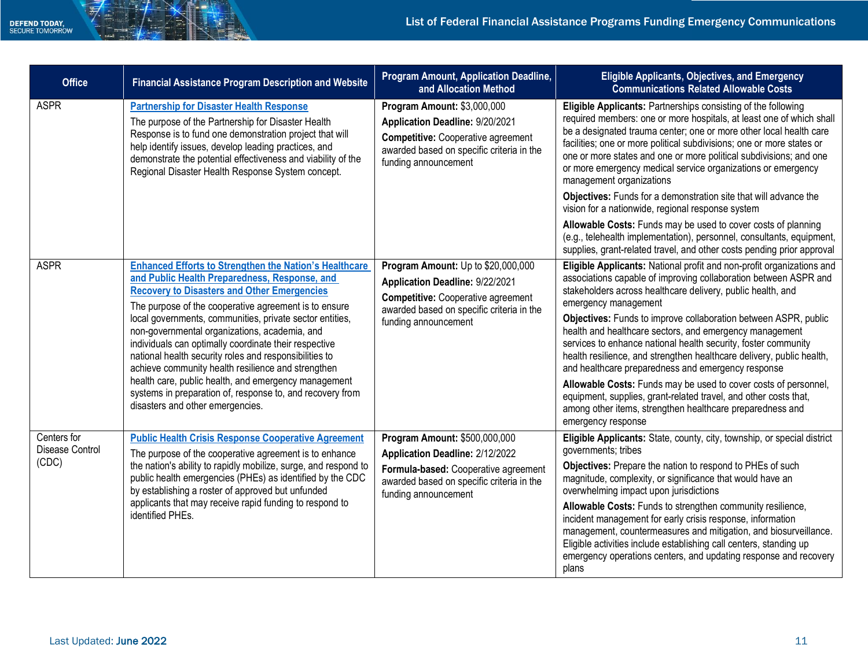| <b>Office</b>                           | <b>Financial Assistance Program Description and Website</b>                                                                                                                                                                                                                                                                                                                                                                                                                                                                                                                                                                              | Program Amount, Application Deadline,<br>and Allocation Method                                                                                                                          | <b>Eligible Applicants, Objectives, and Emergency</b><br><b>Communications Related Allowable Costs</b>                                                                                                                                                                                                                                                                                                                                                                                                                                                                                                                                                                                                 |
|-----------------------------------------|------------------------------------------------------------------------------------------------------------------------------------------------------------------------------------------------------------------------------------------------------------------------------------------------------------------------------------------------------------------------------------------------------------------------------------------------------------------------------------------------------------------------------------------------------------------------------------------------------------------------------------------|-----------------------------------------------------------------------------------------------------------------------------------------------------------------------------------------|--------------------------------------------------------------------------------------------------------------------------------------------------------------------------------------------------------------------------------------------------------------------------------------------------------------------------------------------------------------------------------------------------------------------------------------------------------------------------------------------------------------------------------------------------------------------------------------------------------------------------------------------------------------------------------------------------------|
| <b>ASPR</b>                             | <b>Partnership for Disaster Health Response</b><br>The purpose of the Partnership for Disaster Health<br>Response is to fund one demonstration project that will<br>help identify issues, develop leading practices, and<br>demonstrate the potential effectiveness and viability of the<br>Regional Disaster Health Response System concept.                                                                                                                                                                                                                                                                                            | Program Amount: \$3,000,000<br>Application Deadline: 9/20/2021<br><b>Competitive:</b> Cooperative agreement<br>awarded based on specific criteria in the<br>funding announcement        | Eligible Applicants: Partnerships consisting of the following<br>required members: one or more hospitals, at least one of which shall<br>be a designated trauma center; one or more other local health care<br>facilities; one or more political subdivisions; one or more states or<br>one or more states and one or more political subdivisions; and one<br>or more emergency medical service organizations or emergency<br>management organizations<br>Objectives: Funds for a demonstration site that will advance the                                                                                                                                                                             |
|                                         |                                                                                                                                                                                                                                                                                                                                                                                                                                                                                                                                                                                                                                          |                                                                                                                                                                                         | vision for a nationwide, regional response system<br>Allowable Costs: Funds may be used to cover costs of planning<br>(e.g., telehealth implementation), personnel, consultants, equipment,<br>supplies, grant-related travel, and other costs pending prior approval                                                                                                                                                                                                                                                                                                                                                                                                                                  |
| <b>ASPR</b>                             | <b>Enhanced Efforts to Strengthen the Nation's Healthcare</b><br>and Public Health Preparedness, Response, and<br><b>Recovery to Disasters and Other Emergencies</b><br>The purpose of the cooperative agreement is to ensure<br>local governments, communities, private sector entities,<br>non-governmental organizations, academia, and<br>individuals can optimally coordinate their respective<br>national health security roles and responsibilities to<br>achieve community health resilience and strengthen<br>health care, public health, and emergency management<br>systems in preparation of, response to, and recovery from | Program Amount: Up to \$20,000,000<br>Application Deadline: 9/22/2021<br><b>Competitive:</b> Cooperative agreement<br>awarded based on specific criteria in the<br>funding announcement | Eligible Applicants: National profit and non-profit organizations and<br>associations capable of improving collaboration between ASPR and<br>stakeholders across healthcare delivery, public health, and<br>emergency management<br>Objectives: Funds to improve collaboration between ASPR, public<br>health and healthcare sectors, and emergency management<br>services to enhance national health security, foster community<br>health resilience, and strengthen healthcare delivery, public health,<br>and healthcare preparedness and emergency response<br>Allowable Costs: Funds may be used to cover costs of personnel,<br>equipment, supplies, grant-related travel, and other costs that, |
|                                         | disasters and other emergencies.                                                                                                                                                                                                                                                                                                                                                                                                                                                                                                                                                                                                         |                                                                                                                                                                                         | among other items, strengthen healthcare preparedness and<br>emergency response                                                                                                                                                                                                                                                                                                                                                                                                                                                                                                                                                                                                                        |
| Centers for<br>Disease Control<br>(CDC) | <b>Public Health Crisis Response Cooperative Agreement</b><br>The purpose of the cooperative agreement is to enhance<br>the nation's ability to rapidly mobilize, surge, and respond to<br>public health emergencies (PHEs) as identified by the CDC<br>by establishing a roster of approved but unfunded<br>applicants that may receive rapid funding to respond to<br>identified PHEs.                                                                                                                                                                                                                                                 | Program Amount: \$500,000,000<br>Application Deadline: 2/12/2022<br>Formula-based: Cooperative agreement<br>awarded based on specific criteria in the<br>funding announcement           | Eligible Applicants: State, county, city, township, or special district<br>governments; tribes<br>Objectives: Prepare the nation to respond to PHEs of such<br>magnitude, complexity, or significance that would have an<br>overwhelming impact upon jurisdictions<br>Allowable Costs: Funds to strengthen community resilience,<br>incident management for early crisis response, information<br>management, countermeasures and mitigation, and biosurveillance.<br>Eligible activities include establishing call centers, standing up<br>emergency operations centers, and updating response and recovery<br>plans                                                                                  |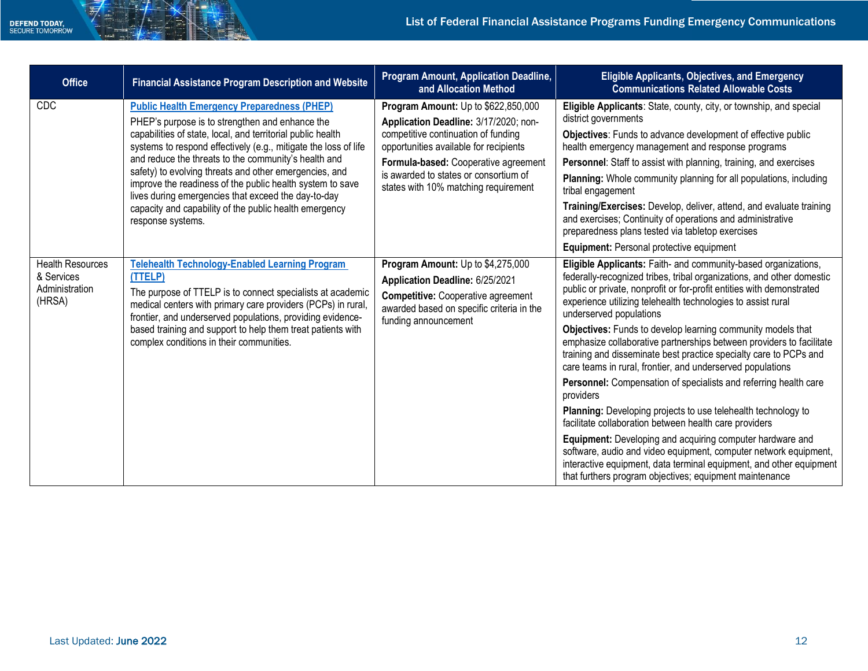| <b>Office</b>                                                     | <b>Financial Assistance Program Description and Website</b>                                                                                                                                                                                                                                                                                                                                                                                                                                                                                                  | Program Amount, Application Deadline,<br>and Allocation Method                                                                                                                                                                                                                                | <b>Eligible Applicants, Objectives, and Emergency</b><br><b>Communications Related Allowable Costs</b>                                                                                                                                                                                                                                                                                                                                                                                                                                                                                                                                                                                                                                                                                                                                                                                                                                                                                                                                                               |
|-------------------------------------------------------------------|--------------------------------------------------------------------------------------------------------------------------------------------------------------------------------------------------------------------------------------------------------------------------------------------------------------------------------------------------------------------------------------------------------------------------------------------------------------------------------------------------------------------------------------------------------------|-----------------------------------------------------------------------------------------------------------------------------------------------------------------------------------------------------------------------------------------------------------------------------------------------|----------------------------------------------------------------------------------------------------------------------------------------------------------------------------------------------------------------------------------------------------------------------------------------------------------------------------------------------------------------------------------------------------------------------------------------------------------------------------------------------------------------------------------------------------------------------------------------------------------------------------------------------------------------------------------------------------------------------------------------------------------------------------------------------------------------------------------------------------------------------------------------------------------------------------------------------------------------------------------------------------------------------------------------------------------------------|
| CDC                                                               | <b>Public Health Emergency Preparedness (PHEP)</b><br>PHEP's purpose is to strengthen and enhance the<br>capabilities of state, local, and territorial public health<br>systems to respond effectively (e.g., mitigate the loss of life<br>and reduce the threats to the community's health and<br>safety) to evolving threats and other emergencies, and<br>improve the readiness of the public health system to save<br>lives during emergencies that exceed the day-to-day<br>capacity and capability of the public health emergency<br>response systems. | <b>Program Amount:</b> Up to \$622,850,000<br>Application Deadline: 3/17/2020; non-<br>competitive continuation of funding<br>opportunities available for recipients<br>Formula-based: Cooperative agreement<br>is awarded to states or consortium of<br>states with 10% matching requirement | Eligible Applicants: State, county, city, or township, and special<br>district governments<br>Objectives: Funds to advance development of effective public<br>health emergency management and response programs<br>Personnel: Staff to assist with planning, training, and exercises<br><b>Planning:</b> Whole community planning for all populations, including<br>tribal engagement<br>Training/Exercises: Develop, deliver, attend, and evaluate training<br>and exercises; Continuity of operations and administrative<br>preparedness plans tested via tabletop exercises<br>Equipment: Personal protective equipment                                                                                                                                                                                                                                                                                                                                                                                                                                           |
| <b>Health Resources</b><br>& Services<br>Administration<br>(HRSA) | <b>Telehealth Technology-Enabled Learning Program</b><br>(TTELP)<br>The purpose of TTELP is to connect specialists at academic<br>medical centers with primary care providers (PCPs) in rural,<br>frontier, and underserved populations, providing evidence-<br>based training and support to help them treat patients with<br>complex conditions in their communities.                                                                                                                                                                                      | Program Amount: Up to \$4,275,000<br>Application Deadline: 6/25/2021<br><b>Competitive:</b> Cooperative agreement<br>awarded based on specific criteria in the<br>funding announcement                                                                                                        | Eligible Applicants: Faith- and community-based organizations,<br>federally-recognized tribes, tribal organizations, and other domestic<br>public or private, nonprofit or for-profit entities with demonstrated<br>experience utilizing telehealth technologies to assist rural<br>underserved populations<br>Objectives: Funds to develop learning community models that<br>emphasize collaborative partnerships between providers to facilitate<br>training and disseminate best practice specialty care to PCPs and<br>care teams in rural, frontier, and underserved populations<br>Personnel: Compensation of specialists and referring health care<br>providers<br>Planning: Developing projects to use telehealth technology to<br>facilitate collaboration between health care providers<br>Equipment: Developing and acquiring computer hardware and<br>software, audio and video equipment, computer network equipment,<br>interactive equipment, data terminal equipment, and other equipment<br>that furthers program objectives; equipment maintenance |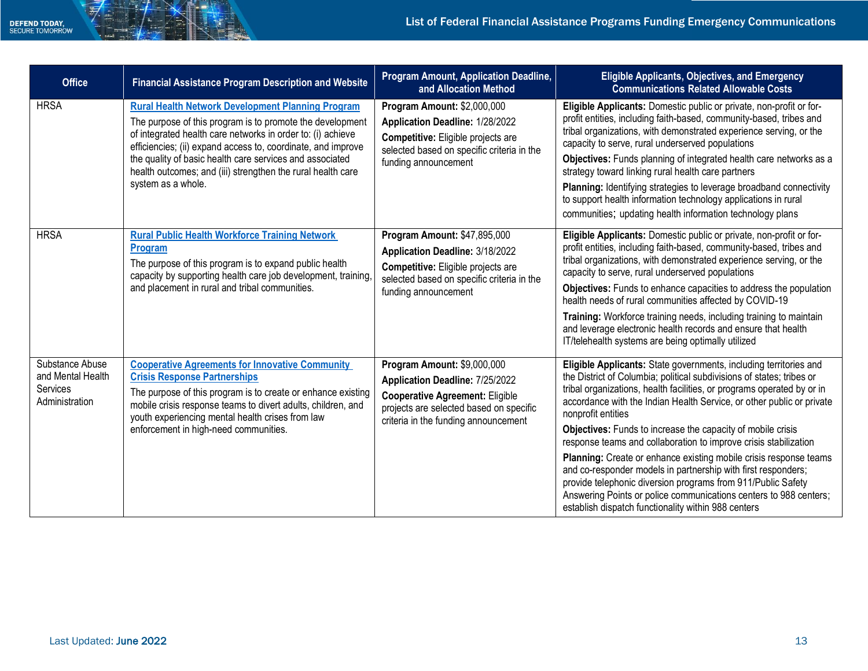| <b>Office</b>                                                      | <b>Financial Assistance Program Description and Website</b>                                                                                                                                                                                                                                                                                                                                           | <b>Program Amount, Application Deadline,</b><br>and Allocation Method                                                                                                                       | <b>Eligible Applicants, Objectives, and Emergency</b><br><b>Communications Related Allowable Costs</b>                                                                                                                                                                                                                                                                                                                                                                                                                                                                                                                                                                                                                                                                                   |
|--------------------------------------------------------------------|-------------------------------------------------------------------------------------------------------------------------------------------------------------------------------------------------------------------------------------------------------------------------------------------------------------------------------------------------------------------------------------------------------|---------------------------------------------------------------------------------------------------------------------------------------------------------------------------------------------|------------------------------------------------------------------------------------------------------------------------------------------------------------------------------------------------------------------------------------------------------------------------------------------------------------------------------------------------------------------------------------------------------------------------------------------------------------------------------------------------------------------------------------------------------------------------------------------------------------------------------------------------------------------------------------------------------------------------------------------------------------------------------------------|
| <b>HRSA</b>                                                        | <b>Rural Health Network Development Planning Program</b><br>The purpose of this program is to promote the development<br>of integrated health care networks in order to: (i) achieve<br>efficiencies; (ii) expand access to, coordinate, and improve<br>the quality of basic health care services and associated<br>health outcomes; and (iii) strengthen the rural health care<br>system as a whole. | Program Amount: \$2,000,000<br>Application Deadline: 1/28/2022<br>Competitive: Eligible projects are<br>selected based on specific criteria in the<br>funding announcement                  | Eligible Applicants: Domestic public or private, non-profit or for-<br>profit entities, including faith-based, community-based, tribes and<br>tribal organizations, with demonstrated experience serving, or the<br>capacity to serve, rural underserved populations<br>Objectives: Funds planning of integrated health care networks as a<br>strategy toward linking rural health care partners<br>Planning: Identifying strategies to leverage broadband connectivity<br>to support health information technology applications in rural<br>communities; updating health information technology plans                                                                                                                                                                                   |
| <b>HRSA</b>                                                        | <b>Rural Public Health Workforce Training Network</b><br><b>Program</b><br>The purpose of this program is to expand public health<br>capacity by supporting health care job development, training,<br>and placement in rural and tribal communities.                                                                                                                                                  | Program Amount: \$47,895,000<br>Application Deadline: 3/18/2022<br>Competitive: Eligible projects are<br>selected based on specific criteria in the<br>funding announcement                 | Eligible Applicants: Domestic public or private, non-profit or for-<br>profit entities, including faith-based, community-based, tribes and<br>tribal organizations, with demonstrated experience serving, or the<br>capacity to serve, rural underserved populations<br>Objectives: Funds to enhance capacities to address the population<br>health needs of rural communities affected by COVID-19<br>Training: Workforce training needs, including training to maintain<br>and leverage electronic health records and ensure that health<br>IT/telehealth systems are being optimally utilized                                                                                                                                                                                         |
| Substance Abuse<br>and Mental Health<br>Services<br>Administration | <b>Cooperative Agreements for Innovative Community</b><br><b>Crisis Response Partnerships</b><br>The purpose of this program is to create or enhance existing<br>mobile crisis response teams to divert adults, children, and<br>youth experiencing mental health crises from law<br>enforcement in high-need communities.                                                                            | Program Amount: \$9,000,000<br>Application Deadline: 7/25/2022<br><b>Cooperative Agreement: Eligible</b><br>projects are selected based on specific<br>criteria in the funding announcement | Eligible Applicants: State governments, including territories and<br>the District of Columbia; political subdivisions of states; tribes or<br>tribal organizations, health facilities, or programs operated by or in<br>accordance with the Indian Health Service, or other public or private<br>nonprofit entities<br>Objectives: Funds to increase the capacity of mobile crisis<br>response teams and collaboration to improve crisis stabilization<br>Planning: Create or enhance existing mobile crisis response teams<br>and co-responder models in partnership with first responders;<br>provide telephonic diversion programs from 911/Public Safety<br>Answering Points or police communications centers to 988 centers;<br>establish dispatch functionality within 988 centers |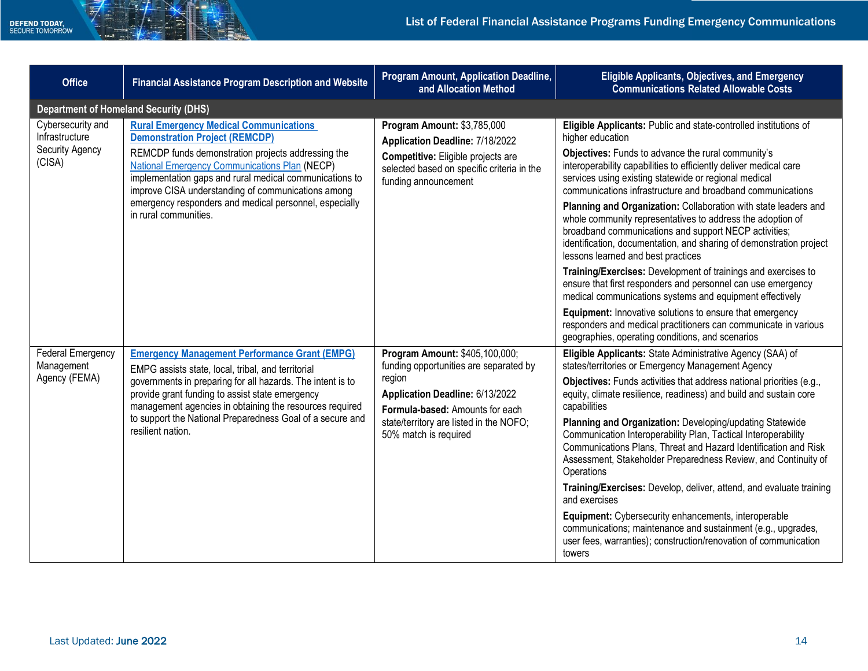| <b>Office</b>                                                    | <b>Financial Assistance Program Description and Website</b>                                                                                                                                                                                                                                                                                                                                              | Program Amount, Application Deadline,<br>and Allocation Method                                                                                                                                                               | <b>Eligible Applicants, Objectives, and Emergency</b><br><b>Communications Related Allowable Costs</b>                                                                                                                                                                                                                                                                                                                                                                                                                                                                                                                                                                                                                                                                                                                                                     |
|------------------------------------------------------------------|----------------------------------------------------------------------------------------------------------------------------------------------------------------------------------------------------------------------------------------------------------------------------------------------------------------------------------------------------------------------------------------------------------|------------------------------------------------------------------------------------------------------------------------------------------------------------------------------------------------------------------------------|------------------------------------------------------------------------------------------------------------------------------------------------------------------------------------------------------------------------------------------------------------------------------------------------------------------------------------------------------------------------------------------------------------------------------------------------------------------------------------------------------------------------------------------------------------------------------------------------------------------------------------------------------------------------------------------------------------------------------------------------------------------------------------------------------------------------------------------------------------|
| <b>Department of Homeland Security (DHS)</b>                     |                                                                                                                                                                                                                                                                                                                                                                                                          |                                                                                                                                                                                                                              |                                                                                                                                                                                                                                                                                                                                                                                                                                                                                                                                                                                                                                                                                                                                                                                                                                                            |
| Cybersecurity and<br>Infrastructure<br>Security Agency<br>(CISA) | <b>Rural Emergency Medical Communications</b><br><b>Demonstration Project (REMCDP)</b><br>REMCDP funds demonstration projects addressing the<br><b>National Emergency Communications Plan (NECP)</b><br>implementation gaps and rural medical communications to<br>improve CISA understanding of communications among<br>emergency responders and medical personnel, especially<br>in rural communities. | Program Amount: \$3,785,000<br>Application Deadline: 7/18/2022<br>Competitive: Eligible projects are<br>selected based on specific criteria in the<br>funding announcement                                                   | Eligible Applicants: Public and state-controlled institutions of<br>higher education<br>Objectives: Funds to advance the rural community's<br>interoperability capabilities to efficiently deliver medical care<br>services using existing statewide or regional medical<br>communications infrastructure and broadband communications<br>Planning and Organization: Collaboration with state leaders and<br>whole community representatives to address the adoption of<br>broadband communications and support NECP activities;<br>identification, documentation, and sharing of demonstration project<br>lessons learned and best practices<br>Training/Exercises: Development of trainings and exercises to<br>ensure that first responders and personnel can use emergency<br>medical communications systems and equipment effectively                 |
|                                                                  |                                                                                                                                                                                                                                                                                                                                                                                                          |                                                                                                                                                                                                                              | Equipment: Innovative solutions to ensure that emergency<br>responders and medical practitioners can communicate in various<br>geographies, operating conditions, and scenarios                                                                                                                                                                                                                                                                                                                                                                                                                                                                                                                                                                                                                                                                            |
| <b>Federal Emergency</b><br>Management<br>Agency (FEMA)          | <b>Emergency Management Performance Grant (EMPG)</b><br>EMPG assists state, local, tribal, and territorial<br>governments in preparing for all hazards. The intent is to<br>provide grant funding to assist state emergency<br>management agencies in obtaining the resources required<br>to support the National Preparedness Goal of a secure and<br>resilient nation.                                 | Program Amount: \$405,100,000;<br>funding opportunities are separated by<br>region<br>Application Deadline: 6/13/2022<br>Formula-based: Amounts for each<br>state/territory are listed in the NOFO;<br>50% match is required | Eligible Applicants: State Administrative Agency (SAA) of<br>states/territories or Emergency Management Agency<br>Objectives: Funds activities that address national priorities (e.g.,<br>equity, climate resilience, readiness) and build and sustain core<br>capabilities<br>Planning and Organization: Developing/updating Statewide<br>Communication Interoperability Plan, Tactical Interoperability<br>Communications Plans, Threat and Hazard Identification and Risk<br>Assessment, Stakeholder Preparedness Review, and Continuity of<br>Operations<br>Training/Exercises: Develop, deliver, attend, and evaluate training<br>and exercises<br>Equipment: Cybersecurity enhancements, interoperable<br>communications; maintenance and sustainment (e.g., upgrades,<br>user fees, warranties); construction/renovation of communication<br>towers |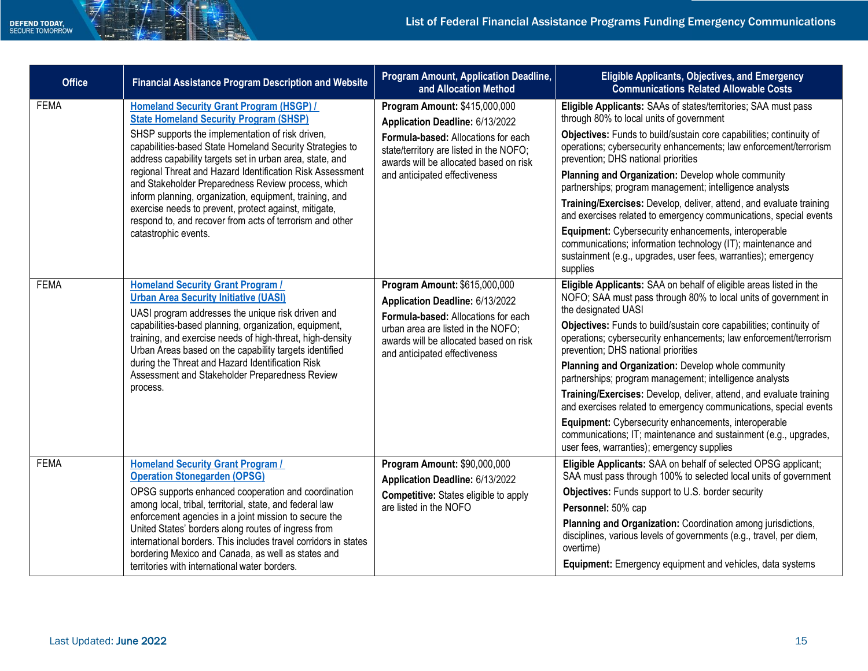| <b>Office</b>              | <b>Financial Assistance Program Description and Website</b>                                                                                                                                                                                                                                                                                                                                                                                                                                                                                                                                                                                                                                                                                                                                                       | Program Amount, Application Deadline,<br>and Allocation Method                                                                                                                                                                                                                                                                                                                 | <b>Eligible Applicants, Objectives, and Emergency</b><br><b>Communications Related Allowable Costs</b>                                                                                                                                                                                                                                                                                                                                                                                                                                                                                                                                                                                                                                                                                                                                                                                                                                                                                                  |
|----------------------------|-------------------------------------------------------------------------------------------------------------------------------------------------------------------------------------------------------------------------------------------------------------------------------------------------------------------------------------------------------------------------------------------------------------------------------------------------------------------------------------------------------------------------------------------------------------------------------------------------------------------------------------------------------------------------------------------------------------------------------------------------------------------------------------------------------------------|--------------------------------------------------------------------------------------------------------------------------------------------------------------------------------------------------------------------------------------------------------------------------------------------------------------------------------------------------------------------------------|---------------------------------------------------------------------------------------------------------------------------------------------------------------------------------------------------------------------------------------------------------------------------------------------------------------------------------------------------------------------------------------------------------------------------------------------------------------------------------------------------------------------------------------------------------------------------------------------------------------------------------------------------------------------------------------------------------------------------------------------------------------------------------------------------------------------------------------------------------------------------------------------------------------------------------------------------------------------------------------------------------|
| <b>FEMA</b><br><b>FEMA</b> | <b>Homeland Security Grant Program (HSGP) /</b><br><b>State Homeland Security Program (SHSP)</b><br>SHSP supports the implementation of risk driven,<br>capabilities-based State Homeland Security Strategies to<br>address capability targets set in urban area, state, and<br>regional Threat and Hazard Identification Risk Assessment<br>and Stakeholder Preparedness Review process, which<br>inform planning, organization, equipment, training, and<br>exercise needs to prevent, protect against, mitigate,<br>respond to, and recover from acts of terrorism and other<br>catastrophic events.<br><b>Homeland Security Grant Program /</b><br><b>Urban Area Security Initiative (UASI)</b><br>UASI program addresses the unique risk driven and<br>capabilities-based planning, organization, equipment, | Program Amount: \$415,000,000<br>Application Deadline: 6/13/2022<br>Formula-based: Allocations for each<br>state/territory are listed in the NOFO;<br>awards will be allocated based on risk<br>and anticipated effectiveness<br>Program Amount: \$615,000,000<br>Application Deadline: 6/13/2022<br>Formula-based: Allocations for each<br>urban area are listed in the NOFO; | Eligible Applicants: SAAs of states/territories; SAA must pass<br>through 80% to local units of government<br>Objectives: Funds to build/sustain core capabilities; continuity of<br>operations; cybersecurity enhancements; law enforcement/terrorism<br>prevention; DHS national priorities<br>Planning and Organization: Develop whole community<br>partnerships; program management; intelligence analysts<br>Training/Exercises: Develop, deliver, attend, and evaluate training<br>and exercises related to emergency communications, special events<br>Equipment: Cybersecurity enhancements, interoperable<br>communications; information technology (IT); maintenance and<br>sustainment (e.g., upgrades, user fees, warranties); emergency<br>supplies<br>Eligible Applicants: SAA on behalf of eligible areas listed in the<br>NOFO; SAA must pass through 80% to local units of government in<br>the designated UASI<br>Objectives: Funds to build/sustain core capabilities; continuity of |
|                            | training, and exercise needs of high-threat, high-density<br>Urban Areas based on the capability targets identified<br>during the Threat and Hazard Identification Risk<br>Assessment and Stakeholder Preparedness Review<br>process.                                                                                                                                                                                                                                                                                                                                                                                                                                                                                                                                                                             | awards will be allocated based on risk<br>and anticipated effectiveness                                                                                                                                                                                                                                                                                                        | operations; cybersecurity enhancements; law enforcement/terrorism<br>prevention; DHS national priorities<br>Planning and Organization: Develop whole community<br>partnerships; program management; intelligence analysts<br>Training/Exercises: Develop, deliver, attend, and evaluate training<br>and exercises related to emergency communications, special events<br>Equipment: Cybersecurity enhancements, interoperable<br>communications; IT; maintenance and sustainment (e.g., upgrades,<br>user fees, warranties); emergency supplies                                                                                                                                                                                                                                                                                                                                                                                                                                                         |
| <b>FEMA</b>                | <b>Homeland Security Grant Program /</b><br><b>Operation Stonegarden (OPSG)</b><br>OPSG supports enhanced cooperation and coordination<br>among local, tribal, territorial, state, and federal law<br>enforcement agencies in a joint mission to secure the<br>United States' borders along routes of ingress from<br>international borders. This includes travel corridors in states<br>bordering Mexico and Canada, as well as states and<br>territories with international water borders.                                                                                                                                                                                                                                                                                                                      | Program Amount: \$90,000,000<br>Application Deadline: 6/13/2022<br><b>Competitive:</b> States eligible to apply<br>are listed in the NOFO                                                                                                                                                                                                                                      | Eligible Applicants: SAA on behalf of selected OPSG applicant;<br>SAA must pass through 100% to selected local units of government<br>Objectives: Funds support to U.S. border security<br>Personnel: 50% cap<br>Planning and Organization: Coordination among jurisdictions,<br>disciplines, various levels of governments (e.g., travel, per diem,<br>overtime)<br>Equipment: Emergency equipment and vehicles, data systems                                                                                                                                                                                                                                                                                                                                                                                                                                                                                                                                                                          |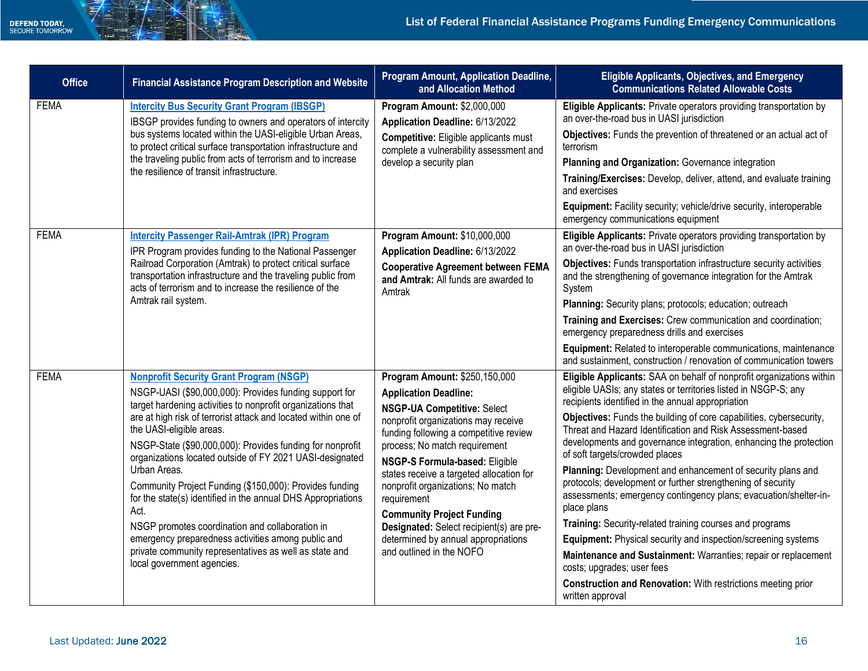| <b>Office</b> | <b>Financial Assistance Program Description and Website</b>                                                                                                                                                                                                                                                                                                                                                                                                                                                                                                                                                                                                                                                                                        | <b>Program Amount, Application Deadline,</b><br>and Allocation Method                                                                                                                                                                                                                                                                                                                                                                                                                                      | <b>Eligible Applicants, Objectives, and Emergency</b><br><b>Communications Related Allowable Costs</b>                                                                                                                                                                                                                                                                                                                                                                                                                                                                                                                                                                                                                                                                                                                                                                                                                                                                            |
|---------------|----------------------------------------------------------------------------------------------------------------------------------------------------------------------------------------------------------------------------------------------------------------------------------------------------------------------------------------------------------------------------------------------------------------------------------------------------------------------------------------------------------------------------------------------------------------------------------------------------------------------------------------------------------------------------------------------------------------------------------------------------|------------------------------------------------------------------------------------------------------------------------------------------------------------------------------------------------------------------------------------------------------------------------------------------------------------------------------------------------------------------------------------------------------------------------------------------------------------------------------------------------------------|-----------------------------------------------------------------------------------------------------------------------------------------------------------------------------------------------------------------------------------------------------------------------------------------------------------------------------------------------------------------------------------------------------------------------------------------------------------------------------------------------------------------------------------------------------------------------------------------------------------------------------------------------------------------------------------------------------------------------------------------------------------------------------------------------------------------------------------------------------------------------------------------------------------------------------------------------------------------------------------|
| <b>FEMA</b>   | <b>Intercity Bus Security Grant Program (IBSGP)</b><br>IBSGP provides funding to owners and operators of intercity<br>bus systems located within the UASI-eligible Urban Areas,<br>to protect critical surface transportation infrastructure and<br>the traveling public from acts of terrorism and to increase<br>the resilience of transit infrastructure.                                                                                                                                                                                                                                                                                                                                                                                       | Program Amount: \$2,000,000<br>Application Deadline: 6/13/2022<br><b>Competitive:</b> Eligible applicants must<br>complete a vulnerability assessment and<br>develop a security plan                                                                                                                                                                                                                                                                                                                       | Eligible Applicants: Private operators providing transportation by<br>an over-the-road bus in UASI jurisdiction<br>Objectives: Funds the prevention of threatened or an actual act of<br>terrorism<br>Planning and Organization: Governance integration<br>Training/Exercises: Develop, deliver, attend, and evaluate training<br>and exercises<br>Equipment: Facility security; vehicle/drive security, interoperable<br>emergency communications equipment                                                                                                                                                                                                                                                                                                                                                                                                                                                                                                                      |
| <b>FEMA</b>   | <b>Intercity Passenger Rail-Amtrak (IPR) Program</b><br>IPR Program provides funding to the National Passenger<br>Railroad Corporation (Amtrak) to protect critical surface<br>transportation infrastructure and the traveling public from<br>acts of terrorism and to increase the resilience of the<br>Amtrak rail system.                                                                                                                                                                                                                                                                                                                                                                                                                       | Program Amount: \$10,000,000<br>Application Deadline: 6/13/2022<br><b>Cooperative Agreement between FEMA</b><br>and Amtrak: All funds are awarded to<br>Amtrak                                                                                                                                                                                                                                                                                                                                             | Eligible Applicants: Private operators providing transportation by<br>an over-the-road bus in UASI jurisdiction<br>Objectives: Funds transportation infrastructure security activities<br>and the strengthening of governance integration for the Amtrak<br>System<br>Planning: Security plans; protocols; education; outreach<br>Training and Exercises: Crew communication and coordination;<br>emergency preparedness drills and exercises<br>Equipment: Related to interoperable communications, maintenance<br>and sustainment, construction / renovation of communication towers                                                                                                                                                                                                                                                                                                                                                                                            |
| FEMA          | <b>Nonprofit Security Grant Program (NSGP)</b><br>NSGP-UASI (\$90,000,000): Provides funding support for<br>target hardening activities to nonprofit organizations that<br>are at high risk of terrorist attack and located within one of<br>the UASI-eligible areas.<br>NSGP-State (\$90,000,000): Provides funding for nonprofit<br>organizations located outside of FY 2021 UASI-designated<br>Urban Areas.<br>Community Project Funding (\$150,000): Provides funding<br>for the state(s) identified in the annual DHS Appropriations<br>Act.<br>NSGP promotes coordination and collaboration in<br>emergency preparedness activities among public and<br>private community representatives as well as state and<br>local government agencies. | Program Amount: \$250,150,000<br><b>Application Deadline:</b><br><b>NSGP-UA Competitive: Select</b><br>nonprofit organizations may receive<br>funding following a competitive review<br>process; No match requirement<br>NSGP-S Formula-based: Eligible<br>states receive a targeted allocation for<br>nonprofit organizations; No match<br>requirement<br><b>Community Project Funding</b><br>Designated: Select recipient(s) are pre-<br>determined by annual appropriations<br>and outlined in the NOFO | Eligible Applicants: SAA on behalf of nonprofit organizations within<br>eligible UASIs; any states or territories listed in NSGP-S; any<br>recipients identified in the annual appropriation<br>Objectives: Funds the building of core capabilities, cybersecurity,<br>Threat and Hazard Identification and Risk Assessment-based<br>developments and governance integration, enhancing the protection<br>of soft targets/crowded places<br>Planning: Development and enhancement of security plans and<br>protocols; development or further strengthening of security<br>assessments; emergency contingency plans; evacuation/shelter-in-<br>place plans<br>Training: Security-related training courses and programs<br>Equipment: Physical security and inspection/screening systems<br>Maintenance and Sustainment: Warranties; repair or replacement<br>costs; upgrades; user fees<br><b>Construction and Renovation:</b> With restrictions meeting prior<br>written approval |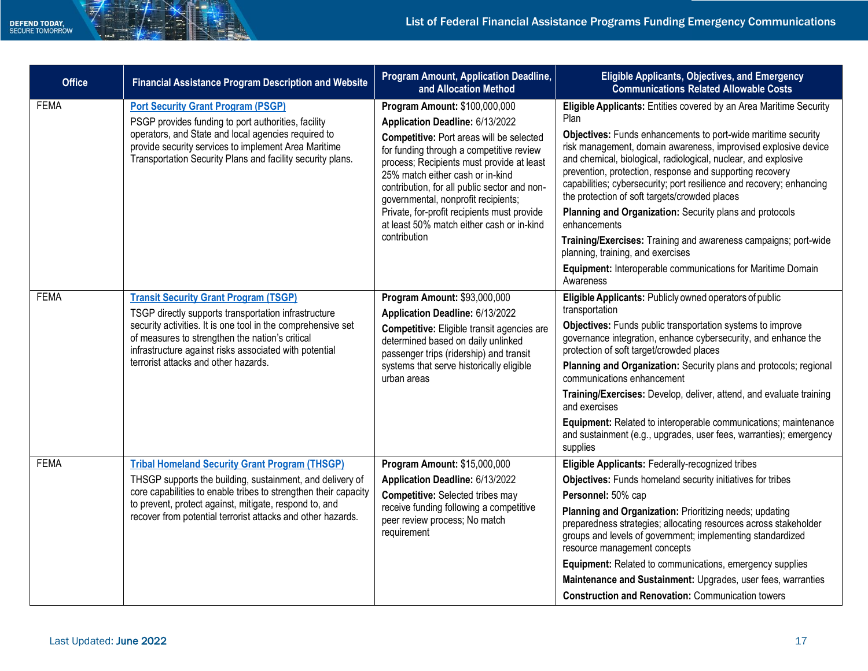| <b>Office</b> | <b>Financial Assistance Program Description and Website</b>                                                                                                                                                                                                                                                               | <b>Program Amount, Application Deadline,</b><br>and Allocation Method                                                                                                                                                                                                                                                                                                                                                                        | <b>Eligible Applicants, Objectives, and Emergency</b><br><b>Communications Related Allowable Costs</b>                                                                                                                                                                                                                                                                                                                                                                                                                                                                                                                                                                                                                              |
|---------------|---------------------------------------------------------------------------------------------------------------------------------------------------------------------------------------------------------------------------------------------------------------------------------------------------------------------------|----------------------------------------------------------------------------------------------------------------------------------------------------------------------------------------------------------------------------------------------------------------------------------------------------------------------------------------------------------------------------------------------------------------------------------------------|-------------------------------------------------------------------------------------------------------------------------------------------------------------------------------------------------------------------------------------------------------------------------------------------------------------------------------------------------------------------------------------------------------------------------------------------------------------------------------------------------------------------------------------------------------------------------------------------------------------------------------------------------------------------------------------------------------------------------------------|
| <b>FEMA</b>   | <b>Port Security Grant Program (PSGP)</b><br>PSGP provides funding to port authorities, facility<br>operators, and State and local agencies required to<br>provide security services to implement Area Maritime<br>Transportation Security Plans and facility security plans.                                             | Program Amount: \$100,000,000<br>Application Deadline: 6/13/2022<br>Competitive: Port areas will be selected<br>for funding through a competitive review<br>process; Recipients must provide at least<br>25% match either cash or in-kind<br>contribution, for all public sector and non-<br>governmental, nonprofit recipients;<br>Private, for-profit recipients must provide<br>at least 50% match either cash or in-kind<br>contribution | Eligible Applicants: Entities covered by an Area Maritime Security<br>Plan<br>Objectives: Funds enhancements to port-wide maritime security<br>risk management, domain awareness, improvised explosive device<br>and chemical, biological, radiological, nuclear, and explosive<br>prevention, protection, response and supporting recovery<br>capabilities; cybersecurity; port resilience and recovery; enhancing<br>the protection of soft targets/crowded places<br>Planning and Organization: Security plans and protocols<br>enhancements<br>Training/Exercises: Training and awareness campaigns; port-wide<br>planning, training, and exercises<br>Equipment: Interoperable communications for Maritime Domain<br>Awareness |
| <b>FEMA</b>   | <b>Transit Security Grant Program (TSGP)</b><br>TSGP directly supports transportation infrastructure<br>security activities. It is one tool in the comprehensive set<br>of measures to strengthen the nation's critical<br>infrastructure against risks associated with potential<br>terrorist attacks and other hazards. | Program Amount: \$93,000,000<br>Application Deadline: 6/13/2022<br>Competitive: Eligible transit agencies are<br>determined based on daily unlinked<br>passenger trips (ridership) and transit<br>systems that serve historically eligible<br>urban areas                                                                                                                                                                                    | Eligible Applicants: Publicly owned operators of public<br>transportation<br>Objectives: Funds public transportation systems to improve<br>governance integration, enhance cybersecurity, and enhance the<br>protection of soft target/crowded places<br>Planning and Organization: Security plans and protocols; regional<br>communications enhancement<br>Training/Exercises: Develop, deliver, attend, and evaluate training<br>and exercises<br>Equipment: Related to interoperable communications; maintenance<br>and sustainment (e.g., upgrades, user fees, warranties); emergency<br>supplies                                                                                                                               |
| <b>FEMA</b>   | <b>Tribal Homeland Security Grant Program (THSGP)</b><br>THSGP supports the building, sustainment, and delivery of<br>core capabilities to enable tribes to strengthen their capacity<br>to prevent, protect against, mitigate, respond to, and<br>recover from potential terrorist attacks and other hazards.            | Program Amount: \$15,000,000<br>Application Deadline: 6/13/2022<br><b>Competitive:</b> Selected tribes may<br>receive funding following a competitive<br>peer review process; No match<br>requirement                                                                                                                                                                                                                                        | Eligible Applicants: Federally-recognized tribes<br>Objectives: Funds homeland security initiatives for tribes<br>Personnel: 50% cap<br>Planning and Organization: Prioritizing needs; updating<br>preparedness strategies; allocating resources across stakeholder<br>groups and levels of government; implementing standardized<br>resource management concepts<br>Equipment: Related to communications, emergency supplies<br>Maintenance and Sustainment: Upgrades, user fees, warranties<br><b>Construction and Renovation: Communication towers</b>                                                                                                                                                                           |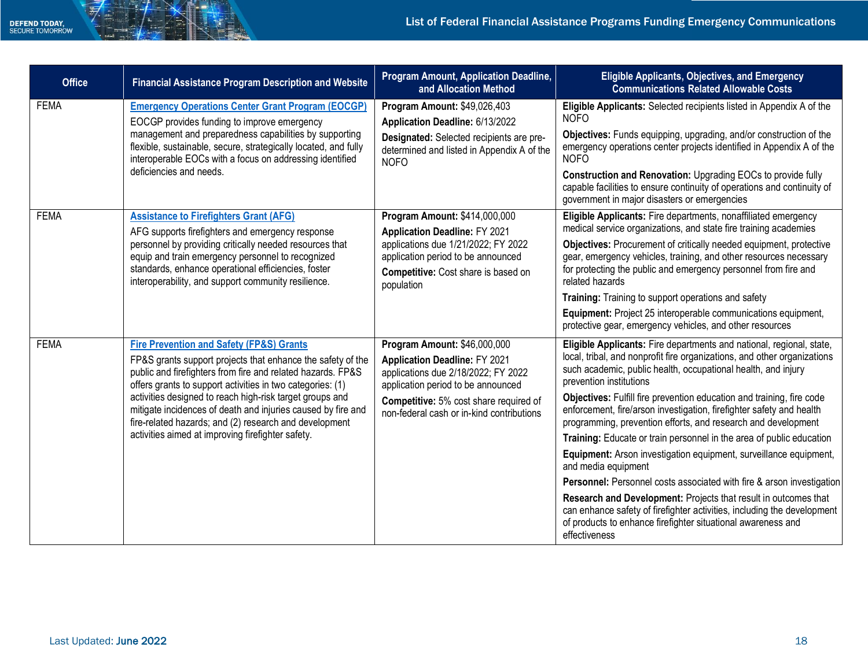| <b>Office</b> | <b>Financial Assistance Program Description and Website</b>                                                                                                                                                                                                                                                                                                                                                                                                                                | <b>Program Amount, Application Deadline,</b><br>and Allocation Method                                                                                                                                                                    | <b>Eligible Applicants, Objectives, and Emergency</b><br><b>Communications Related Allowable Costs</b>                                                                                                                                                                                                                                                                                                                                                                                                                                                                                                                                                                                                                                                                                                                                                                                                                                     |
|---------------|--------------------------------------------------------------------------------------------------------------------------------------------------------------------------------------------------------------------------------------------------------------------------------------------------------------------------------------------------------------------------------------------------------------------------------------------------------------------------------------------|------------------------------------------------------------------------------------------------------------------------------------------------------------------------------------------------------------------------------------------|--------------------------------------------------------------------------------------------------------------------------------------------------------------------------------------------------------------------------------------------------------------------------------------------------------------------------------------------------------------------------------------------------------------------------------------------------------------------------------------------------------------------------------------------------------------------------------------------------------------------------------------------------------------------------------------------------------------------------------------------------------------------------------------------------------------------------------------------------------------------------------------------------------------------------------------------|
| <b>FEMA</b>   | <b>Emergency Operations Center Grant Program (EOCGP)</b><br>EOCGP provides funding to improve emergency<br>management and preparedness capabilities by supporting<br>flexible, sustainable, secure, strategically located, and fully<br>interoperable EOCs with a focus on addressing identified<br>deficiencies and needs.                                                                                                                                                                | Program Amount: \$49,026,403<br>Application Deadline: 6/13/2022<br>Designated: Selected recipients are pre-<br>determined and listed in Appendix A of the<br><b>NOFO</b>                                                                 | Eligible Applicants: Selected recipients listed in Appendix A of the<br><b>NOFO</b><br>Objectives: Funds equipping, upgrading, and/or construction of the<br>emergency operations center projects identified in Appendix A of the<br><b>NOFO</b><br>Construction and Renovation: Upgrading EOCs to provide fully<br>capable facilities to ensure continuity of operations and continuity of<br>government in major disasters or emergencies                                                                                                                                                                                                                                                                                                                                                                                                                                                                                                |
| <b>FEMA</b>   | <b>Assistance to Firefighters Grant (AFG)</b><br>AFG supports firefighters and emergency response<br>personnel by providing critically needed resources that<br>equip and train emergency personnel to recognized<br>standards, enhance operational efficiencies, foster<br>interoperability, and support community resilience.                                                                                                                                                            | Program Amount: \$414,000,000<br><b>Application Deadline: FY 2021</b><br>applications due 1/21/2022; FY 2022<br>application period to be announced<br>Competitive: Cost share is based on<br>population                                  | Eligible Applicants: Fire departments, nonaffiliated emergency<br>medical service organizations, and state fire training academies<br>Objectives: Procurement of critically needed equipment, protective<br>gear, emergency vehicles, training, and other resources necessary<br>for protecting the public and emergency personnel from fire and<br>related hazards<br>Training: Training to support operations and safety<br>Equipment: Project 25 interoperable communications equipment,<br>protective gear, emergency vehicles, and other resources                                                                                                                                                                                                                                                                                                                                                                                    |
| <b>FEMA</b>   | <b>Fire Prevention and Safety (FP&amp;S) Grants</b><br>FP&S grants support projects that enhance the safety of the<br>public and firefighters from fire and related hazards. FP&S<br>offers grants to support activities in two categories: (1)<br>activities designed to reach high-risk target groups and<br>mitigate incidences of death and injuries caused by fire and<br>fire-related hazards; and (2) research and development<br>activities aimed at improving firefighter safety. | Program Amount: \$46,000,000<br><b>Application Deadline: FY 2021</b><br>applications due 2/18/2022; FY 2022<br>application period to be announced<br>Competitive: 5% cost share required of<br>non-federal cash or in-kind contributions | Eligible Applicants: Fire departments and national, regional, state,<br>local, tribal, and nonprofit fire organizations, and other organizations<br>such academic, public health, occupational health, and injury<br>prevention institutions<br>Objectives: Fulfill fire prevention education and training, fire code<br>enforcement, fire/arson investigation, firefighter safety and health<br>programming, prevention efforts, and research and development<br>Training: Educate or train personnel in the area of public education<br>Equipment: Arson investigation equipment, surveillance equipment,<br>and media equipment<br>Personnel: Personnel costs associated with fire & arson investigation<br>Research and Development: Projects that result in outcomes that<br>can enhance safety of firefighter activities, including the development<br>of products to enhance firefighter situational awareness and<br>effectiveness |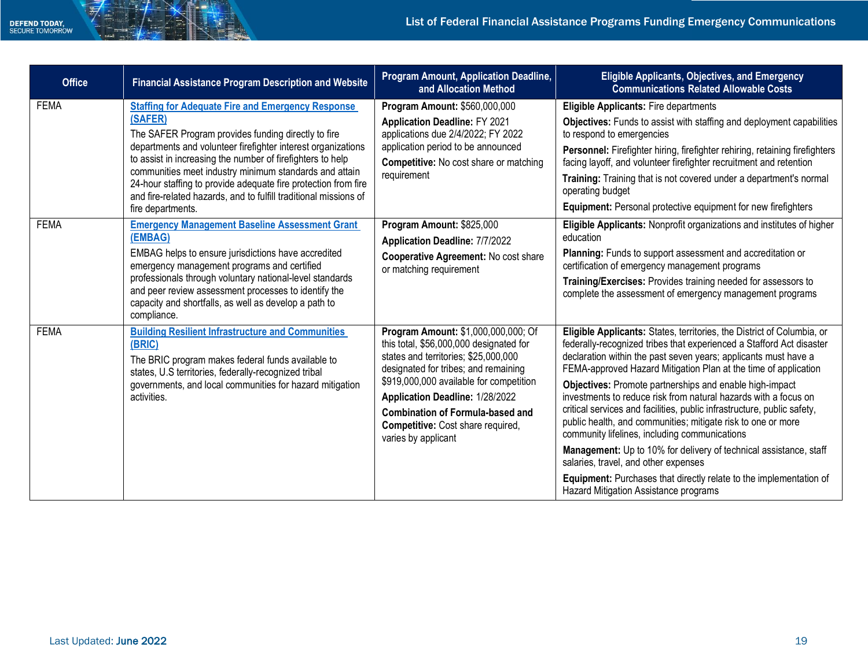| <b>Office</b> | <b>Financial Assistance Program Description and Website</b>                                                                                                                                                                                                                                                                                                                                                                                                                   | <b>Program Amount, Application Deadline,</b><br>and Allocation Method                                                                                                                                                                                                                                                                                      | <b>Eligible Applicants, Objectives, and Emergency</b><br><b>Communications Related Allowable Costs</b>                                                                                                                                                                                                                                                                                                                                                                                                                                                                                                                                                                                                                                                                                                                                     |
|---------------|-------------------------------------------------------------------------------------------------------------------------------------------------------------------------------------------------------------------------------------------------------------------------------------------------------------------------------------------------------------------------------------------------------------------------------------------------------------------------------|------------------------------------------------------------------------------------------------------------------------------------------------------------------------------------------------------------------------------------------------------------------------------------------------------------------------------------------------------------|--------------------------------------------------------------------------------------------------------------------------------------------------------------------------------------------------------------------------------------------------------------------------------------------------------------------------------------------------------------------------------------------------------------------------------------------------------------------------------------------------------------------------------------------------------------------------------------------------------------------------------------------------------------------------------------------------------------------------------------------------------------------------------------------------------------------------------------------|
| <b>FEMA</b>   | <b>Staffing for Adequate Fire and Emergency Response</b><br>(SAFER)<br>The SAFER Program provides funding directly to fire<br>departments and volunteer firefighter interest organizations<br>to assist in increasing the number of firefighters to help<br>communities meet industry minimum standards and attain<br>24-hour staffing to provide adequate fire protection from fire<br>and fire-related hazards, and to fulfill traditional missions of<br>fire departments. | Program Amount: \$560,000,000<br><b>Application Deadline: FY 2021</b><br>applications due 2/4/2022; FY 2022<br>application period to be announced<br><b>Competitive:</b> No cost share or matching<br>requirement                                                                                                                                          | <b>Eligible Applicants: Fire departments</b><br>Objectives: Funds to assist with staffing and deployment capabilities<br>to respond to emergencies<br>Personnel: Firefighter hiring, firefighter rehiring, retaining firefighters<br>facing layoff, and volunteer firefighter recruitment and retention<br>Training: Training that is not covered under a department's normal<br>operating budget<br>Equipment: Personal protective equipment for new firefighters                                                                                                                                                                                                                                                                                                                                                                         |
| <b>FEMA</b>   | <b>Emergency Management Baseline Assessment Grant</b><br>(EMBAG)<br>EMBAG helps to ensure jurisdictions have accredited<br>emergency management programs and certified<br>professionals through voluntary national-level standards<br>and peer review assessment processes to identify the<br>capacity and shortfalls, as well as develop a path to<br>compliance.                                                                                                            | Program Amount: \$825,000<br><b>Application Deadline: 7/7/2022</b><br>Cooperative Agreement: No cost share<br>or matching requirement                                                                                                                                                                                                                      | Eligible Applicants: Nonprofit organizations and institutes of higher<br>education<br>Planning: Funds to support assessment and accreditation or<br>certification of emergency management programs<br>Training/Exercises: Provides training needed for assessors to<br>complete the assessment of emergency management programs                                                                                                                                                                                                                                                                                                                                                                                                                                                                                                            |
| <b>FEMA</b>   | <b>Building Resilient Infrastructure and Communities</b><br>(BRIC)<br>The BRIC program makes federal funds available to<br>states, U.S territories, federally-recognized tribal<br>governments, and local communities for hazard mitigation<br>activities.                                                                                                                                                                                                                    | Program Amount: \$1,000,000,000; Of<br>this total, \$56,000,000 designated for<br>states and territories; \$25,000,000<br>designated for tribes; and remaining<br>\$919,000,000 available for competition<br>Application Deadline: 1/28/2022<br><b>Combination of Formula-based and</b><br><b>Competitive:</b> Cost share required,<br>varies by applicant | Eligible Applicants: States, territories, the District of Columbia, or<br>federally-recognized tribes that experienced a Stafford Act disaster<br>declaration within the past seven years; applicants must have a<br>FEMA-approved Hazard Mitigation Plan at the time of application<br>Objectives: Promote partnerships and enable high-impact<br>investments to reduce risk from natural hazards with a focus on<br>critical services and facilities, public infrastructure, public safety,<br>public health, and communities; mitigate risk to one or more<br>community lifelines, including communications<br>Management: Up to 10% for delivery of technical assistance, staff<br>salaries, travel, and other expenses<br>Equipment: Purchases that directly relate to the implementation of<br>Hazard Mitigation Assistance programs |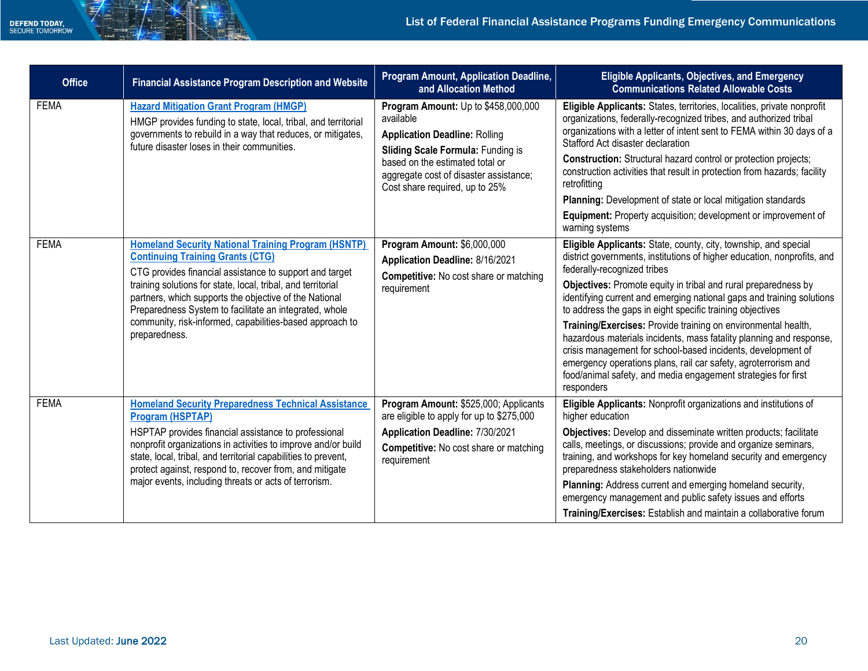| <b>Office</b> | <b>Financial Assistance Program Description and Website</b>                                                                                                                                                                                                                                                                                                                                                                       | <b>Program Amount, Application Deadline,</b><br>and Allocation Method                                                                                                                                                                               | <b>Eligible Applicants, Objectives, and Emergency</b><br><b>Communications Related Allowable Costs</b>                                                                                                                                                                                                                                                                                                                                                                                                                                                                                                                                                                                                                                     |
|---------------|-----------------------------------------------------------------------------------------------------------------------------------------------------------------------------------------------------------------------------------------------------------------------------------------------------------------------------------------------------------------------------------------------------------------------------------|-----------------------------------------------------------------------------------------------------------------------------------------------------------------------------------------------------------------------------------------------------|--------------------------------------------------------------------------------------------------------------------------------------------------------------------------------------------------------------------------------------------------------------------------------------------------------------------------------------------------------------------------------------------------------------------------------------------------------------------------------------------------------------------------------------------------------------------------------------------------------------------------------------------------------------------------------------------------------------------------------------------|
| <b>FEMA</b>   | <b>Hazard Mitigation Grant Program (HMGP)</b><br>HMGP provides funding to state, local, tribal, and territorial<br>governments to rebuild in a way that reduces, or mitigates,<br>future disaster loses in their communities.                                                                                                                                                                                                     | <b>Program Amount:</b> Up to \$458,000,000<br>available<br><b>Application Deadline: Rolling</b><br>Sliding Scale Formula: Funding is<br>based on the estimated total or<br>aggregate cost of disaster assistance;<br>Cost share required, up to 25% | Eligible Applicants: States, territories, localities, private nonprofit<br>organizations, federally-recognized tribes, and authorized tribal<br>organizations with a letter of intent sent to FEMA within 30 days of a<br>Stafford Act disaster declaration<br><b>Construction:</b> Structural hazard control or protection projects;<br>construction activities that result in protection from hazards; facility<br>retrofitting<br>Planning: Development of state or local mitigation standards<br>Equipment: Property acquisition; development or improvement of<br>warning systems                                                                                                                                                     |
| <b>FEMA</b>   | <b>Homeland Security National Training Program (HSNTP)</b><br><b>Continuing Training Grants (CTG)</b><br>CTG provides financial assistance to support and target<br>training solutions for state, local, tribal, and territorial<br>partners, which supports the objective of the National<br>Preparedness System to facilitate an integrated, whole<br>community, risk-informed, capabilities-based approach to<br>preparedness. | Program Amount: \$6,000,000<br>Application Deadline: 8/16/2021<br><b>Competitive:</b> No cost share or matching<br>requirement                                                                                                                      | Eligible Applicants: State, county, city, township, and special<br>district governments, institutions of higher education, nonprofits, and<br>federally-recognized tribes<br>Objectives: Promote equity in tribal and rural preparedness by<br>identifying current and emerging national gaps and training solutions<br>to address the gaps in eight specific training objectives<br>Training/Exercises: Provide training on environmental health,<br>hazardous materials incidents, mass fatality planning and response,<br>crisis management for school-based incidents, development of<br>emergency operations plans, rail car safety, agroterrorism and<br>food/animal safety, and media engagement strategies for first<br>responders |
| <b>FEMA</b>   | <b>Homeland Security Preparedness Technical Assistance</b><br><b>Program (HSPTAP)</b><br>HSPTAP provides financial assistance to professional<br>nonprofit organizations in activities to improve and/or build<br>state, local, tribal, and territorial capabilities to prevent,<br>protect against, respond to, recover from, and mitigate<br>major events, including threats or acts of terrorism.                              | Program Amount: \$525,000; Applicants<br>are eligible to apply for up to \$275,000<br>Application Deadline: 7/30/2021<br><b>Competitive:</b> No cost share or matching<br>requirement                                                               | Eligible Applicants: Nonprofit organizations and institutions of<br>higher education<br>Objectives: Develop and disseminate written products; facilitate<br>calls, meetings, or discussions; provide and organize seminars,<br>training, and workshops for key homeland security and emergency<br>preparedness stakeholders nationwide<br>Planning: Address current and emerging homeland security,<br>emergency management and public safety issues and efforts<br>Training/Exercises: Establish and maintain a collaborative forum                                                                                                                                                                                                       |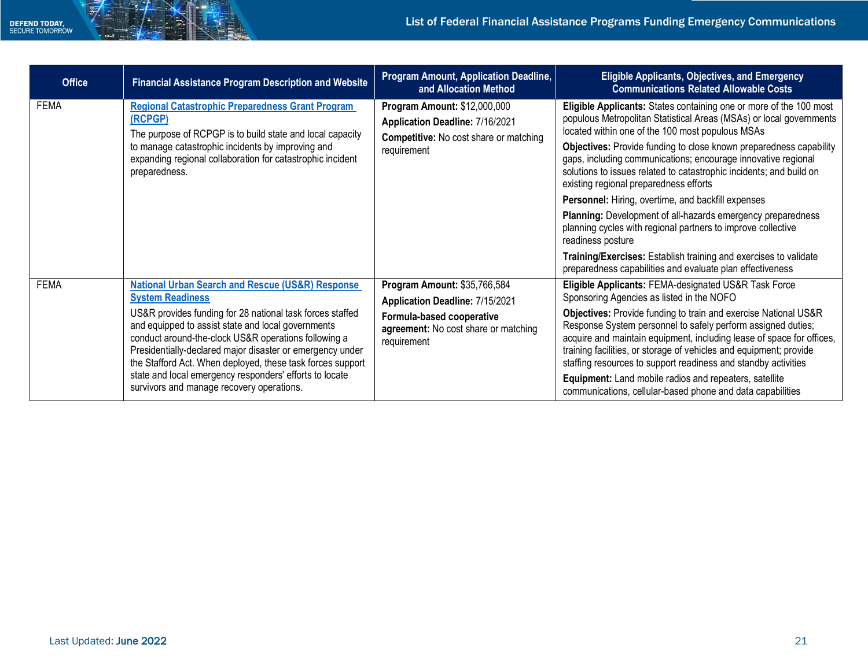| <b>Office</b> | <b>Financial Assistance Program Description and Website</b>                                                                                                                                                                                                                                                                                                                                                                                                                                          | <b>Program Amount, Application Deadline,</b><br>and Allocation Method                                                                               | <b>Eligible Applicants, Objectives, and Emergency</b><br><b>Communications Related Allowable Costs</b>                                                                                                                                                                                                                                                                                                                                                                                                                                                                                                                                                                                                                                     |
|---------------|------------------------------------------------------------------------------------------------------------------------------------------------------------------------------------------------------------------------------------------------------------------------------------------------------------------------------------------------------------------------------------------------------------------------------------------------------------------------------------------------------|-----------------------------------------------------------------------------------------------------------------------------------------------------|--------------------------------------------------------------------------------------------------------------------------------------------------------------------------------------------------------------------------------------------------------------------------------------------------------------------------------------------------------------------------------------------------------------------------------------------------------------------------------------------------------------------------------------------------------------------------------------------------------------------------------------------------------------------------------------------------------------------------------------------|
| <b>FEMA</b>   | <b>Regional Catastrophic Preparedness Grant Program</b><br>(RCPGP)<br>The purpose of RCPGP is to build state and local capacity<br>to manage catastrophic incidents by improving and<br>expanding regional collaboration for catastrophic incident<br>preparedness.                                                                                                                                                                                                                                  | <b>Program Amount: \$12,000,000</b><br>Application Deadline: 7/16/2021<br><b>Competitive:</b> No cost share or matching<br>requirement              | <b>Eligible Applicants:</b> States containing one or more of the 100 most<br>populous Metropolitan Statistical Areas (MSAs) or local governments<br>located within one of the 100 most populous MSAs<br>Objectives: Provide funding to close known preparedness capability<br>gaps, including communications; encourage innovative regional<br>solutions to issues related to catastrophic incidents; and build on<br>existing regional preparedness efforts<br>Personnel: Hiring, overtime, and backfill expenses<br>Planning: Development of all-hazards emergency preparedness<br>planning cycles with regional partners to improve collective<br>readiness posture<br>Training/Exercises: Establish training and exercises to validate |
| <b>FEMA</b>   | <b>National Urban Search and Rescue (US&amp;R) Response</b><br><b>System Readiness</b><br>US&R provides funding for 28 national task forces staffed<br>and equipped to assist state and local governments<br>conduct around-the-clock US&R operations following a<br>Presidentially-declared major disaster or emergency under<br>the Stafford Act. When deployed, these task forces support<br>state and local emergency responders' efforts to locate<br>survivors and manage recovery operations. | Program Amount: \$35,766,584<br>Application Deadline: 7/15/2021<br>Formula-based cooperative<br>agreement: No cost share or matching<br>requirement | preparedness capabilities and evaluate plan effectiveness<br>Eligible Applicants: FEMA-designated US&R Task Force<br>Sponsoring Agencies as listed in the NOFO<br>Objectives: Provide funding to train and exercise National US&R<br>Response System personnel to safely perform assigned duties;<br>acquire and maintain equipment, including lease of space for offices,<br>training facilities, or storage of vehicles and equipment; provide<br>staffing resources to support readiness and standby activities<br>Equipment: Land mobile radios and repeaters, satellite<br>communications, cellular-based phone and data capabilities                                                                                                 |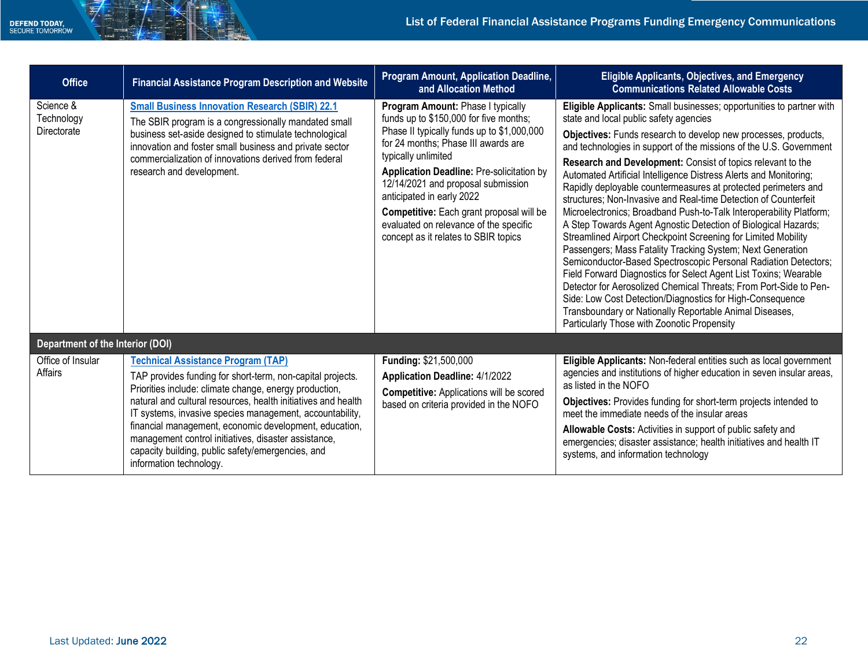| <b>Office</b>                          | <b>Financial Assistance Program Description and Website</b>                                                                                                                                                                                                                                                                                                                                                                                                                                      | Program Amount, Application Deadline,<br>and Allocation Method                                                                                                                                                                                                                                                                                                                                                                                      | <b>Eligible Applicants, Objectives, and Emergency</b><br><b>Communications Related Allowable Costs</b>                                                                                                                                                                                                                                                                                                                                                                                                                                                                                                                                                                                                                                                                                                                                                                                                                                                                                                                                                                                                                                                                                     |
|----------------------------------------|--------------------------------------------------------------------------------------------------------------------------------------------------------------------------------------------------------------------------------------------------------------------------------------------------------------------------------------------------------------------------------------------------------------------------------------------------------------------------------------------------|-----------------------------------------------------------------------------------------------------------------------------------------------------------------------------------------------------------------------------------------------------------------------------------------------------------------------------------------------------------------------------------------------------------------------------------------------------|--------------------------------------------------------------------------------------------------------------------------------------------------------------------------------------------------------------------------------------------------------------------------------------------------------------------------------------------------------------------------------------------------------------------------------------------------------------------------------------------------------------------------------------------------------------------------------------------------------------------------------------------------------------------------------------------------------------------------------------------------------------------------------------------------------------------------------------------------------------------------------------------------------------------------------------------------------------------------------------------------------------------------------------------------------------------------------------------------------------------------------------------------------------------------------------------|
| Science &<br>Technology<br>Directorate | <b>Small Business Innovation Research (SBIR) 22.1</b><br>The SBIR program is a congressionally mandated small<br>business set-aside designed to stimulate technological<br>innovation and foster small business and private sector<br>commercialization of innovations derived from federal<br>research and development.                                                                                                                                                                         | Program Amount: Phase I typically<br>funds up to \$150,000 for five months;<br>Phase II typically funds up to \$1,000,000<br>for 24 months; Phase III awards are<br>typically unlimited<br><b>Application Deadline: Pre-solicitation by</b><br>12/14/2021 and proposal submission<br>anticipated in early 2022<br><b>Competitive:</b> Each grant proposal will be<br>evaluated on relevance of the specific<br>concept as it relates to SBIR topics | Eligible Applicants: Small businesses; opportunities to partner with<br>state and local public safety agencies<br>Objectives: Funds research to develop new processes, products,<br>and technologies in support of the missions of the U.S. Government<br>Research and Development: Consist of topics relevant to the<br>Automated Artificial Intelligence Distress Alerts and Monitoring;<br>Rapidly deployable countermeasures at protected perimeters and<br>structures; Non-Invasive and Real-time Detection of Counterfeit<br>Microelectronics; Broadband Push-to-Talk Interoperability Platform;<br>A Step Towards Agent Agnostic Detection of Biological Hazards;<br>Streamlined Airport Checkpoint Screening for Limited Mobility<br>Passengers; Mass Fatality Tracking System; Next Generation<br>Semiconductor-Based Spectroscopic Personal Radiation Detectors;<br>Field Forward Diagnostics for Select Agent List Toxins; Wearable<br>Detector for Aerosolized Chemical Threats; From Port-Side to Pen-<br>Side: Low Cost Detection/Diagnostics for High-Consequence<br>Transboundary or Nationally Reportable Animal Diseases,<br>Particularly Those with Zoonotic Propensity |
| Department of the Interior (DOI)       |                                                                                                                                                                                                                                                                                                                                                                                                                                                                                                  |                                                                                                                                                                                                                                                                                                                                                                                                                                                     |                                                                                                                                                                                                                                                                                                                                                                                                                                                                                                                                                                                                                                                                                                                                                                                                                                                                                                                                                                                                                                                                                                                                                                                            |
| Office of Insular<br><b>Affairs</b>    | <b>Technical Assistance Program (TAP)</b><br>TAP provides funding for short-term, non-capital projects.<br>Priorities include: climate change, energy production,<br>natural and cultural resources, health initiatives and health<br>IT systems, invasive species management, accountability,<br>financial management, economic development, education,<br>management control initiatives, disaster assistance,<br>capacity building, public safety/emergencies, and<br>information technology. | <b>Funding: \$21,500,000</b><br><b>Application Deadline: 4/1/2022</b><br><b>Competitive:</b> Applications will be scored<br>based on criteria provided in the NOFO                                                                                                                                                                                                                                                                                  | Eligible Applicants: Non-federal entities such as local government<br>agencies and institutions of higher education in seven insular areas,<br>as listed in the NOFO<br>Objectives: Provides funding for short-term projects intended to<br>meet the immediate needs of the insular areas<br>Allowable Costs: Activities in support of public safety and<br>emergencies; disaster assistance; health initiatives and health IT<br>systems, and information technology                                                                                                                                                                                                                                                                                                                                                                                                                                                                                                                                                                                                                                                                                                                      |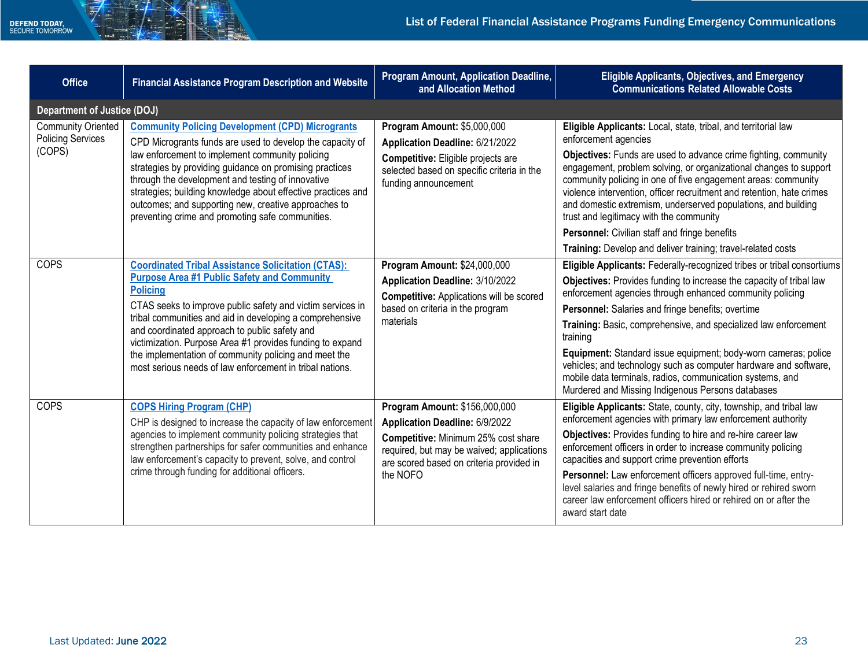| <b>Office</b>                                                   | <b>Financial Assistance Program Description and Website</b>                                                                                                                                                                                                                                                                                                                                                                                                                                     | Program Amount, Application Deadline,<br>and Allocation Method                                                                                                                                              | <b>Eligible Applicants, Objectives, and Emergency</b><br><b>Communications Related Allowable Costs</b>                                                                                                                                                                                                                                                                                                                                                                                                                                                                                                       |
|-----------------------------------------------------------------|-------------------------------------------------------------------------------------------------------------------------------------------------------------------------------------------------------------------------------------------------------------------------------------------------------------------------------------------------------------------------------------------------------------------------------------------------------------------------------------------------|-------------------------------------------------------------------------------------------------------------------------------------------------------------------------------------------------------------|--------------------------------------------------------------------------------------------------------------------------------------------------------------------------------------------------------------------------------------------------------------------------------------------------------------------------------------------------------------------------------------------------------------------------------------------------------------------------------------------------------------------------------------------------------------------------------------------------------------|
| <b>Department of Justice (DOJ)</b>                              |                                                                                                                                                                                                                                                                                                                                                                                                                                                                                                 |                                                                                                                                                                                                             |                                                                                                                                                                                                                                                                                                                                                                                                                                                                                                                                                                                                              |
| <b>Community Oriented</b><br><b>Policing Services</b><br>(COPS) | <b>Community Policing Development (CPD) Microgrants</b><br>CPD Microgrants funds are used to develop the capacity of<br>law enforcement to implement community policing<br>strategies by providing guidance on promising practices<br>through the development and testing of innovative<br>strategies; building knowledge about effective practices and<br>outcomes; and supporting new, creative approaches to<br>preventing crime and promoting safe communities.                             | Program Amount: \$5,000,000<br>Application Deadline: 6/21/2022<br>Competitive: Eligible projects are<br>selected based on specific criteria in the<br>funding announcement                                  | Eligible Applicants: Local, state, tribal, and territorial law<br>enforcement agencies<br><b>Objectives:</b> Funds are used to advance crime fighting, community<br>engagement, problem solving, or organizational changes to support<br>community policing in one of five engagement areas: community<br>violence intervention, officer recruitment and retention, hate crimes<br>and domestic extremism, underserved populations, and building<br>trust and legitimacy with the community<br>Personnel: Civilian staff and fringe benefits<br>Training: Develop and deliver training; travel-related costs |
| <b>COPS</b>                                                     | <b>Coordinated Tribal Assistance Solicitation (CTAS):</b><br><b>Purpose Area #1 Public Safety and Community</b><br><b>Policing</b><br>CTAS seeks to improve public safety and victim services in<br>tribal communities and aid in developing a comprehensive<br>and coordinated approach to public safety and<br>victimization. Purpose Area #1 provides funding to expand<br>the implementation of community policing and meet the<br>most serious needs of law enforcement in tribal nations. | Program Amount: \$24,000,000<br>Application Deadline: 3/10/2022<br><b>Competitive:</b> Applications will be scored<br>based on criteria in the program<br>materials                                         | Eligible Applicants: Federally-recognized tribes or tribal consortiums<br>Objectives: Provides funding to increase the capacity of tribal law<br>enforcement agencies through enhanced community policing<br>Personnel: Salaries and fringe benefits; overtime<br>Training: Basic, comprehensive, and specialized law enforcement<br>training<br>Equipment: Standard issue equipment; body-worn cameras; police<br>vehicles; and technology such as computer hardware and software,<br>mobile data terminals, radios, communication systems, and<br>Murdered and Missing Indigenous Persons databases        |
| <b>COPS</b>                                                     | <b>COPS Hiring Program (CHP)</b><br>CHP is designed to increase the capacity of law enforcement<br>agencies to implement community policing strategies that<br>strengthen partnerships for safer communities and enhance<br>law enforcement's capacity to prevent, solve, and control<br>crime through funding for additional officers.                                                                                                                                                         | Program Amount: \$156,000,000<br>Application Deadline: 6/9/2022<br>Competitive: Minimum 25% cost share<br>required, but may be waived; applications<br>are scored based on criteria provided in<br>the NOFO | Eligible Applicants: State, county, city, township, and tribal law<br>enforcement agencies with primary law enforcement authority<br>Objectives: Provides funding to hire and re-hire career law<br>enforcement officers in order to increase community policing<br>capacities and support crime prevention efforts<br>Personnel: Law enforcement officers approved full-time, entry-<br>level salaries and fringe benefits of newly hired or rehired sworn<br>career law enforcement officers hired or rehired on or after the<br>award start date                                                          |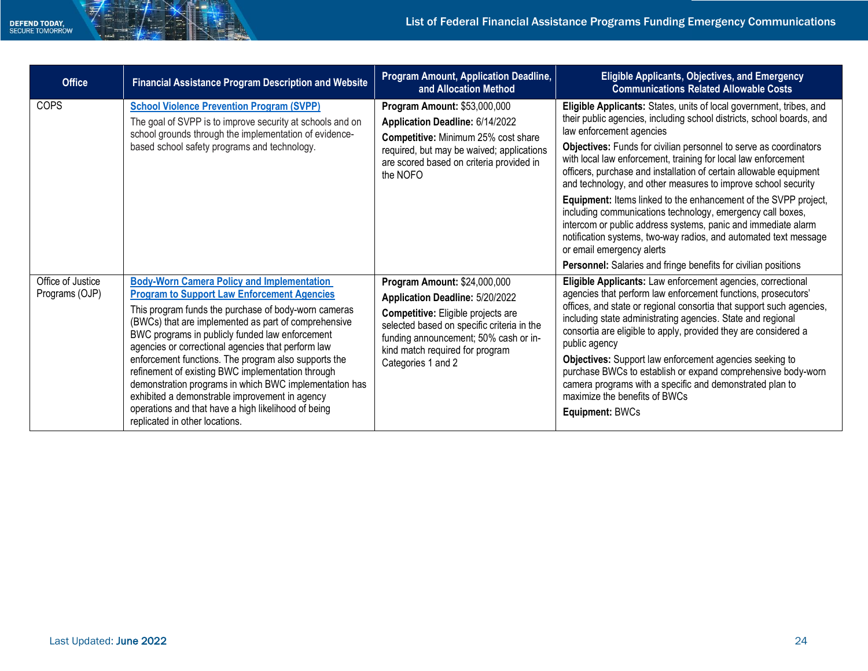| <b>Office</b>                       | <b>Financial Assistance Program Description and Website</b>                                                                                                                                                                                                                                                                                                                                                                                                                                                                                                                                                                                        | Program Amount, Application Deadline,<br>and Allocation Method                                                                                                                                                                                        | <b>Eligible Applicants, Objectives, and Emergency</b><br><b>Communications Related Allowable Costs</b>                                                                                                                                                                                                                                                                                                                                                                                                                                                                                                                                                                                                                                                    |
|-------------------------------------|----------------------------------------------------------------------------------------------------------------------------------------------------------------------------------------------------------------------------------------------------------------------------------------------------------------------------------------------------------------------------------------------------------------------------------------------------------------------------------------------------------------------------------------------------------------------------------------------------------------------------------------------------|-------------------------------------------------------------------------------------------------------------------------------------------------------------------------------------------------------------------------------------------------------|-----------------------------------------------------------------------------------------------------------------------------------------------------------------------------------------------------------------------------------------------------------------------------------------------------------------------------------------------------------------------------------------------------------------------------------------------------------------------------------------------------------------------------------------------------------------------------------------------------------------------------------------------------------------------------------------------------------------------------------------------------------|
| <b>COPS</b>                         | <b>School Violence Prevention Program (SVPP)</b><br>The goal of SVPP is to improve security at schools and on<br>school grounds through the implementation of evidence-<br>based school safety programs and technology.                                                                                                                                                                                                                                                                                                                                                                                                                            | <b>Program Amount: \$53,000,000</b><br>Application Deadline: 6/14/2022<br>Competitive: Minimum 25% cost share<br>required, but may be waived; applications<br>are scored based on criteria provided in<br>the NOFO                                    | Eligible Applicants: States, units of local government, tribes, and<br>their public agencies, including school districts, school boards, and<br>law enforcement agencies<br>Objectives: Funds for civilian personnel to serve as coordinators<br>with local law enforcement, training for local law enforcement<br>officers, purchase and installation of certain allowable equipment<br>and technology, and other measures to improve school security<br>Equipment: Items linked to the enhancement of the SVPP project,<br>including communications technology, emergency call boxes,<br>intercom or public address systems, panic and immediate alarm<br>notification systems, two-way radios, and automated text message<br>or email emergency alerts |
| Office of Justice<br>Programs (OJP) | <b>Body-Worn Camera Policy and Implementation</b><br><b>Program to Support Law Enforcement Agencies</b><br>This program funds the purchase of body-worn cameras<br>(BWCs) that are implemented as part of comprehensive<br>BWC programs in publicly funded law enforcement<br>agencies or correctional agencies that perform law<br>enforcement functions. The program also supports the<br>refinement of existing BWC implementation through<br>demonstration programs in which BWC implementation has<br>exhibited a demonstrable improvement in agency<br>operations and that have a high likelihood of being<br>replicated in other locations. | Program Amount: \$24,000,000<br>Application Deadline: 5/20/2022<br>Competitive: Eligible projects are<br>selected based on specific criteria in the<br>funding announcement; 50% cash or in-<br>kind match required for program<br>Categories 1 and 2 | Personnel: Salaries and fringe benefits for civilian positions<br>Eligible Applicants: Law enforcement agencies, correctional<br>agencies that perform law enforcement functions, prosecutors'<br>offices, and state or regional consortia that support such agencies,<br>including state administrating agencies. State and regional<br>consortia are eligible to apply, provided they are considered a<br>public agency<br>Objectives: Support law enforcement agencies seeking to<br>purchase BWCs to establish or expand comprehensive body-worn<br>camera programs with a specific and demonstrated plan to<br>maximize the benefits of BWCs<br><b>Equipment: BWCs</b>                                                                               |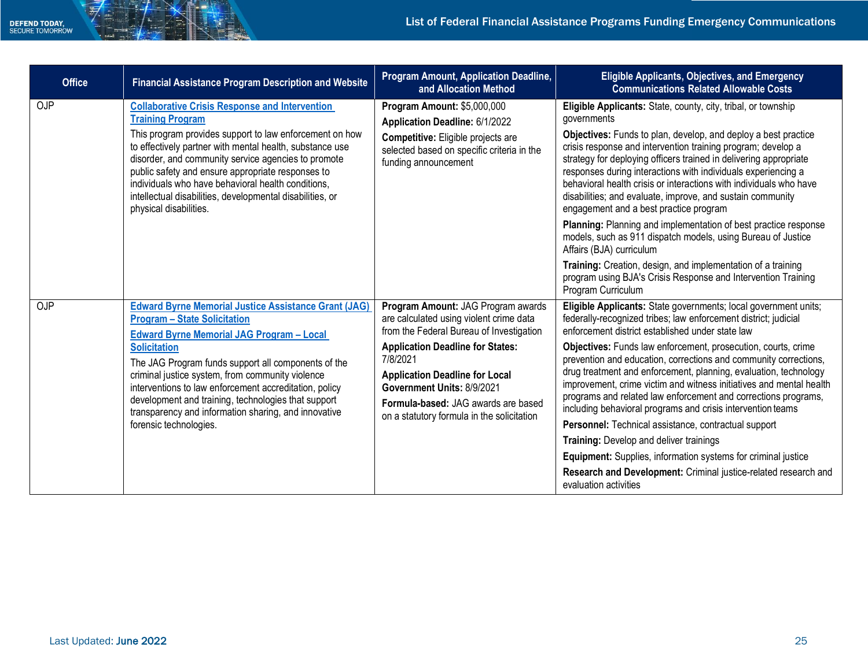| <b>Office</b>                                                                                                                                                                                                                                                                                                                                                                                                                              | <b>Financial Assistance Program Description and Website</b>                                                                                                                                                                                                                                                                                                                                                                                                      | <b>Program Amount, Application Deadline,</b><br>and Allocation Method                                                                                                                                                                                                                                                                                                                                         | <b>Eligible Applicants, Objectives, and Emergency</b><br><b>Communications Related Allowable Costs</b>                                                                                                                                                                                                                                                                                                                                                                                                                                                                                                                                                                                            |
|--------------------------------------------------------------------------------------------------------------------------------------------------------------------------------------------------------------------------------------------------------------------------------------------------------------------------------------------------------------------------------------------------------------------------------------------|------------------------------------------------------------------------------------------------------------------------------------------------------------------------------------------------------------------------------------------------------------------------------------------------------------------------------------------------------------------------------------------------------------------------------------------------------------------|---------------------------------------------------------------------------------------------------------------------------------------------------------------------------------------------------------------------------------------------------------------------------------------------------------------------------------------------------------------------------------------------------------------|---------------------------------------------------------------------------------------------------------------------------------------------------------------------------------------------------------------------------------------------------------------------------------------------------------------------------------------------------------------------------------------------------------------------------------------------------------------------------------------------------------------------------------------------------------------------------------------------------------------------------------------------------------------------------------------------------|
| <b>OJP</b>                                                                                                                                                                                                                                                                                                                                                                                                                                 | <b>Collaborative Crisis Response and Intervention</b><br><b>Training Program</b><br>This program provides support to law enforcement on how<br>to effectively partner with mental health, substance use<br>disorder, and community service agencies to promote<br>public safety and ensure appropriate responses to<br>individuals who have behavioral health conditions,<br>intellectual disabilities, developmental disabilities, or<br>physical disabilities. | Program Amount: \$5,000,000<br><b>Application Deadline: 6/1/2022</b><br>Competitive: Eligible projects are<br>selected based on specific criteria in the<br>funding announcement                                                                                                                                                                                                                              | Eligible Applicants: State, county, city, tribal, or township<br>governments<br>Objectives: Funds to plan, develop, and deploy a best practice<br>crisis response and intervention training program; develop a<br>strategy for deploying officers trained in delivering appropriate<br>responses during interactions with individuals experiencing a<br>behavioral health crisis or interactions with individuals who have<br>disabilities; and evaluate, improve, and sustain community<br>engagement and a best practice program<br>Planning: Planning and implementation of best practice response<br>models, such as 911 dispatch models, using Bureau of Justice<br>Affairs (BJA) curriculum |
|                                                                                                                                                                                                                                                                                                                                                                                                                                            |                                                                                                                                                                                                                                                                                                                                                                                                                                                                  |                                                                                                                                                                                                                                                                                                                                                                                                               | Training: Creation, design, and implementation of a training<br>program using BJA's Crisis Response and Intervention Training<br>Program Curriculum                                                                                                                                                                                                                                                                                                                                                                                                                                                                                                                                               |
| <b>OJP</b><br><b>Program - State Solicitation</b><br><b>Edward Byrne Memorial JAG Program - Local</b><br><b>Solicitation</b><br>The JAG Program funds support all components of the<br>criminal justice system, from community violence<br>interventions to law enforcement accreditation, policy<br>development and training, technologies that support<br>transparency and information sharing, and innovative<br>forensic technologies. | <b>Edward Byrne Memorial Justice Assistance Grant (JAG)</b>                                                                                                                                                                                                                                                                                                                                                                                                      | Program Amount: JAG Program awards<br>are calculated using violent crime data<br>from the Federal Bureau of Investigation                                                                                                                                                                                                                                                                                     | Eligible Applicants: State governments; local government units;<br>federally-recognized tribes; law enforcement district; judicial<br>enforcement district established under state law                                                                                                                                                                                                                                                                                                                                                                                                                                                                                                            |
|                                                                                                                                                                                                                                                                                                                                                                                                                                            | <b>Application Deadline for States:</b><br>7/8/2021<br><b>Application Deadline for Local</b><br>Government Units: 8/9/2021<br>Formula-based: JAG awards are based<br>on a statutory formula in the solicitation                                                                                                                                                                                                                                                  | Objectives: Funds law enforcement, prosecution, courts, crime<br>prevention and education, corrections and community corrections,<br>drug treatment and enforcement, planning, evaluation, technology<br>improvement, crime victim and witness initiatives and mental health<br>programs and related law enforcement and corrections programs,<br>including behavioral programs and crisis intervention teams |                                                                                                                                                                                                                                                                                                                                                                                                                                                                                                                                                                                                                                                                                                   |
|                                                                                                                                                                                                                                                                                                                                                                                                                                            |                                                                                                                                                                                                                                                                                                                                                                                                                                                                  |                                                                                                                                                                                                                                                                                                                                                                                                               | Personnel: Technical assistance, contractual support                                                                                                                                                                                                                                                                                                                                                                                                                                                                                                                                                                                                                                              |
|                                                                                                                                                                                                                                                                                                                                                                                                                                            |                                                                                                                                                                                                                                                                                                                                                                                                                                                                  |                                                                                                                                                                                                                                                                                                                                                                                                               | Training: Develop and deliver trainings                                                                                                                                                                                                                                                                                                                                                                                                                                                                                                                                                                                                                                                           |
|                                                                                                                                                                                                                                                                                                                                                                                                                                            |                                                                                                                                                                                                                                                                                                                                                                                                                                                                  |                                                                                                                                                                                                                                                                                                                                                                                                               | <b>Equipment:</b> Supplies, information systems for criminal justice                                                                                                                                                                                                                                                                                                                                                                                                                                                                                                                                                                                                                              |
|                                                                                                                                                                                                                                                                                                                                                                                                                                            |                                                                                                                                                                                                                                                                                                                                                                                                                                                                  |                                                                                                                                                                                                                                                                                                                                                                                                               | Research and Development: Criminal justice-related research and<br>evaluation activities                                                                                                                                                                                                                                                                                                                                                                                                                                                                                                                                                                                                          |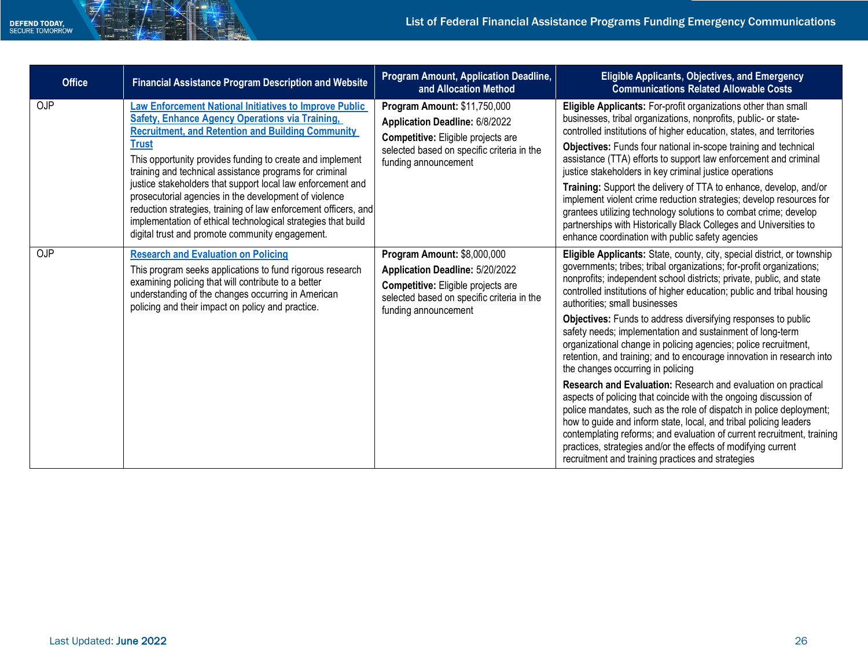| <b>Office</b> | <b>Financial Assistance Program Description and Website</b>                                                                                                                                                                                                                                                 | Program Amount, Application Deadline,<br>and Allocation Method                                                                                                                                                                                                                                              | <b>Eligible Applicants, Objectives, and Emergency</b><br><b>Communications Related Allowable Costs</b>                                                                                                                                                                                                                                                                                                                                                                        |
|---------------|-------------------------------------------------------------------------------------------------------------------------------------------------------------------------------------------------------------------------------------------------------------------------------------------------------------|-------------------------------------------------------------------------------------------------------------------------------------------------------------------------------------------------------------------------------------------------------------------------------------------------------------|-------------------------------------------------------------------------------------------------------------------------------------------------------------------------------------------------------------------------------------------------------------------------------------------------------------------------------------------------------------------------------------------------------------------------------------------------------------------------------|
| <b>OJP</b>    | <b>Law Enforcement National Initiatives to Improve Public</b><br><b>Safety, Enhance Agency Operations via Training,</b><br><b>Recruitment, and Retention and Building Community</b>                                                                                                                         | <b>Program Amount: \$11,750,000</b><br>Application Deadline: 6/8/2022<br>Competitive: Eligible projects are                                                                                                                                                                                                 | Eligible Applicants: For-profit organizations other than small<br>businesses, tribal organizations, nonprofits, public- or state-<br>controlled institutions of higher education, states, and territories                                                                                                                                                                                                                                                                     |
|               | <b>Trust</b><br>This opportunity provides funding to create and implement<br>training and technical assistance programs for criminal                                                                                                                                                                        | selected based on specific criteria in the<br>funding announcement                                                                                                                                                                                                                                          | Objectives: Funds four national in-scope training and technical<br>assistance (TTA) efforts to support law enforcement and criminal<br>justice stakeholders in key criminal justice operations                                                                                                                                                                                                                                                                                |
|               | justice stakeholders that support local law enforcement and<br>prosecutorial agencies in the development of violence<br>reduction strategies, training of law enforcement officers, and<br>implementation of ethical technological strategies that build<br>digital trust and promote community engagement. |                                                                                                                                                                                                                                                                                                             | Training: Support the delivery of TTA to enhance, develop, and/or<br>implement violent crime reduction strategies; develop resources for<br>grantees utilizing technology solutions to combat crime; develop<br>partnerships with Historically Black Colleges and Universities to<br>enhance coordination with public safety agencies                                                                                                                                         |
| <b>OJP</b>    | <b>Research and Evaluation on Policing</b><br>This program seeks applications to fund rigorous research<br>examining policing that will contribute to a better<br>understanding of the changes occurring in American<br>policing and their impact on policy and practice.                                   | <b>Program Amount: \$8,000,000</b><br>Application Deadline: 5/20/2022<br>Competitive: Eligible projects are<br>selected based on specific criteria in the<br>funding announcement                                                                                                                           | <b>Eligible Applicants:</b> State, county, city, special district, or township<br>governments; tribes; tribal organizations; for-profit organizations;<br>nonprofits; independent school districts; private, public, and state<br>controlled institutions of higher education; public and tribal housing<br>authorities; small businesses                                                                                                                                     |
|               |                                                                                                                                                                                                                                                                                                             | Objectives: Funds to address diversifying responses to public<br>safety needs; implementation and sustainment of long-term<br>organizational change in policing agencies; police recruitment,<br>retention, and training; and to encourage innovation in research into<br>the changes occurring in policing |                                                                                                                                                                                                                                                                                                                                                                                                                                                                               |
|               |                                                                                                                                                                                                                                                                                                             |                                                                                                                                                                                                                                                                                                             | Research and Evaluation: Research and evaluation on practical<br>aspects of policing that coincide with the ongoing discussion of<br>police mandates, such as the role of dispatch in police deployment;<br>how to guide and inform state, local, and tribal policing leaders<br>contemplating reforms; and evaluation of current recruitment, training<br>practices, strategies and/or the effects of modifying current<br>recruitment and training practices and strategies |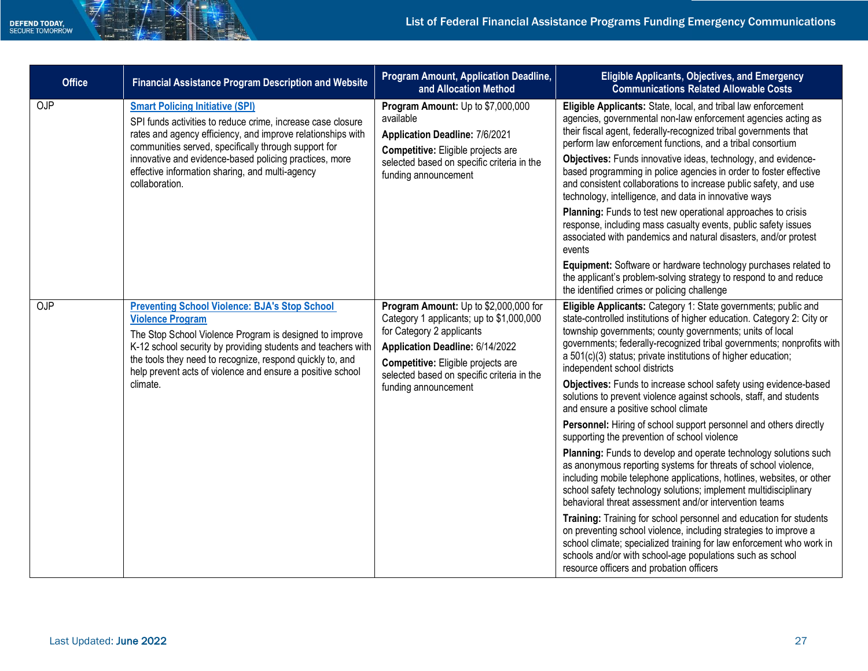| <b>Office</b> | <b>Financial Assistance Program Description and Website</b>                                                                                                                                                                                                                                                                                                 | <b>Program Amount, Application Deadline,</b><br>and Allocation Method                                                                                                                                                                                         | <b>Eligible Applicants, Objectives, and Emergency</b><br><b>Communications Related Allowable Costs</b>                                                                                                                                                                                                                                                                                                                                                                                                                                                                                                                                                                                                                                                                                                                                                                                                                                                                                                                                                                                                                                                                                                                                                                                                                                                       |
|---------------|-------------------------------------------------------------------------------------------------------------------------------------------------------------------------------------------------------------------------------------------------------------------------------------------------------------------------------------------------------------|---------------------------------------------------------------------------------------------------------------------------------------------------------------------------------------------------------------------------------------------------------------|--------------------------------------------------------------------------------------------------------------------------------------------------------------------------------------------------------------------------------------------------------------------------------------------------------------------------------------------------------------------------------------------------------------------------------------------------------------------------------------------------------------------------------------------------------------------------------------------------------------------------------------------------------------------------------------------------------------------------------------------------------------------------------------------------------------------------------------------------------------------------------------------------------------------------------------------------------------------------------------------------------------------------------------------------------------------------------------------------------------------------------------------------------------------------------------------------------------------------------------------------------------------------------------------------------------------------------------------------------------|
| OJP           | <b>Smart Policing Initiative (SPI)</b><br>SPI funds activities to reduce crime, increase case closure<br>rates and agency efficiency, and improve relationships with<br>communities served, specifically through support for<br>innovative and evidence-based policing practices, more<br>effective information sharing, and multi-agency<br>collaboration. | Program Amount: Up to \$7,000,000<br>available<br><b>Application Deadline: 7/6/2021</b><br>Competitive: Eligible projects are<br>selected based on specific criteria in the<br>funding announcement                                                           | Eligible Applicants: State, local, and tribal law enforcement<br>agencies, governmental non-law enforcement agencies acting as<br>their fiscal agent, federally-recognized tribal governments that<br>perform law enforcement functions, and a tribal consortium<br>Objectives: Funds innovative ideas, technology, and evidence-<br>based programming in police agencies in order to foster effective<br>and consistent collaborations to increase public safety, and use<br>technology, intelligence, and data in innovative ways<br>Planning: Funds to test new operational approaches to crisis<br>response, including mass casualty events, public safety issues<br>associated with pandemics and natural disasters, and/or protest<br>events<br>Equipment: Software or hardware technology purchases related to<br>the applicant's problem-solving strategy to respond to and reduce<br>the identified crimes or policing challenge                                                                                                                                                                                                                                                                                                                                                                                                                    |
| QJP           | <b>Preventing School Violence: BJA's Stop School</b><br><b>Violence Program</b><br>The Stop School Violence Program is designed to improve<br>K-12 school security by providing students and teachers with<br>the tools they need to recognize, respond quickly to, and<br>help prevent acts of violence and ensure a positive school<br>climate.           | Program Amount: Up to \$2,000,000 for<br>Category 1 applicants; up to \$1,000,000<br>for Category 2 applicants<br>Application Deadline: 6/14/2022<br>Competitive: Eligible projects are<br>selected based on specific criteria in the<br>funding announcement | Eligible Applicants: Category 1: State governments; public and<br>state-controlled institutions of higher education. Category 2: City or<br>township governments; county governments; units of local<br>governments; federally-recognized tribal governments; nonprofits with<br>a 501(c)(3) status; private institutions of higher education;<br>independent school districts<br>Objectives: Funds to increase school safety using evidence-based<br>solutions to prevent violence against schools, staff, and students<br>and ensure a positive school climate<br>Personnel: Hiring of school support personnel and others directly<br>supporting the prevention of school violence<br>Planning: Funds to develop and operate technology solutions such<br>as anonymous reporting systems for threats of school violence,<br>including mobile telephone applications, hotlines, websites, or other<br>school safety technology solutions; implement multidisciplinary<br>behavioral threat assessment and/or intervention teams<br>Training: Training for school personnel and education for students<br>on preventing school violence, including strategies to improve a<br>school climate; specialized training for law enforcement who work in<br>schools and/or with school-age populations such as school<br>resource officers and probation officers |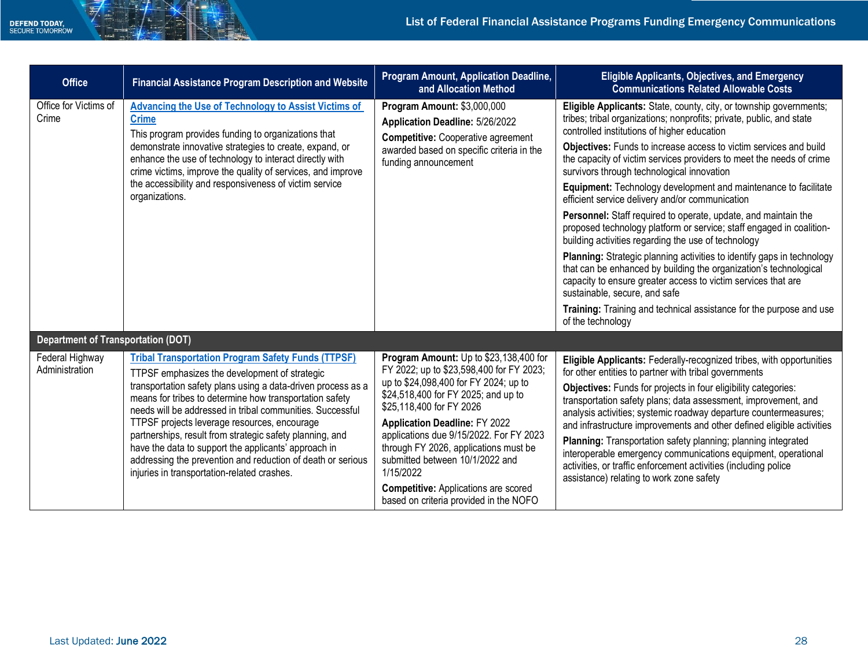| <b>Office</b>                             | <b>Financial Assistance Program Description and Website</b>                                                                                                                                                                                                                                                                                                                                                                                                                                                                                                                          | <b>Program Amount, Application Deadline,</b><br>and Allocation Method                                                                                                                                                                                                                                                                                                      | <b>Eligible Applicants, Objectives, and Emergency</b><br><b>Communications Related Allowable Costs</b>                                                                                                                                                                                                                                                                                                                                                                                                                                                                                                              |
|-------------------------------------------|--------------------------------------------------------------------------------------------------------------------------------------------------------------------------------------------------------------------------------------------------------------------------------------------------------------------------------------------------------------------------------------------------------------------------------------------------------------------------------------------------------------------------------------------------------------------------------------|----------------------------------------------------------------------------------------------------------------------------------------------------------------------------------------------------------------------------------------------------------------------------------------------------------------------------------------------------------------------------|---------------------------------------------------------------------------------------------------------------------------------------------------------------------------------------------------------------------------------------------------------------------------------------------------------------------------------------------------------------------------------------------------------------------------------------------------------------------------------------------------------------------------------------------------------------------------------------------------------------------|
| Office for Victims of<br>Crime            | <b>Advancing the Use of Technology to Assist Victims of</b><br><b>Crime</b><br>This program provides funding to organizations that<br>demonstrate innovative strategies to create, expand, or<br>enhance the use of technology to interact directly with<br>crime victims, improve the quality of services, and improve                                                                                                                                                                                                                                                              | Program Amount: \$3,000,000<br>Application Deadline: 5/26/2022<br><b>Competitive:</b> Cooperative agreement<br>awarded based on specific criteria in the<br>funding announcement                                                                                                                                                                                           | Eligible Applicants: State, county, city, or township governments;<br>tribes; tribal organizations; nonprofits; private, public, and state<br>controlled institutions of higher education                                                                                                                                                                                                                                                                                                                                                                                                                           |
|                                           |                                                                                                                                                                                                                                                                                                                                                                                                                                                                                                                                                                                      |                                                                                                                                                                                                                                                                                                                                                                            | Objectives: Funds to increase access to victim services and build<br>the capacity of victim services providers to meet the needs of crime<br>survivors through technological innovation                                                                                                                                                                                                                                                                                                                                                                                                                             |
|                                           | the accessibility and responsiveness of victim service<br>organizations.                                                                                                                                                                                                                                                                                                                                                                                                                                                                                                             |                                                                                                                                                                                                                                                                                                                                                                            | Equipment: Technology development and maintenance to facilitate<br>efficient service delivery and/or communication                                                                                                                                                                                                                                                                                                                                                                                                                                                                                                  |
|                                           |                                                                                                                                                                                                                                                                                                                                                                                                                                                                                                                                                                                      |                                                                                                                                                                                                                                                                                                                                                                            | Personnel: Staff required to operate, update, and maintain the<br>proposed technology platform or service; staff engaged in coalition-<br>building activities regarding the use of technology                                                                                                                                                                                                                                                                                                                                                                                                                       |
|                                           |                                                                                                                                                                                                                                                                                                                                                                                                                                                                                                                                                                                      |                                                                                                                                                                                                                                                                                                                                                                            | Planning: Strategic planning activities to identify gaps in technology<br>that can be enhanced by building the organization's technological<br>capacity to ensure greater access to victim services that are<br>sustainable, secure, and safe                                                                                                                                                                                                                                                                                                                                                                       |
|                                           |                                                                                                                                                                                                                                                                                                                                                                                                                                                                                                                                                                                      |                                                                                                                                                                                                                                                                                                                                                                            | Training: Training and technical assistance for the purpose and use<br>of the technology                                                                                                                                                                                                                                                                                                                                                                                                                                                                                                                            |
| <b>Department of Transportation (DOT)</b> |                                                                                                                                                                                                                                                                                                                                                                                                                                                                                                                                                                                      |                                                                                                                                                                                                                                                                                                                                                                            |                                                                                                                                                                                                                                                                                                                                                                                                                                                                                                                                                                                                                     |
| Federal Highway<br>Administration         | <b>Tribal Transportation Program Safety Funds (TTPSF)</b><br>TTPSF emphasizes the development of strategic<br>transportation safety plans using a data-driven process as a<br>means for tribes to determine how transportation safety<br>needs will be addressed in tribal communities. Successful<br>TTPSF projects leverage resources, encourage<br>partnerships, result from strategic safety planning, and<br>have the data to support the applicants' approach in<br>addressing the prevention and reduction of death or serious<br>injuries in transportation-related crashes. | Program Amount: Up to \$23,138,400 for<br>FY 2022; up to \$23,598,400 for FY 2023;<br>up to \$24,098,400 for FY 2024; up to<br>\$24,518,400 for FY 2025; and up to<br>\$25,118,400 for FY 2026<br><b>Application Deadline: FY 2022</b><br>applications due 9/15/2022. For FY 2023<br>through FY 2026, applications must be<br>submitted between 10/1/2022 and<br>1/15/2022 | Eligible Applicants: Federally-recognized tribes, with opportunities<br>for other entities to partner with tribal governments<br>Objectives: Funds for projects in four eligibility categories:<br>transportation safety plans; data assessment, improvement, and<br>analysis activities; systemic roadway departure countermeasures;<br>and infrastructure improvements and other defined eligible activities<br>Planning: Transportation safety planning; planning integrated<br>interoperable emergency communications equipment, operational<br>activities, or traffic enforcement activities (including police |
|                                           |                                                                                                                                                                                                                                                                                                                                                                                                                                                                                                                                                                                      | <b>Competitive:</b> Applications are scored<br>based on criteria provided in the NOFO                                                                                                                                                                                                                                                                                      | assistance) relating to work zone safety                                                                                                                                                                                                                                                                                                                                                                                                                                                                                                                                                                            |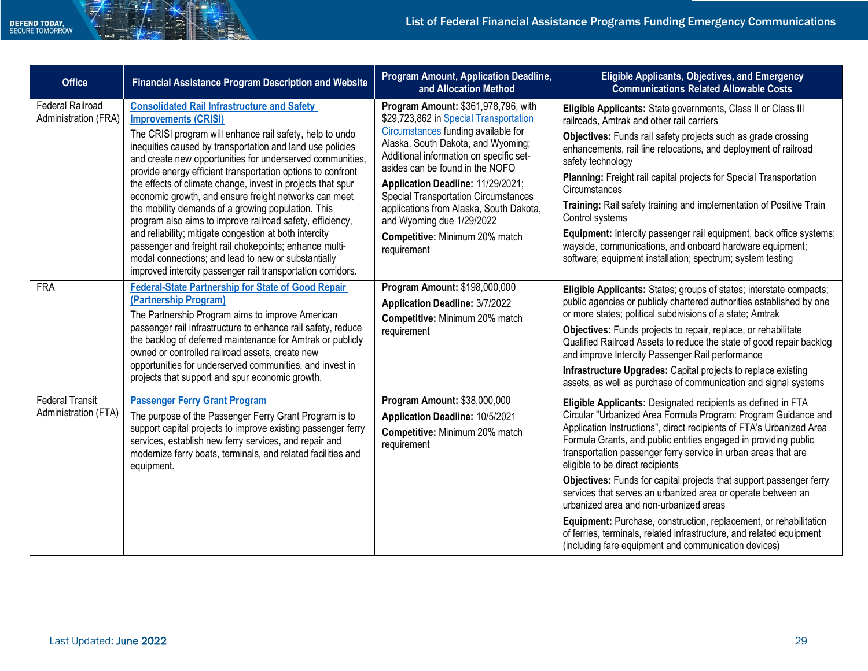| <b>Office</b>                                   | <b>Financial Assistance Program Description and Website</b>                                                                                                                                                                                                                                                                                                                                                                                                                                                                                                                                                                                                                                                                                                                                                                 | <b>Program Amount, Application Deadline,</b><br>and Allocation Method                                                                                                                                                                                                                                                                                                                                                                                 | <b>Eligible Applicants, Objectives, and Emergency</b><br><b>Communications Related Allowable Costs</b>                                                                                                                                                                                                                                                                                                                                                                                                                                                                                                                                                                                                                                                                |
|-------------------------------------------------|-----------------------------------------------------------------------------------------------------------------------------------------------------------------------------------------------------------------------------------------------------------------------------------------------------------------------------------------------------------------------------------------------------------------------------------------------------------------------------------------------------------------------------------------------------------------------------------------------------------------------------------------------------------------------------------------------------------------------------------------------------------------------------------------------------------------------------|-------------------------------------------------------------------------------------------------------------------------------------------------------------------------------------------------------------------------------------------------------------------------------------------------------------------------------------------------------------------------------------------------------------------------------------------------------|-----------------------------------------------------------------------------------------------------------------------------------------------------------------------------------------------------------------------------------------------------------------------------------------------------------------------------------------------------------------------------------------------------------------------------------------------------------------------------------------------------------------------------------------------------------------------------------------------------------------------------------------------------------------------------------------------------------------------------------------------------------------------|
| <b>Federal Railroad</b><br>Administration (FRA) | <b>Consolidated Rail Infrastructure and Safety</b><br><b>Improvements (CRISI)</b><br>The CRISI program will enhance rail safety, help to undo<br>inequities caused by transportation and land use policies<br>and create new opportunities for underserved communities,<br>provide energy efficient transportation options to confront<br>the effects of climate change, invest in projects that spur<br>economic growth, and ensure freight networks can meet<br>the mobility demands of a growing population. This<br>program also aims to improve railroad safety, efficiency,<br>and reliability; mitigate congestion at both intercity<br>passenger and freight rail chokepoints; enhance multi-<br>modal connections; and lead to new or substantially<br>improved intercity passenger rail transportation corridors. | Program Amount: \$361,978,796, with<br>\$29,723,862 in Special Transportation<br>Circumstances funding available for<br>Alaska, South Dakota, and Wyoming;<br>Additional information on specific set-<br>asides can be found in the NOFO<br>Application Deadline: 11/29/2021;<br><b>Special Transportation Circumstances</b><br>applications from Alaska, South Dakota,<br>and Wyoming due 1/29/2022<br>Competitive: Minimum 20% match<br>requirement | Eligible Applicants: State governments, Class II or Class III<br>railroads, Amtrak and other rail carriers<br>Objectives: Funds rail safety projects such as grade crossing<br>enhancements, rail line relocations, and deployment of railroad<br>safety technology<br>Planning: Freight rail capital projects for Special Transportation<br>Circumstances<br>Training: Rail safety training and implementation of Positive Train<br>Control systems<br>Equipment: Intercity passenger rail equipment, back office systems;<br>wayside, communications, and onboard hardware equipment;<br>software; equipment installation; spectrum; system testing                                                                                                                 |
| <b>FRA</b>                                      | <b>Federal-State Partnership for State of Good Repair</b><br>(Partnership Program)<br>The Partnership Program aims to improve American<br>passenger rail infrastructure to enhance rail safety, reduce<br>the backlog of deferred maintenance for Amtrak or publicly<br>owned or controlled railroad assets, create new<br>opportunities for underserved communities, and invest in<br>projects that support and spur economic growth.                                                                                                                                                                                                                                                                                                                                                                                      | Program Amount: \$198,000,000<br><b>Application Deadline: 3/7/2022</b><br>Competitive: Minimum 20% match<br>requirement                                                                                                                                                                                                                                                                                                                               | Eligible Applicants: States; groups of states; interstate compacts;<br>public agencies or publicly chartered authorities established by one<br>or more states; political subdivisions of a state; Amtrak<br>Objectives: Funds projects to repair, replace, or rehabilitate<br>Qualified Railroad Assets to reduce the state of good repair backlog<br>and improve Intercity Passenger Rail performance<br>Infrastructure Upgrades: Capital projects to replace existing<br>assets, as well as purchase of communication and signal systems                                                                                                                                                                                                                            |
| Federal Transit<br>Administration (FTA)         | <b>Passenger Ferry Grant Program</b><br>The purpose of the Passenger Ferry Grant Program is to<br>support capital projects to improve existing passenger ferry<br>services, establish new ferry services, and repair and<br>modernize ferry boats, terminals, and related facilities and<br>equipment.                                                                                                                                                                                                                                                                                                                                                                                                                                                                                                                      | Program Amount: \$38,000,000<br>Application Deadline: 10/5/2021<br>Competitive: Minimum 20% match<br>requirement                                                                                                                                                                                                                                                                                                                                      | Eligible Applicants: Designated recipients as defined in FTA<br>Circular "Urbanized Area Formula Program: Program Guidance and<br>Application Instructions", direct recipients of FTA's Urbanized Area<br>Formula Grants, and public entities engaged in providing public<br>transportation passenger ferry service in urban areas that are<br>eligible to be direct recipients<br>Objectives: Funds for capital projects that support passenger ferry<br>services that serves an urbanized area or operate between an<br>urbanized area and non-urbanized areas<br>Equipment: Purchase, construction, replacement, or rehabilitation<br>of ferries, terminals, related infrastructure, and related equipment<br>(including fare equipment and communication devices) |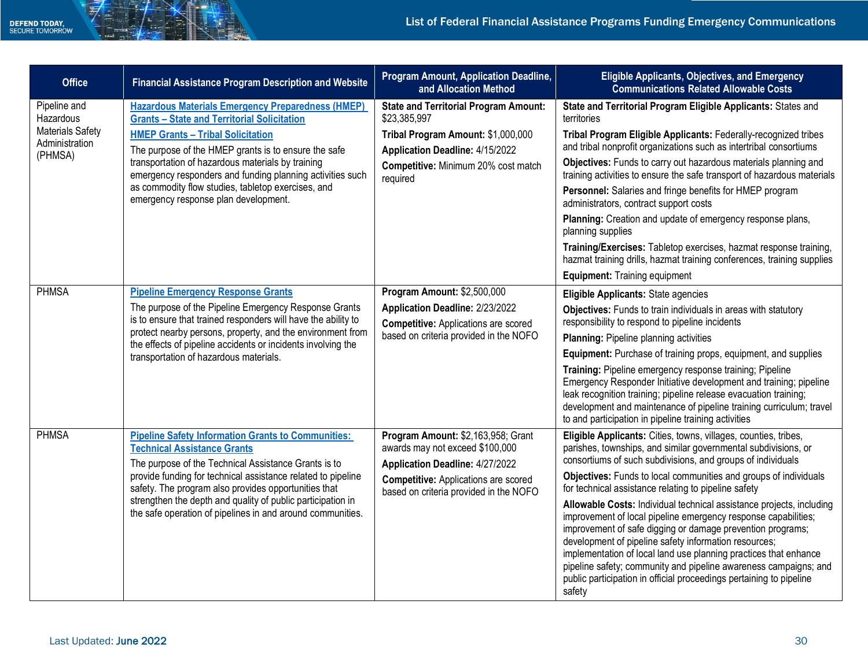

| <b>Office</b>                                        | <b>Financial Assistance Program Description and Website</b>                                                                                                                                                        | <b>Program Amount, Application Deadline,</b><br>and Allocation Method                 | <b>Eligible Applicants, Objectives, and Emergency</b><br><b>Communications Related Allowable Costs</b>                                                                                                                                                                                                                                                                                                                                                                                 |
|------------------------------------------------------|--------------------------------------------------------------------------------------------------------------------------------------------------------------------------------------------------------------------|---------------------------------------------------------------------------------------|----------------------------------------------------------------------------------------------------------------------------------------------------------------------------------------------------------------------------------------------------------------------------------------------------------------------------------------------------------------------------------------------------------------------------------------------------------------------------------------|
| Pipeline and<br>Hazardous                            | <b>Hazardous Materials Emergency Preparedness (HMEP)</b><br><b>Grants - State and Territorial Solicitation</b>                                                                                                     | <b>State and Territorial Program Amount:</b><br>\$23,385,997                          | State and Territorial Program Eligible Applicants: States and<br>territories                                                                                                                                                                                                                                                                                                                                                                                                           |
| <b>Materials Safety</b><br>Administration<br>(PHMSA) | <b>HMEP Grants - Tribal Solicitation</b><br>The purpose of the HMEP grants is to ensure the safe<br>transportation of hazardous materials by training<br>emergency responders and funding planning activities such | Tribal Program Amount: \$1,000,000<br>Application Deadline: 4/15/2022                 | Tribal Program Eligible Applicants: Federally-recognized tribes<br>and tribal nonprofit organizations such as intertribal consortiums                                                                                                                                                                                                                                                                                                                                                  |
|                                                      |                                                                                                                                                                                                                    | Competitive: Minimum 20% cost match<br>required                                       | Objectives: Funds to carry out hazardous materials planning and<br>training activities to ensure the safe transport of hazardous materials                                                                                                                                                                                                                                                                                                                                             |
|                                                      | as commodity flow studies, tabletop exercises, and<br>emergency response plan development.                                                                                                                         |                                                                                       | Personnel: Salaries and fringe benefits for HMEP program<br>administrators, contract support costs                                                                                                                                                                                                                                                                                                                                                                                     |
|                                                      |                                                                                                                                                                                                                    |                                                                                       | Planning: Creation and update of emergency response plans,<br>planning supplies                                                                                                                                                                                                                                                                                                                                                                                                        |
|                                                      |                                                                                                                                                                                                                    |                                                                                       | Training/Exercises: Tabletop exercises, hazmat response training,<br>hazmat training drills, hazmat training conferences, training supplies                                                                                                                                                                                                                                                                                                                                            |
|                                                      |                                                                                                                                                                                                                    |                                                                                       | <b>Equipment: Training equipment</b>                                                                                                                                                                                                                                                                                                                                                                                                                                                   |
| <b>PHMSA</b>                                         | <b>Pipeline Emergency Response Grants</b>                                                                                                                                                                          | Program Amount: \$2,500,000                                                           | Eligible Applicants: State agencies                                                                                                                                                                                                                                                                                                                                                                                                                                                    |
|                                                      | The purpose of the Pipeline Emergency Response Grants<br>is to ensure that trained responders will have the ability to                                                                                             | Application Deadline: 2/23/2022<br><b>Competitive:</b> Applications are scored        | Objectives: Funds to train individuals in areas with statutory<br>responsibility to respond to pipeline incidents                                                                                                                                                                                                                                                                                                                                                                      |
|                                                      | protect nearby persons, property, and the environment from<br>the effects of pipeline accidents or incidents involving the                                                                                         | based on criteria provided in the NOFO                                                | <b>Planning: Pipeline planning activities</b>                                                                                                                                                                                                                                                                                                                                                                                                                                          |
|                                                      | transportation of hazardous materials.                                                                                                                                                                             |                                                                                       | Equipment: Purchase of training props, equipment, and supplies                                                                                                                                                                                                                                                                                                                                                                                                                         |
|                                                      |                                                                                                                                                                                                                    |                                                                                       | Training: Pipeline emergency response training; Pipeline<br>Emergency Responder Initiative development and training; pipeline<br>leak recognition training; pipeline release evacuation training;<br>development and maintenance of pipeline training curriculum; travel<br>to and participation in pipeline training activities                                                                                                                                                       |
| <b>PHMSA</b>                                         | <b>Pipeline Safety Information Grants to Communities:</b><br><b>Technical Assistance Grants</b>                                                                                                                    | Program Amount: \$2,163,958; Grant<br>awards may not exceed \$100,000                 | Eligible Applicants: Cities, towns, villages, counties, tribes,<br>parishes, townships, and similar governmental subdivisions, or                                                                                                                                                                                                                                                                                                                                                      |
|                                                      | The purpose of the Technical Assistance Grants is to<br>provide funding for technical assistance related to pipeline<br>safety. The program also provides opportunities that                                       | Application Deadline: 4/27/2022                                                       | consortiums of such subdivisions, and groups of individuals                                                                                                                                                                                                                                                                                                                                                                                                                            |
|                                                      |                                                                                                                                                                                                                    | <b>Competitive:</b> Applications are scored<br>based on criteria provided in the NOFO | Objectives: Funds to local communities and groups of individuals<br>for technical assistance relating to pipeline safety                                                                                                                                                                                                                                                                                                                                                               |
|                                                      | strengthen the depth and quality of public participation in<br>the safe operation of pipelines in and around communities.                                                                                          |                                                                                       | Allowable Costs: Individual technical assistance projects, including<br>improvement of local pipeline emergency response capabilities;<br>improvement of safe digging or damage prevention programs;<br>development of pipeline safety information resources;<br>implementation of local land use planning practices that enhance<br>pipeline safety; community and pipeline awareness campaigns; and<br>public participation in official proceedings pertaining to pipeline<br>safety |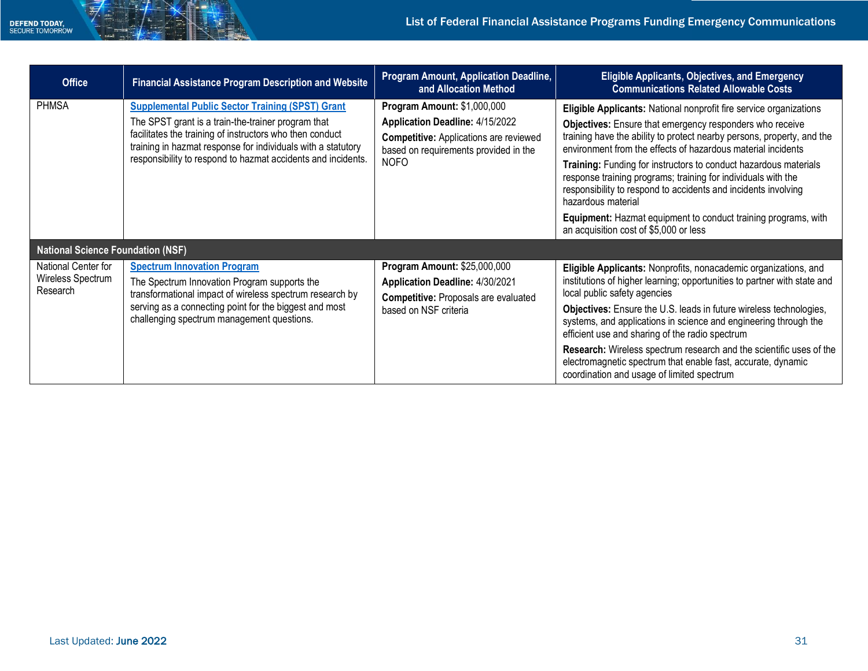<span id="page-30-0"></span>

| <b>Office</b>                                        | <b>Financial Assistance Program Description and Website</b>                                                                                                                                                                                                                                               | Program Amount, Application Deadline,<br>and Allocation Method                                                                                                                 | <b>Eligible Applicants, Objectives, and Emergency</b><br><b>Communications Related Allowable Costs</b>                                                                                                                                                                                                                                                                                                                                                                                                                                                                  |
|------------------------------------------------------|-----------------------------------------------------------------------------------------------------------------------------------------------------------------------------------------------------------------------------------------------------------------------------------------------------------|--------------------------------------------------------------------------------------------------------------------------------------------------------------------------------|-------------------------------------------------------------------------------------------------------------------------------------------------------------------------------------------------------------------------------------------------------------------------------------------------------------------------------------------------------------------------------------------------------------------------------------------------------------------------------------------------------------------------------------------------------------------------|
| <b>PHMSA</b>                                         | <b>Supplemental Public Sector Training (SPST) Grant</b><br>The SPST grant is a train-the-trainer program that<br>facilitates the training of instructors who then conduct<br>training in hazmat response for individuals with a statutory<br>responsibility to respond to hazmat accidents and incidents. | Program Amount: \$1,000,000<br><b>Application Deadline: 4/15/2022</b><br><b>Competitive:</b> Applications are reviewed<br>based on requirements provided in the<br><b>NOFO</b> | Eligible Applicants: National nonprofit fire service organizations<br>Objectives: Ensure that emergency responders who receive<br>training have the ability to protect nearby persons, property, and the<br>environment from the effects of hazardous material incidents<br>Training: Funding for instructors to conduct hazardous materials<br>response training programs; training for individuals with the<br>responsibility to respond to accidents and incidents involving<br>hazardous material<br>Equipment: Hazmat equipment to conduct training programs, with |
| <b>National Science Foundation (NSF)</b>             |                                                                                                                                                                                                                                                                                                           |                                                                                                                                                                                | an acquisition cost of \$5,000 or less                                                                                                                                                                                                                                                                                                                                                                                                                                                                                                                                  |
| National Center for<br>Wireless Spectrum<br>Research | <b>Spectrum Innovation Program</b><br>The Spectrum Innovation Program supports the<br>transformational impact of wireless spectrum research by<br>serving as a connecting point for the biggest and most<br>challenging spectrum management questions.                                                    | Program Amount: \$25,000,000<br>Application Deadline: 4/30/2021<br><b>Competitive: Proposals are evaluated</b><br>based on NSF criteria                                        | Eligible Applicants: Nonprofits, nonacademic organizations, and<br>institutions of higher learning; opportunities to partner with state and<br>local public safety agencies<br>Objectives: Ensure the U.S. leads in future wireless technologies,<br>systems, and applications in science and engineering through the<br>efficient use and sharing of the radio spectrum<br>Research: Wireless spectrum research and the scientific uses of the<br>electromagnetic spectrum that enable fast, accurate, dynamic<br>coordination and usage of limited spectrum           |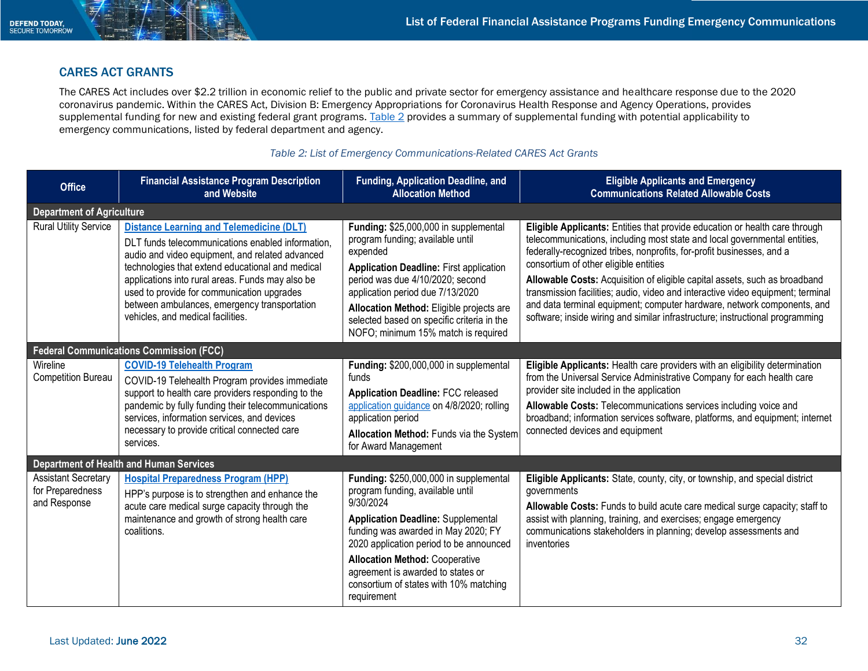## CARES ACT GRANTS

The CARES Act includes over \$2.2 trillion in economic relief to the public and private sector for emergency assistance and healthcare response due to the 2020 coronavirus pandemic. Within the CARES Act, Division B: Emergency Appropriations for Coronavirus Health Response and Agency Operations, provides supplemental funding for new and existing federal grant programs. [Table 2](#page-30-0) provides a summary of supplemental funding with potential applicability to emergency communications, listed by federal department and agency.

<span id="page-31-0"></span>

| <b>Office</b>                                                  | <b>Financial Assistance Program Description</b><br>and Website                                                                                                                                                                                                                                                                                                                                     | <b>Funding, Application Deadline, and</b><br><b>Allocation Method</b>                                                                                                                                                                                                                                                                                         | <b>Eligible Applicants and Emergency</b><br><b>Communications Related Allowable Costs</b>                                                                                                                                                                                                                                                                                                                                                                                                                                                                                                               |
|----------------------------------------------------------------|----------------------------------------------------------------------------------------------------------------------------------------------------------------------------------------------------------------------------------------------------------------------------------------------------------------------------------------------------------------------------------------------------|---------------------------------------------------------------------------------------------------------------------------------------------------------------------------------------------------------------------------------------------------------------------------------------------------------------------------------------------------------------|---------------------------------------------------------------------------------------------------------------------------------------------------------------------------------------------------------------------------------------------------------------------------------------------------------------------------------------------------------------------------------------------------------------------------------------------------------------------------------------------------------------------------------------------------------------------------------------------------------|
| <b>Department of Agriculture</b>                               |                                                                                                                                                                                                                                                                                                                                                                                                    |                                                                                                                                                                                                                                                                                                                                                               |                                                                                                                                                                                                                                                                                                                                                                                                                                                                                                                                                                                                         |
| <b>Rural Utility Service</b>                                   | <b>Distance Learning and Telemedicine (DLT)</b><br>DLT funds telecommunications enabled information,<br>audio and video equipment, and related advanced<br>technologies that extend educational and medical<br>applications into rural areas. Funds may also be<br>used to provide for communication upgrades<br>between ambulances, emergency transportation<br>vehicles, and medical facilities. | Funding: \$25,000,000 in supplemental<br>program funding; available until<br>expended<br><b>Application Deadline: First application</b><br>period was due 4/10/2020; second<br>application period due 7/13/2020<br>Allocation Method: Eligible projects are<br>selected based on specific criteria in the<br>NOFO; minimum 15% match is required              | Eligible Applicants: Entities that provide education or health care through<br>telecommunications, including most state and local governmental entities,<br>federally-recognized tribes, nonprofits, for-profit businesses, and a<br>consortium of other eligible entities<br>Allowable Costs: Acquisition of eligible capital assets, such as broadband<br>transmission facilities; audio, video and interactive video equipment; terminal<br>and data terminal equipment; computer hardware, network components, and<br>software; inside wiring and similar infrastructure; instructional programming |
|                                                                | <b>Federal Communications Commission (FCC)</b>                                                                                                                                                                                                                                                                                                                                                     |                                                                                                                                                                                                                                                                                                                                                               |                                                                                                                                                                                                                                                                                                                                                                                                                                                                                                                                                                                                         |
| Wireline<br><b>Competition Bureau</b>                          | <b>COVID-19 Telehealth Program</b><br>COVID-19 Telehealth Program provides immediate<br>support to health care providers responding to the<br>pandemic by fully funding their telecommunications<br>services, information services, and devices<br>necessary to provide critical connected care<br>services.                                                                                       | Funding: \$200,000,000 in supplemental<br>funds<br><b>Application Deadline: FCC released</b><br>application guidance on 4/8/2020; rolling<br>application period<br>Allocation Method: Funds via the System<br>for Award Management                                                                                                                            | Eligible Applicants: Health care providers with an eligibility determination<br>from the Universal Service Administrative Company for each health care<br>provider site included in the application<br>Allowable Costs: Telecommunications services including voice and<br>broadband; information services software, platforms, and equipment; internet<br>connected devices and equipment                                                                                                                                                                                                              |
|                                                                | <b>Department of Health and Human Services</b>                                                                                                                                                                                                                                                                                                                                                     |                                                                                                                                                                                                                                                                                                                                                               |                                                                                                                                                                                                                                                                                                                                                                                                                                                                                                                                                                                                         |
| <b>Assistant Secretary</b><br>for Preparedness<br>and Response | <b>Hospital Preparedness Program (HPP)</b><br>HPP's purpose is to strengthen and enhance the<br>acute care medical surge capacity through the<br>maintenance and growth of strong health care<br>coalitions.                                                                                                                                                                                       | Funding: \$250,000,000 in supplemental<br>program funding, available until<br>9/30/2024<br><b>Application Deadline: Supplemental</b><br>funding was awarded in May 2020; FY<br>2020 application period to be announced<br><b>Allocation Method: Cooperative</b><br>agreement is awarded to states or<br>consortium of states with 10% matching<br>requirement | Eligible Applicants: State, county, city, or township, and special district<br>governments<br>Allowable Costs: Funds to build acute care medical surge capacity; staff to<br>assist with planning, training, and exercises; engage emergency<br>communications stakeholders in planning; develop assessments and<br>inventories                                                                                                                                                                                                                                                                         |

#### *Table 2: List of Emergency Communications-Related CARES Act Grants*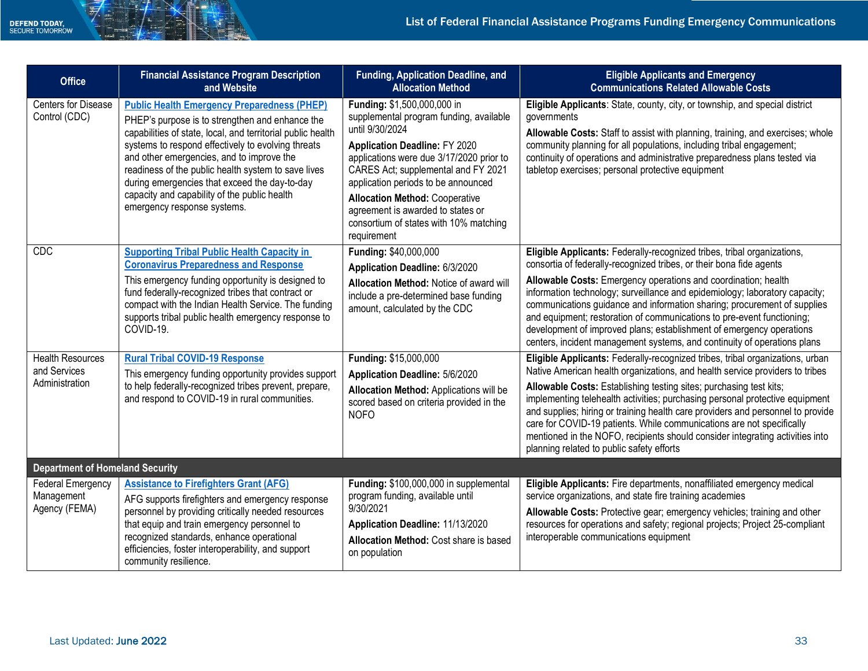| <b>Office</b>                                                    | <b>Financial Assistance Program Description</b><br>and Website                                                                                                                                                                                                                                                                                                                                                                                                                                                                                    | Funding, Application Deadline, and<br><b>Allocation Method</b>                                                                                                                                                                                                                                                                                                                                     | <b>Eligible Applicants and Emergency</b><br><b>Communications Related Allowable Costs</b>                                                                                                                                                                                                                                                                                                                                                                                                                                                                                                                                                                                                                                                                                                                                                                                                                                                                                                                                                                                                                                                                                                                                  |  |
|------------------------------------------------------------------|---------------------------------------------------------------------------------------------------------------------------------------------------------------------------------------------------------------------------------------------------------------------------------------------------------------------------------------------------------------------------------------------------------------------------------------------------------------------------------------------------------------------------------------------------|----------------------------------------------------------------------------------------------------------------------------------------------------------------------------------------------------------------------------------------------------------------------------------------------------------------------------------------------------------------------------------------------------|----------------------------------------------------------------------------------------------------------------------------------------------------------------------------------------------------------------------------------------------------------------------------------------------------------------------------------------------------------------------------------------------------------------------------------------------------------------------------------------------------------------------------------------------------------------------------------------------------------------------------------------------------------------------------------------------------------------------------------------------------------------------------------------------------------------------------------------------------------------------------------------------------------------------------------------------------------------------------------------------------------------------------------------------------------------------------------------------------------------------------------------------------------------------------------------------------------------------------|--|
| Centers for Disease<br>Control (CDC)                             | <b>Public Health Emergency Preparedness (PHEP)</b><br>PHEP's purpose is to strengthen and enhance the<br>capabilities of state, local, and territorial public health<br>systems to respond effectively to evolving threats<br>and other emergencies, and to improve the<br>readiness of the public health system to save lives<br>during emergencies that exceed the day-to-day<br>capacity and capability of the public health<br>emergency response systems.                                                                                    | Funding: \$1,500,000,000 in<br>supplemental program funding, available<br>until 9/30/2024<br><b>Application Deadline: FY 2020</b><br>applications were due 3/17/2020 prior to<br>CARES Act; supplemental and FY 2021<br>application periods to be announced<br><b>Allocation Method: Cooperative</b><br>agreement is awarded to states or<br>consortium of states with 10% matching<br>requirement | Eligible Applicants: State, county, city, or township, and special district<br>governments<br>Allowable Costs: Staff to assist with planning, training, and exercises; whole<br>community planning for all populations, including tribal engagement;<br>continuity of operations and administrative preparedness plans tested via<br>tabletop exercises; personal protective equipment                                                                                                                                                                                                                                                                                                                                                                                                                                                                                                                                                                                                                                                                                                                                                                                                                                     |  |
| CDC<br><b>Health Resources</b><br>and Services<br>Administration | <b>Supporting Tribal Public Health Capacity in</b><br><b>Coronavirus Preparedness and Response</b><br>This emergency funding opportunity is designed to<br>fund federally-recognized tribes that contract or<br>compact with the Indian Health Service. The funding<br>supports tribal public health emergency response to<br>COVID-19.<br><b>Rural Tribal COVID-19 Response</b><br>This emergency funding opportunity provides support<br>to help federally-recognized tribes prevent, prepare,<br>and respond to COVID-19 in rural communities. | Funding: \$40,000,000<br>Application Deadline: 6/3/2020<br>Allocation Method: Notice of award will<br>include a pre-determined base funding<br>amount, calculated by the CDC<br>Funding: \$15,000,000<br><b>Application Deadline: 5/6/2020</b><br>Allocation Method: Applications will be<br>scored based on criteria provided in the<br><b>NOFO</b>                                               | Eligible Applicants: Federally-recognized tribes, tribal organizations,<br>consortia of federally-recognized tribes, or their bona fide agents<br>Allowable Costs: Emergency operations and coordination; health<br>information technology; surveillance and epidemiology; laboratory capacity;<br>communications guidance and information sharing; procurement of supplies<br>and equipment; restoration of communications to pre-event functioning;<br>development of improved plans; establishment of emergency operations<br>centers, incident management systems, and continuity of operations plans<br>Eligible Applicants: Federally-recognized tribes, tribal organizations, urban<br>Native American health organizations, and health service providers to tribes<br>Allowable Costs: Establishing testing sites; purchasing test kits;<br>implementing telehealth activities; purchasing personal protective equipment<br>and supplies; hiring or training health care providers and personnel to provide<br>care for COVID-19 patients. While communications are not specifically<br>mentioned in the NOFO, recipients should consider integrating activities into<br>planning related to public safety efforts |  |
| <b>Department of Homeland Security</b>                           |                                                                                                                                                                                                                                                                                                                                                                                                                                                                                                                                                   |                                                                                                                                                                                                                                                                                                                                                                                                    |                                                                                                                                                                                                                                                                                                                                                                                                                                                                                                                                                                                                                                                                                                                                                                                                                                                                                                                                                                                                                                                                                                                                                                                                                            |  |
| <b>Federal Emergency</b><br>Management<br>Agency (FEMA)          | <b>Assistance to Firefighters Grant (AFG)</b><br>AFG supports firefighters and emergency response<br>personnel by providing critically needed resources<br>that equip and train emergency personnel to<br>recognized standards, enhance operational<br>efficiencies, foster interoperability, and support<br>community resilience.                                                                                                                                                                                                                | Funding: \$100,000,000 in supplemental<br>program funding, available until<br>9/30/2021<br>Application Deadline: 11/13/2020<br>Allocation Method: Cost share is based<br>on population                                                                                                                                                                                                             | Eligible Applicants: Fire departments, nonaffiliated emergency medical<br>service organizations, and state fire training academies<br>Allowable Costs: Protective gear; emergency vehicles; training and other<br>resources for operations and safety; regional projects; Project 25-compliant<br>interoperable communications equipment                                                                                                                                                                                                                                                                                                                                                                                                                                                                                                                                                                                                                                                                                                                                                                                                                                                                                   |  |